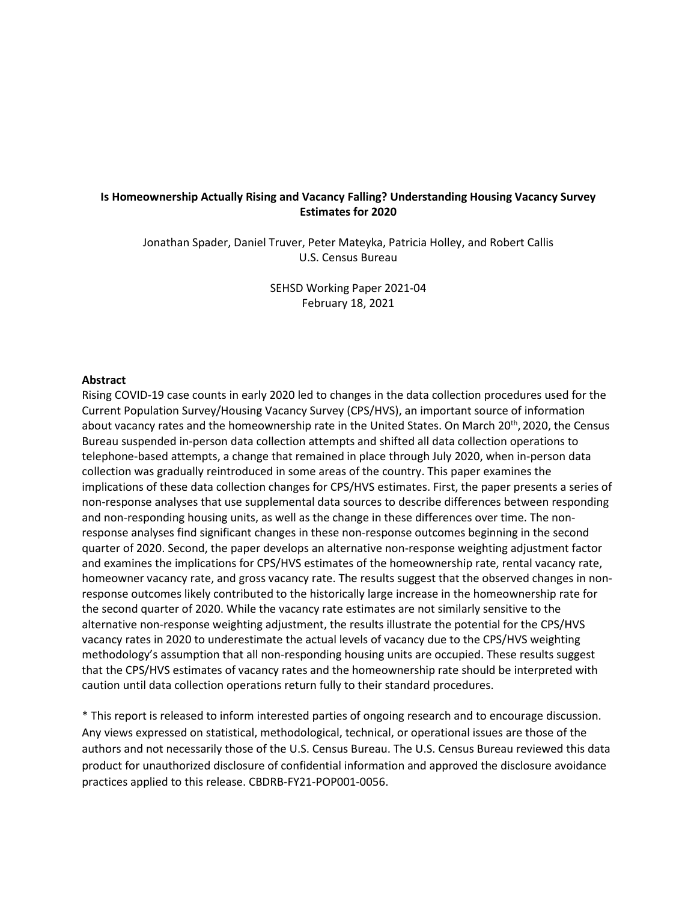# **Is Homeownership Actually Rising and Vacancy Falling? Understanding Housing Vacancy Survey Estimates for 2020**

Jonathan Spader, Daniel Truver, Peter Mateyka, Patricia Holley, and Robert Callis U.S. Census Bureau

> SEHSD Working Paper 2021-04 February 18, 2021

#### **Abstract**

Rising COVID-19 case counts in early 2020 led to changes in the data collection procedures used for the Current Population Survey/Housing Vacancy Survey (CPS/HVS), an important source of information about vacancy rates and the homeownership rate in the United States. On March 20<sup>th</sup>, 2020, the Census Bureau suspended in-person data collection attempts and shifted all data collection operations to telephone-based attempts, a change that remained in place through July 2020, when in-person data collection was gradually reintroduced in some areas of the country. This paper examines the implications of these data collection changes for CPS/HVS estimates. First, the paper presents a series of non-response analyses that use supplemental data sources to describe differences between responding and non-responding housing units, as well as the change in these differences over time. The nonresponse analyses find significant changes in these non-response outcomes beginning in the second quarter of 2020. Second, the paper develops an alternative non-response weighting adjustment factor and examines the implications for CPS/HVS estimates of the homeownership rate, rental vacancy rate, homeowner vacancy rate, and gross vacancy rate. The results suggest that the observed changes in nonresponse outcomes likely contributed to the historically large increase in the homeownership rate for the second quarter of 2020. While the vacancy rate estimates are not similarly sensitive to the alternative non-response weighting adjustment, the results illustrate the potential for the CPS/HVS vacancy rates in 2020 to underestimate the actual levels of vacancy due to the CPS/HVS weighting methodology's assumption that all non-responding housing units are occupied. These results suggest that the CPS/HVS estimates of vacancy rates and the homeownership rate should be interpreted with caution until data collection operations return fully to their standard procedures.

\* This report is released to inform interested parties of ongoing research and to encourage discussion. Any views expressed on statistical, methodological, technical, or operational issues are those of the authors and not necessarily those of the U.S. Census Bureau. The U.S. Census Bureau reviewed this data product for unauthorized disclosure of confidential information and approved the disclosure avoidance practices applied to this release. CBDRB-FY21-POP001-0056.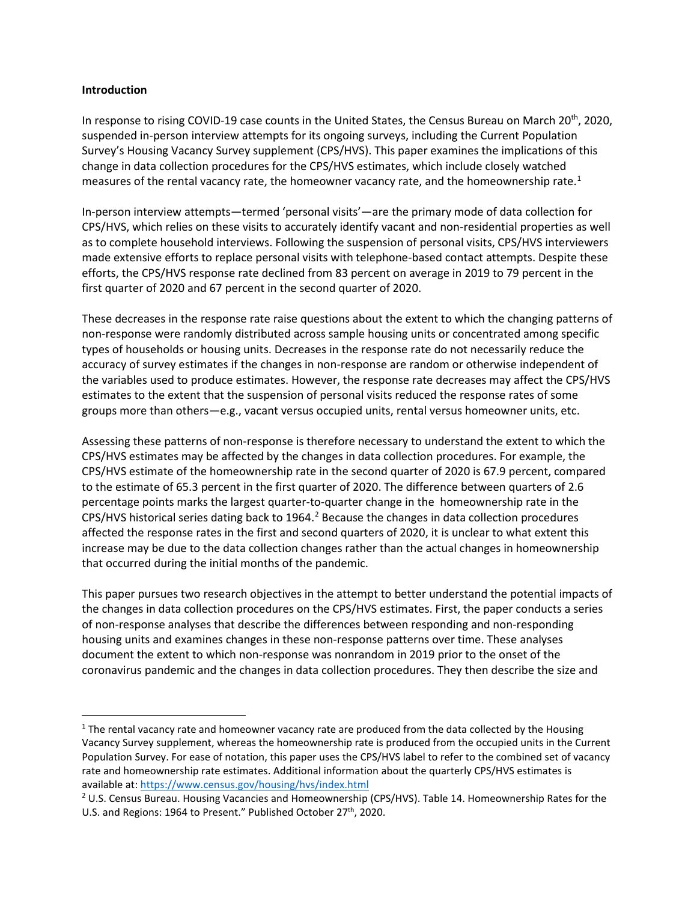### **Introduction**

In response to rising COVID-19 case counts in the United States, the Census Bureau on March 20<sup>th</sup>, 2020, suspended in-person interview attempts for its ongoing surveys, including the Current Population Survey's Housing Vacancy Survey supplement (CPS/HVS). This paper examines the implications of this change in data collection procedures for the CPS/HVS estimates, which include closely watched measures of the rental vacancy rate, the homeowner vacancy rate, and the homeownership rate.<sup>[1](#page-1-0)</sup>

In-person interview attempts—termed 'personal visits'—are the primary mode of data collection for CPS/HVS, which relies on these visits to accurately identify vacant and non-residential properties as well as to complete household interviews. Following the suspension of personal visits, CPS/HVS interviewers made extensive efforts to replace personal visits with telephone-based contact attempts. Despite these efforts, the CPS/HVS response rate declined from 83 percent on average in 2019 to 79 percent in the first quarter of 2020 and 67 percent in the second quarter of 2020.

These decreases in the response rate raise questions about the extent to which the changing patterns of non-response were randomly distributed across sample housing units or concentrated among specific types of households or housing units. Decreases in the response rate do not necessarily reduce the accuracy of survey estimates if the changes in non-response are random or otherwise independent of the variables used to produce estimates. However, the response rate decreases may affect the CPS/HVS estimates to the extent that the suspension of personal visits reduced the response rates of some groups more than others—e.g., vacant versus occupied units, rental versus homeowner units, etc.

Assessing these patterns of non-response is therefore necessary to understand the extent to which the CPS/HVS estimates may be affected by the changes in data collection procedures. For example, the CPS/HVS estimate of the homeownership rate in the second quarter of 2020 is 67.9 percent, compared to the estimate of 65.3 percent in the first quarter of 2020. The difference between quarters of 2.6 percentage points marks the largest quarter-to-quarter change in the homeownership rate in the CPS/HVS historical series dating back to 1964. [2](#page-1-1) Because the changes in data collection procedures affected the response rates in the first and second quarters of 2020, it is unclear to what extent this increase may be due to the data collection changes rather than the actual changes in homeownership that occurred during the initial months of the pandemic.

This paper pursues two research objectives in the attempt to better understand the potential impacts of the changes in data collection procedures on the CPS/HVS estimates. First, the paper conducts a series of non-response analyses that describe the differences between responding and non-responding housing units and examines changes in these non-response patterns over time. These analyses document the extent to which non-response was nonrandom in 2019 prior to the onset of the coronavirus pandemic and the changes in data collection procedures. They then describe the size and

<span id="page-1-0"></span> $1$  The rental vacancy rate and homeowner vacancy rate are produced from the data collected by the Housing Vacancy Survey supplement, whereas the homeownership rate is produced from the occupied units in the Current Population Survey. For ease of notation, this paper uses the CPS/HVS label to refer to the combined set of vacancy rate and homeownership rate estimates. Additional information about the quarterly CPS/HVS estimates is available at[: https://www.census.gov/housing/hvs/index.html](https://www.census.gov/housing/hvs/index.html)

<span id="page-1-1"></span><sup>&</sup>lt;sup>2</sup> U.S. Census Bureau. Housing Vacancies and Homeownership (CPS/HVS). Table 14. Homeownership Rates for the U.S. and Regions: 1964 to Present." Published October 27<sup>th</sup>, 2020.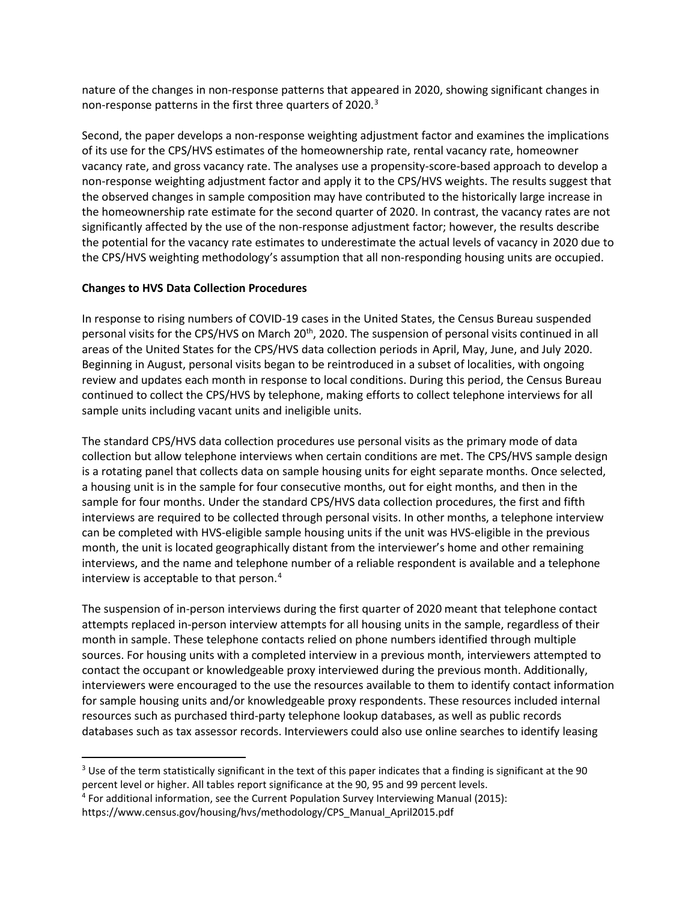nature of the changes in non-response patterns that appeared in 2020, showing significant changes in non-response patterns in the first three quarters of 2020.<sup>[3](#page-2-0)</sup>

Second, the paper develops a non-response weighting adjustment factor and examines the implications of its use for the CPS/HVS estimates of the homeownership rate, rental vacancy rate, homeowner vacancy rate, and gross vacancy rate. The analyses use a propensity-score-based approach to develop a non-response weighting adjustment factor and apply it to the CPS/HVS weights. The results suggest that the observed changes in sample composition may have contributed to the historically large increase in the homeownership rate estimate for the second quarter of 2020. In contrast, the vacancy rates are not significantly affected by the use of the non-response adjustment factor; however, the results describe the potential for the vacancy rate estimates to underestimate the actual levels of vacancy in 2020 due to the CPS/HVS weighting methodology's assumption that all non-responding housing units are occupied.

# **Changes to HVS Data Collection Procedures**

In response to rising numbers of COVID-19 cases in the United States, the Census Bureau suspended personal visits for the CPS/HVS on March 20<sup>th</sup>, 2020. The suspension of personal visits continued in all areas of the United States for the CPS/HVS data collection periods in April, May, June, and July 2020. Beginning in August, personal visits began to be reintroduced in a subset of localities, with ongoing review and updates each month in response to local conditions. During this period, the Census Bureau continued to collect the CPS/HVS by telephone, making efforts to collect telephone interviews for all sample units including vacant units and ineligible units.

The standard CPS/HVS data collection procedures use personal visits as the primary mode of data collection but allow telephone interviews when certain conditions are met. The CPS/HVS sample design is a rotating panel that collects data on sample housing units for eight separate months. Once selected, a housing unit is in the sample for four consecutive months, out for eight months, and then in the sample for four months. Under the standard CPS/HVS data collection procedures, the first and fifth interviews are required to be collected through personal visits. In other months, a telephone interview can be completed with HVS-eligible sample housing units if the unit was HVS-eligible in the previous month, the unit is located geographically distant from the interviewer's home and other remaining interviews, and the name and telephone number of a reliable respondent is available and a telephone interview is acceptable to that person.<sup>[4](#page-2-1)</sup>

The suspension of in-person interviews during the first quarter of 2020 meant that telephone contact attempts replaced in-person interview attempts for all housing units in the sample, regardless of their month in sample. These telephone contacts relied on phone numbers identified through multiple sources. For housing units with a completed interview in a previous month, interviewers attempted to contact the occupant or knowledgeable proxy interviewed during the previous month. Additionally, interviewers were encouraged to the use the resources available to them to identify contact information for sample housing units and/or knowledgeable proxy respondents. These resources included internal resources such as purchased third-party telephone lookup databases, as well as public records databases such as tax assessor records. Interviewers could also use online searches to identify leasing

<span id="page-2-0"></span> $3$  Use of the term statistically significant in the text of this paper indicates that a finding is significant at the 90 percent level or higher. All tables report significance at the 90, 95 and 99 percent levels.

<span id="page-2-1"></span><sup>4</sup> For additional information, see the Current Population Survey Interviewing Manual (2015):

https://www.census.gov/housing/hvs/methodology/CPS\_Manual\_April2015.pdf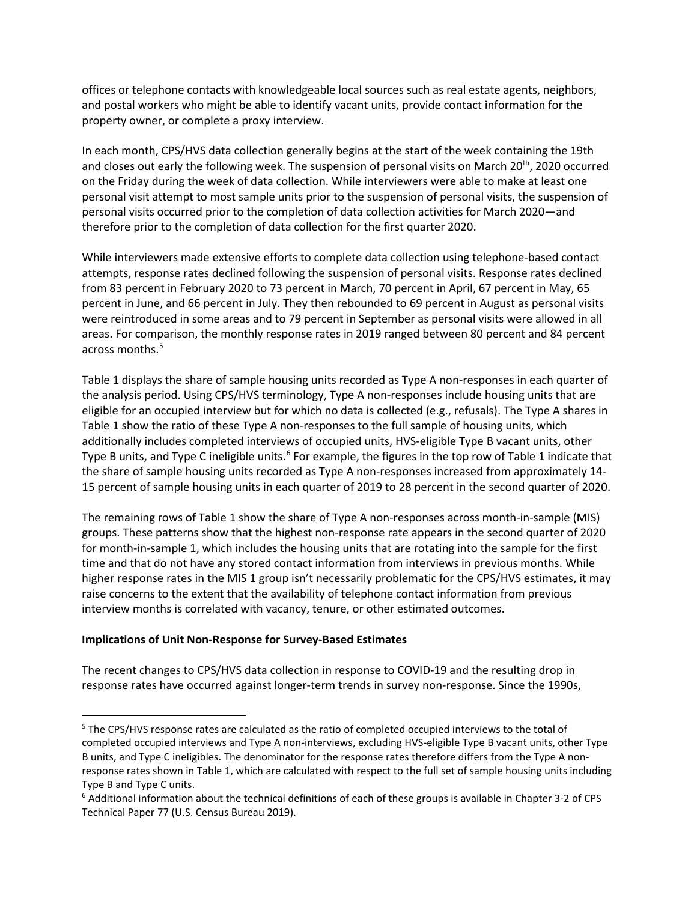offices or telephone contacts with knowledgeable local sources such as real estate agents, neighbors, and postal workers who might be able to identify vacant units, provide contact information for the property owner, or complete a proxy interview.

In each month, CPS/HVS data collection generally begins at the start of the week containing the 19th and closes out early the following week. The suspension of personal visits on March 20<sup>th</sup>, 2020 occurred on the Friday during the week of data collection. While interviewers were able to make at least one personal visit attempt to most sample units prior to the suspension of personal visits, the suspension of personal visits occurred prior to the completion of data collection activities for March 2020—and therefore prior to the completion of data collection for the first quarter 2020.

While interviewers made extensive efforts to complete data collection using telephone-based contact attempts, response rates declined following the suspension of personal visits. Response rates declined from 83 percent in February 2020 to 73 percent in March, 70 percent in April, 67 percent in May, 65 percent in June, and 66 percent in July. They then rebounded to 69 percent in August as personal visits were reintroduced in some areas and to 79 percent in September as personal visits were allowed in all areas. For comparison, the monthly response rates in 2019 ranged between 80 percent and 84 percent across months. [5](#page-3-0)

Table 1 displays the share of sample housing units recorded as Type A non-responses in each quarter of the analysis period. Using CPS/HVS terminology, Type A non-responses include housing units that are eligible for an occupied interview but for which no data is collected (e.g., refusals). The Type A shares in Table 1 show the ratio of these Type A non-responses to the full sample of housing units, which additionally includes completed interviews of occupied units, HVS-eligible Type B vacant units, other Type B units, and Type C ineligible units.<sup>[6](#page-3-1)</sup> For example, the figures in the top row of Table 1 indicate that the share of sample housing units recorded as Type A non-responses increased from approximately 14- 15 percent of sample housing units in each quarter of 2019 to 28 percent in the second quarter of 2020.

The remaining rows of Table 1 show the share of Type A non-responses across month-in-sample (MIS) groups. These patterns show that the highest non-response rate appears in the second quarter of 2020 for month-in-sample 1, which includes the housing units that are rotating into the sample for the first time and that do not have any stored contact information from interviews in previous months. While higher response rates in the MIS 1 group isn't necessarily problematic for the CPS/HVS estimates, it may raise concerns to the extent that the availability of telephone contact information from previous interview months is correlated with vacancy, tenure, or other estimated outcomes.

### **Implications of Unit Non-Response for Survey-Based Estimates**

The recent changes to CPS/HVS data collection in response to COVID-19 and the resulting drop in response rates have occurred against longer-term trends in survey non-response. Since the 1990s,

<span id="page-3-0"></span><sup>&</sup>lt;sup>5</sup> The CPS/HVS response rates are calculated as the ratio of completed occupied interviews to the total of completed occupied interviews and Type A non-interviews, excluding HVS-eligible Type B vacant units, other Type B units, and Type C ineligibles. The denominator for the response rates therefore differs from the Type A nonresponse rates shown in Table 1, which are calculated with respect to the full set of sample housing units including Type B and Type C units.

<span id="page-3-1"></span> $6$  Additional information about the technical definitions of each of these groups is available in Chapter 3-2 of CPS Technical Paper 77 (U.S. Census Bureau 2019).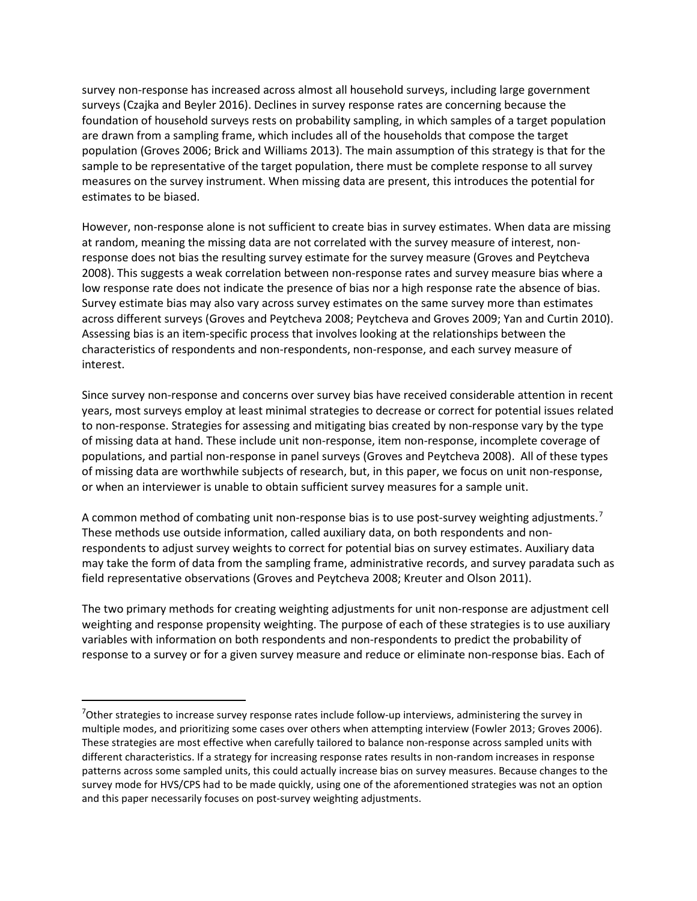survey non-response has increased across almost all household surveys, including large government surveys (Czajka and Beyler 2016). Declines in survey response rates are concerning because the foundation of household surveys rests on probability sampling, in which samples of a target population are drawn from a sampling frame, which includes all of the households that compose the target population (Groves 2006; Brick and Williams 2013). The main assumption of this strategy is that for the sample to be representative of the target population, there must be complete response to all survey measures on the survey instrument. When missing data are present, this introduces the potential for estimates to be biased.

However, non-response alone is not sufficient to create bias in survey estimates. When data are missing at random, meaning the missing data are not correlated with the survey measure of interest, nonresponse does not bias the resulting survey estimate for the survey measure (Groves and Peytcheva 2008). This suggests a weak correlation between non-response rates and survey measure bias where a low response rate does not indicate the presence of bias nor a high response rate the absence of bias. Survey estimate bias may also vary across survey estimates on the same survey more than estimates across different surveys (Groves and Peytcheva 2008; Peytcheva and Groves 2009; Yan and Curtin 2010). Assessing bias is an item-specific process that involves looking at the relationships between the characteristics of respondents and non-respondents, non-response, and each survey measure of interest.

Since survey non-response and concerns over survey bias have received considerable attention in recent years, most surveys employ at least minimal strategies to decrease or correct for potential issues related to non-response. Strategies for assessing and mitigating bias created by non-response vary by the type of missing data at hand. These include unit non-response, item non-response, incomplete coverage of populations, and partial non-response in panel surveys (Groves and Peytcheva 2008). All of these types of missing data are worthwhile subjects of research, but, in this paper, we focus on unit non-response, or when an interviewer is unable to obtain sufficient survey measures for a sample unit.

A common method of combating unit non-response bias is to use post-survey weighting adjustments.<sup>[7](#page-4-0)</sup> These methods use outside information, called auxiliary data, on both respondents and nonrespondents to adjust survey weights to correct for potential bias on survey estimates. Auxiliary data may take the form of data from the sampling frame, administrative records, and survey paradata such as field representative observations (Groves and Peytcheva 2008; Kreuter and Olson 2011).

The two primary methods for creating weighting adjustments for unit non-response are adjustment cell weighting and response propensity weighting. The purpose of each of these strategies is to use auxiliary variables with information on both respondents and non-respondents to predict the probability of response to a survey or for a given survey measure and reduce or eliminate non-response bias. Each of

<span id="page-4-0"></span><sup>&</sup>lt;sup>7</sup>Other strategies to increase survey response rates include follow-up interviews, administering the survey in multiple modes, and prioritizing some cases over others when attempting interview (Fowler 2013; Groves 2006). These strategies are most effective when carefully tailored to balance non-response across sampled units with different characteristics. If a strategy for increasing response rates results in non-random increases in response patterns across some sampled units, this could actually increase bias on survey measures. Because changes to the survey mode for HVS/CPS had to be made quickly, using one of the aforementioned strategies was not an option and this paper necessarily focuses on post-survey weighting adjustments.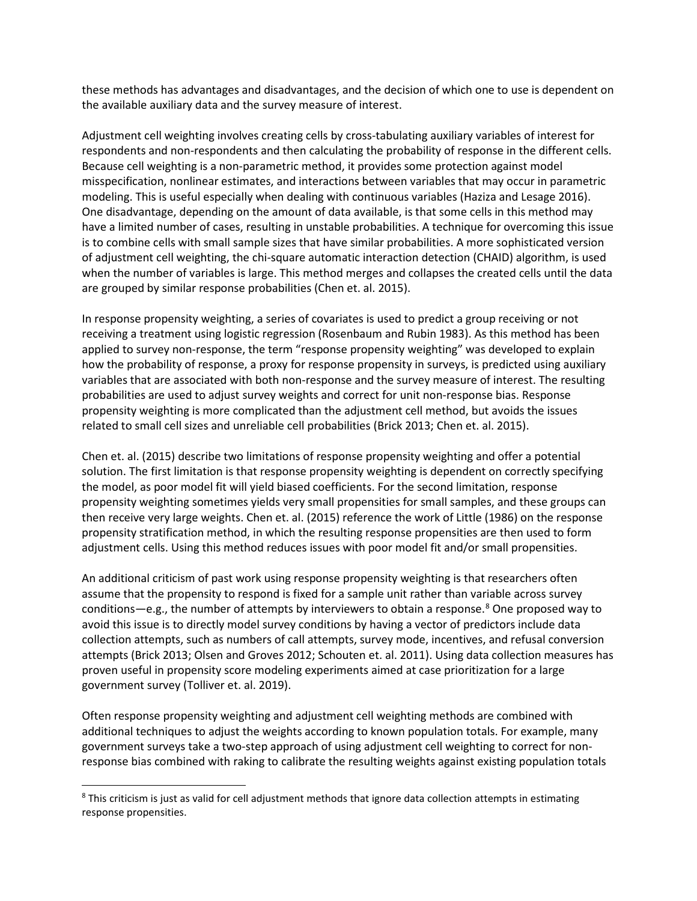these methods has advantages and disadvantages, and the decision of which one to use is dependent on the available auxiliary data and the survey measure of interest.

Adjustment cell weighting involves creating cells by cross-tabulating auxiliary variables of interest for respondents and non-respondents and then calculating the probability of response in the different cells. Because cell weighting is a non-parametric method, it provides some protection against model misspecification, nonlinear estimates, and interactions between variables that may occur in parametric modeling. This is useful especially when dealing with continuous variables (Haziza and Lesage 2016). One disadvantage, depending on the amount of data available, is that some cells in this method may have a limited number of cases, resulting in unstable probabilities. A technique for overcoming this issue is to combine cells with small sample sizes that have similar probabilities. A more sophisticated version of adjustment cell weighting, the chi-square automatic interaction detection (CHAID) algorithm, is used when the number of variables is large. This method merges and collapses the created cells until the data are grouped by similar response probabilities (Chen et. al. 2015).

In response propensity weighting, a series of covariates is used to predict a group receiving or not receiving a treatment using logistic regression (Rosenbaum and Rubin 1983). As this method has been applied to survey non-response, the term "response propensity weighting" was developed to explain how the probability of response, a proxy for response propensity in surveys, is predicted using auxiliary variables that are associated with both non-response and the survey measure of interest. The resulting probabilities are used to adjust survey weights and correct for unit non-response bias. Response propensity weighting is more complicated than the adjustment cell method, but avoids the issues related to small cell sizes and unreliable cell probabilities (Brick 2013; Chen et. al. 2015).

Chen et. al. (2015) describe two limitations of response propensity weighting and offer a potential solution. The first limitation is that response propensity weighting is dependent on correctly specifying the model, as poor model fit will yield biased coefficients. For the second limitation, response propensity weighting sometimes yields very small propensities for small samples, and these groups can then receive very large weights. Chen et. al. (2015) reference the work of Little (1986) on the response propensity stratification method, in which the resulting response propensities are then used to form adjustment cells. Using this method reduces issues with poor model fit and/or small propensities.

An additional criticism of past work using response propensity weighting is that researchers often assume that the propensity to respond is fixed for a sample unit rather than variable across survey conditions—e.g., the number of attempts by interviewers to obtain a response.<sup>[8](#page-5-0)</sup> One proposed way to avoid this issue is to directly model survey conditions by having a vector of predictors include data collection attempts, such as numbers of call attempts, survey mode, incentives, and refusal conversion attempts (Brick 2013; Olsen and Groves 2012; Schouten et. al. 2011). Using data collection measures has proven useful in propensity score modeling experiments aimed at case prioritization for a large government survey (Tolliver et. al. 2019).

Often response propensity weighting and adjustment cell weighting methods are combined with additional techniques to adjust the weights according to known population totals. For example, many government surveys take a two-step approach of using adjustment cell weighting to correct for nonresponse bias combined with raking to calibrate the resulting weights against existing population totals

<span id="page-5-0"></span><sup>&</sup>lt;sup>8</sup> This criticism is just as valid for cell adjustment methods that ignore data collection attempts in estimating response propensities.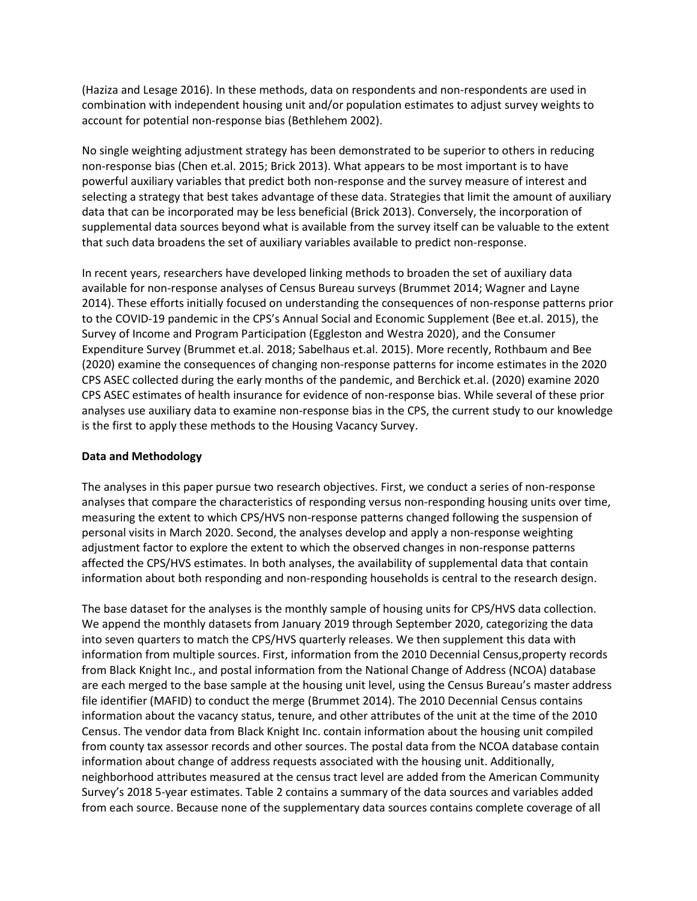(Haziza and Lesage 2016). In these methods, data on respondents and non-respondents are used in combination with independent housing unit and/or population estimates to adjust survey weights to account for potential non-response bias (Bethlehem 2002).

No single weighting adjustment strategy has been demonstrated to be superior to others in reducing non-response bias (Chen et.al. 2015; Brick 2013). What appears to be most important is to have powerful auxiliary variables that predict both non-response and the survey measure of interest and selecting a strategy that best takes advantage of these data. Strategies that limit the amount of auxiliary data that can be incorporated may be less beneficial (Brick 2013). Conversely, the incorporation of supplemental data sources beyond what is available from the survey itself can be valuable to the extent that such data broadens the set of auxiliary variables available to predict non-response.

In recent years, researchers have developed linking methods to broaden the set of auxiliary data available for non-response analyses of Census Bureau surveys (Brummet 2014; Wagner and Layne 2014). These efforts initially focused on understanding the consequences of non-response patterns prior to the COVID-19 pandemic in the CPS's Annual Social and Economic Supplement (Bee et.al. 2015), the Survey of Income and Program Participation (Eggleston and Westra 2020), and the Consumer Expenditure Survey (Brummet et.al. 2018; Sabelhaus et.al. 2015). More recently, Rothbaum and Bee (2020) examine the consequences of changing non-response patterns for income estimates in the 2020 CPS ASEC collected during the early months of the pandemic, and Berchick et.al. (2020) examine 2020 CPS ASEC estimates of health insurance for evidence of non-response bias. While several of these prior analyses use auxiliary data to examine non-response bias in the CPS, the current study to our knowledge is the first to apply these methods to the Housing Vacancy Survey.

## **Data and Methodology**

The analyses in this paper pursue two research objectives. First, we conduct a series of non-response analyses that compare the characteristics of responding versus non-responding housing units over time, measuring the extent to which CPS/HVS non-response patterns changed following the suspension of personal visits in March 2020. Second, the analyses develop and apply a non-response weighting adjustment factor to explore the extent to which the observed changes in non-response patterns affected the CPS/HVS estimates. In both analyses, the availability of supplemental data that contain information about both responding and non-responding households is central to the research design.

The base dataset for the analyses is the monthly sample of housing units for CPS/HVS data collection. We append the monthly datasets from January 2019 through September 2020, categorizing the data into seven quarters to match the CPS/HVS quarterly releases. We then supplement this data with information from multiple sources. First, information from the 2010 Decennial Census,property records from Black Knight Inc., and postal information from the National Change of Address (NCOA) database are each merged to the base sample at the housing unit level, using the Census Bureau's master address file identifier (MAFID) to conduct the merge (Brummet 2014). The 2010 Decennial Census contains information about the vacancy status, tenure, and other attributes of the unit at the time of the 2010 Census. The vendor data from Black Knight Inc. contain information about the housing unit compiled from county tax assessor records and other sources. The postal data from the NCOA database contain information about change of address requests associated with the housing unit. Additionally, neighborhood attributes measured at the census tract level are added from the American Community Survey's 2018 5-year estimates. Table 2 contains a summary of the data sources and variables added from each source. Because none of the supplementary data sources contains complete coverage of all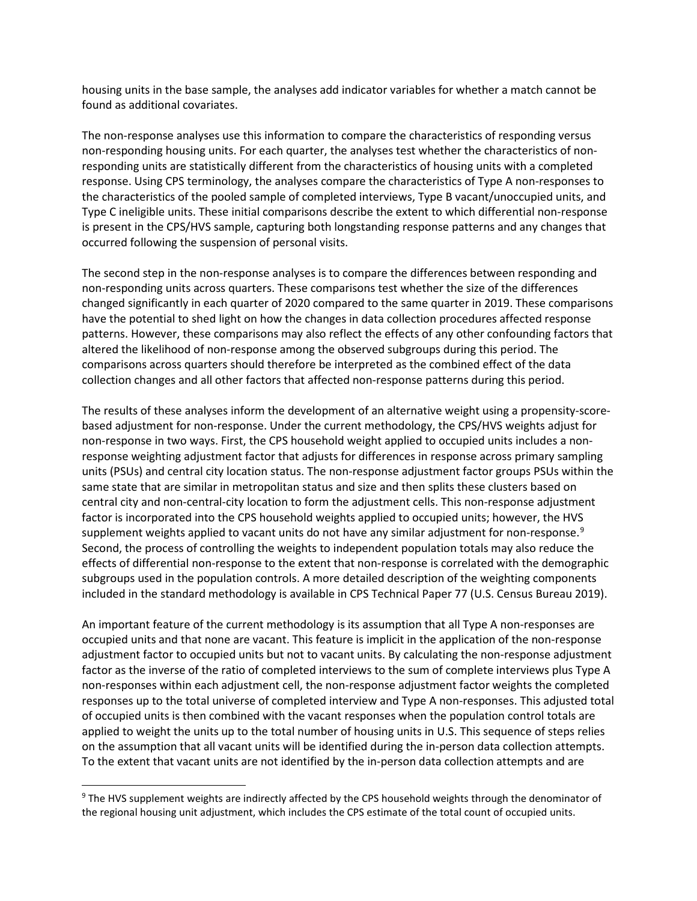housing units in the base sample, the analyses add indicator variables for whether a match cannot be found as additional covariates.

The non-response analyses use this information to compare the characteristics of responding versus non-responding housing units. For each quarter, the analyses test whether the characteristics of nonresponding units are statistically different from the characteristics of housing units with a completed response. Using CPS terminology, the analyses compare the characteristics of Type A non-responses to the characteristics of the pooled sample of completed interviews, Type B vacant/unoccupied units, and Type C ineligible units. These initial comparisons describe the extent to which differential non-response is present in the CPS/HVS sample, capturing both longstanding response patterns and any changes that occurred following the suspension of personal visits.

The second step in the non-response analyses is to compare the differences between responding and non-responding units across quarters. These comparisons test whether the size of the differences changed significantly in each quarter of 2020 compared to the same quarter in 2019. These comparisons have the potential to shed light on how the changes in data collection procedures affected response patterns. However, these comparisons may also reflect the effects of any other confounding factors that altered the likelihood of non-response among the observed subgroups during this period. The comparisons across quarters should therefore be interpreted as the combined effect of the data collection changes and all other factors that affected non-response patterns during this period.

The results of these analyses inform the development of an alternative weight using a propensity-scorebased adjustment for non-response. Under the current methodology, the CPS/HVS weights adjust for non-response in two ways. First, the CPS household weight applied to occupied units includes a nonresponse weighting adjustment factor that adjusts for differences in response across primary sampling units (PSUs) and central city location status. The non-response adjustment factor groups PSUs within the same state that are similar in metropolitan status and size and then splits these clusters based on central city and non-central-city location to form the adjustment cells. This non-response adjustment factor is incorporated into the CPS household weights applied to occupied units; however, the HVS supplement weights applied to vacant units do not have any similar adjustment for non-response.<sup>[9](#page-7-0)</sup> Second, the process of controlling the weights to independent population totals may also reduce the effects of differential non-response to the extent that non-response is correlated with the demographic subgroups used in the population controls. A more detailed description of the weighting components included in the standard methodology is available in CPS Technical Paper 77 (U.S. Census Bureau 2019).

An important feature of the current methodology is its assumption that all Type A non-responses are occupied units and that none are vacant. This feature is implicit in the application of the non-response adjustment factor to occupied units but not to vacant units. By calculating the non-response adjustment factor as the inverse of the ratio of completed interviews to the sum of complete interviews plus Type A non-responses within each adjustment cell, the non-response adjustment factor weights the completed responses up to the total universe of completed interview and Type A non-responses. This adjusted total of occupied units is then combined with the vacant responses when the population control totals are applied to weight the units up to the total number of housing units in U.S. This sequence of steps relies on the assumption that all vacant units will be identified during the in-person data collection attempts. To the extent that vacant units are not identified by the in-person data collection attempts and are

<span id="page-7-0"></span><sup>&</sup>lt;sup>9</sup> The HVS supplement weights are indirectly affected by the CPS household weights through the denominator of the regional housing unit adjustment, which includes the CPS estimate of the total count of occupied units.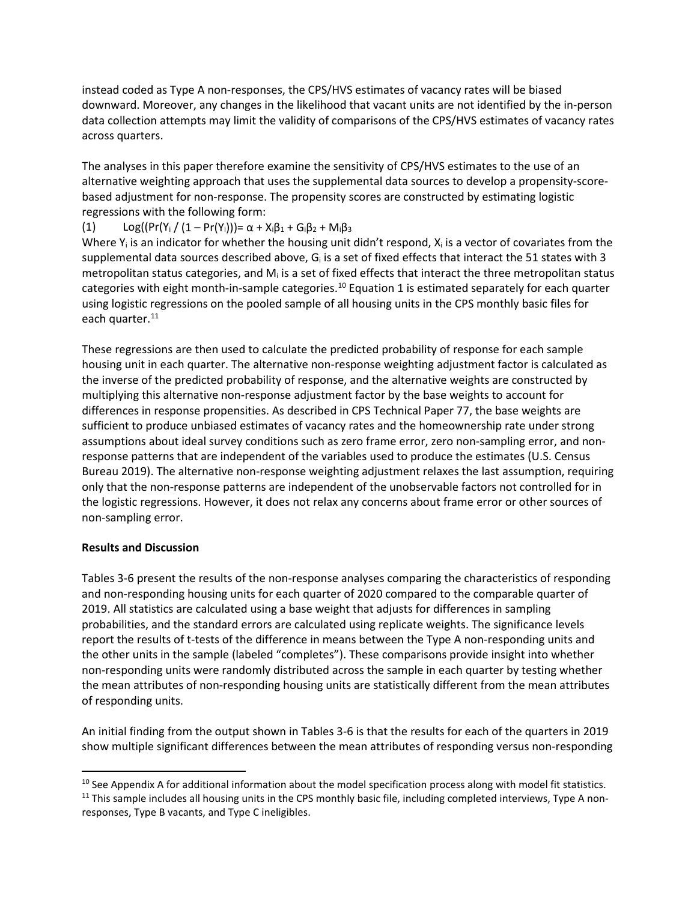instead coded as Type A non-responses, the CPS/HVS estimates of vacancy rates will be biased downward. Moreover, any changes in the likelihood that vacant units are not identified by the in-person data collection attempts may limit the validity of comparisons of the CPS/HVS estimates of vacancy rates across quarters.

The analyses in this paper therefore examine the sensitivity of CPS/HVS estimates to the use of an alternative weighting approach that uses the supplemental data sources to develop a propensity-scorebased adjustment for non-response. The propensity scores are constructed by estimating logistic regressions with the following form:

# (1)  $Log((Pr(Y_i / (1 - Pr(Y_i))) = \alpha + X_i\beta_1 + G_i\beta_2 + M_i\beta_3)$

Where  $Y_i$  is an indicator for whether the housing unit didn't respond,  $X_i$  is a vector of covariates from the supplemental data sources described above,  $G_i$  is a set of fixed effects that interact the 51 states with 3 metropolitan status categories, and  $M_i$  is a set of fixed effects that interact the three metropolitan status categories with eight month-in-sample categories.<sup>[10](#page-8-0)</sup> Equation 1 is estimated separately for each quarter using logistic regressions on the pooled sample of all housing units in the CPS monthly basic files for each quarter. [11](#page-8-1)

These regressions are then used to calculate the predicted probability of response for each sample housing unit in each quarter. The alternative non-response weighting adjustment factor is calculated as the inverse of the predicted probability of response, and the alternative weights are constructed by multiplying this alternative non-response adjustment factor by the base weights to account for differences in response propensities. As described in CPS Technical Paper 77, the base weights are sufficient to produce unbiased estimates of vacancy rates and the homeownership rate under strong assumptions about ideal survey conditions such as zero frame error, zero non-sampling error, and nonresponse patterns that are independent of the variables used to produce the estimates (U.S. Census Bureau 2019). The alternative non-response weighting adjustment relaxes the last assumption, requiring only that the non-response patterns are independent of the unobservable factors not controlled for in the logistic regressions. However, it does not relax any concerns about frame error or other sources of non-sampling error.

# **Results and Discussion**

Tables 3-6 present the results of the non-response analyses comparing the characteristics of responding and non-responding housing units for each quarter of 2020 compared to the comparable quarter of 2019. All statistics are calculated using a base weight that adjusts for differences in sampling probabilities, and the standard errors are calculated using replicate weights. The significance levels report the results of t-tests of the difference in means between the Type A non-responding units and the other units in the sample (labeled "completes"). These comparisons provide insight into whether non-responding units were randomly distributed across the sample in each quarter by testing whether the mean attributes of non-responding housing units are statistically different from the mean attributes of responding units.

An initial finding from the output shown in Tables 3-6 is that the results for each of the quarters in 2019 show multiple significant differences between the mean attributes of responding versus non-responding

<span id="page-8-0"></span> $10$  See Appendix A for additional information about the model specification process along with model fit statistics.

<span id="page-8-1"></span> $11$  This sample includes all housing units in the CPS monthly basic file, including completed interviews, Type A nonresponses, Type B vacants, and Type C ineligibles.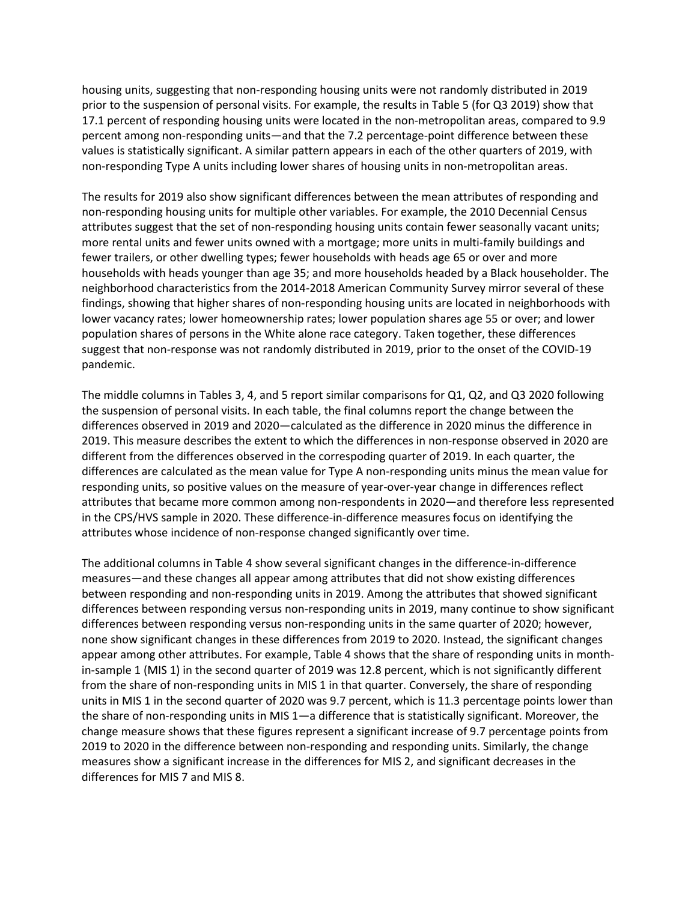housing units, suggesting that non-responding housing units were not randomly distributed in 2019 prior to the suspension of personal visits. For example, the results in Table 5 (for Q3 2019) show that 17.1 percent of responding housing units were located in the non-metropolitan areas, compared to 9.9 percent among non-responding units—and that the 7.2 percentage-point difference between these values is statistically significant. A similar pattern appears in each of the other quarters of 2019, with non-responding Type A units including lower shares of housing units in non-metropolitan areas.

The results for 2019 also show significant differences between the mean attributes of responding and non-responding housing units for multiple other variables. For example, the 2010 Decennial Census attributes suggest that the set of non-responding housing units contain fewer seasonally vacant units; more rental units and fewer units owned with a mortgage; more units in multi-family buildings and fewer trailers, or other dwelling types; fewer households with heads age 65 or over and more households with heads younger than age 35; and more households headed by a Black householder. The neighborhood characteristics from the 2014-2018 American Community Survey mirror several of these findings, showing that higher shares of non-responding housing units are located in neighborhoods with lower vacancy rates; lower homeownership rates; lower population shares age 55 or over; and lower population shares of persons in the White alone race category. Taken together, these differences suggest that non-response was not randomly distributed in 2019, prior to the onset of the COVID-19 pandemic.

The middle columns in Tables 3, 4, and 5 report similar comparisons for Q1, Q2, and Q3 2020 following the suspension of personal visits. In each table, the final columns report the change between the differences observed in 2019 and 2020—calculated as the difference in 2020 minus the difference in 2019. This measure describes the extent to which the differences in non-response observed in 2020 are different from the differences observed in the correspoding quarter of 2019. In each quarter, the differences are calculated as the mean value for Type A non-responding units minus the mean value for responding units, so positive values on the measure of year-over-year change in differences reflect attributes that became more common among non-respondents in 2020—and therefore less represented in the CPS/HVS sample in 2020. These difference-in-difference measures focus on identifying the attributes whose incidence of non-response changed significantly over time.

The additional columns in Table 4 show several significant changes in the difference-in-difference measures—and these changes all appear among attributes that did not show existing differences between responding and non-responding units in 2019. Among the attributes that showed significant differences between responding versus non-responding units in 2019, many continue to show significant differences between responding versus non-responding units in the same quarter of 2020; however, none show significant changes in these differences from 2019 to 2020. Instead, the significant changes appear among other attributes. For example, Table 4 shows that the share of responding units in monthin-sample 1 (MIS 1) in the second quarter of 2019 was 12.8 percent, which is not significantly different from the share of non-responding units in MIS 1 in that quarter. Conversely, the share of responding units in MIS 1 in the second quarter of 2020 was 9.7 percent, which is 11.3 percentage points lower than the share of non-responding units in MIS 1—a difference that is statistically significant. Moreover, the change measure shows that these figures represent a significant increase of 9.7 percentage points from 2019 to 2020 in the difference between non-responding and responding units. Similarly, the change measures show a significant increase in the differences for MIS 2, and significant decreases in the differences for MIS 7 and MIS 8.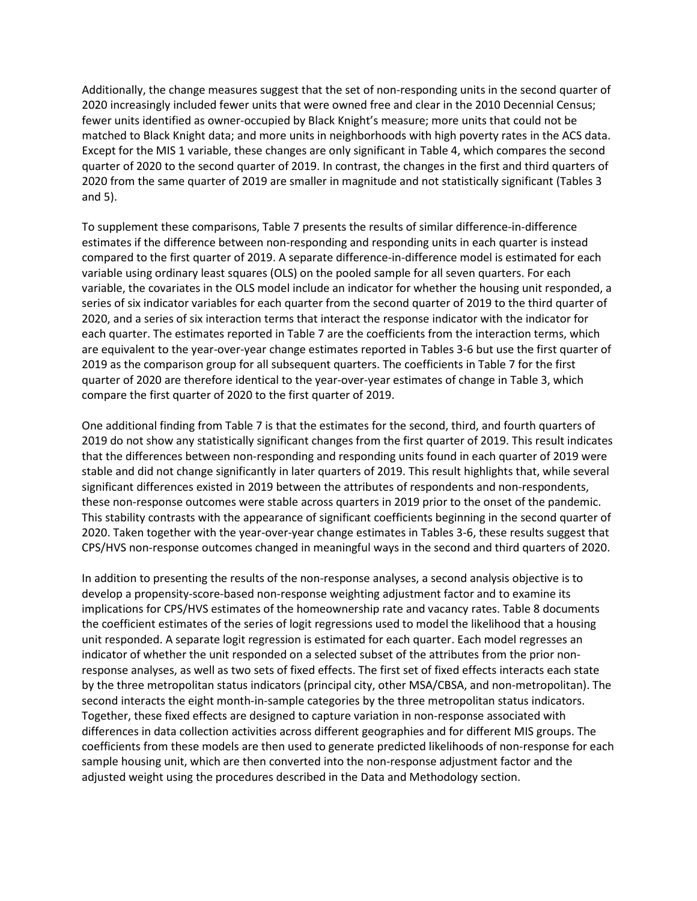Additionally, the change measures suggest that the set of non-responding units in the second quarter of 2020 increasingly included fewer units that were owned free and clear in the 2010 Decennial Census; fewer units identified as owner-occupied by Black Knight's measure; more units that could not be matched to Black Knight data; and more units in neighborhoods with high poverty rates in the ACS data. Except for the MIS 1 variable, these changes are only significant in Table 4, which compares the second quarter of 2020 to the second quarter of 2019. In contrast, the changes in the first and third quarters of 2020 from the same quarter of 2019 are smaller in magnitude and not statistically significant (Tables 3 and 5).

To supplement these comparisons, Table 7 presents the results of similar difference-in-difference estimates if the difference between non-responding and responding units in each quarter is instead compared to the first quarter of 2019. A separate difference-in-difference model is estimated for each variable using ordinary least squares (OLS) on the pooled sample for all seven quarters. For each variable, the covariates in the OLS model include an indicator for whether the housing unit responded, a series of six indicator variables for each quarter from the second quarter of 2019 to the third quarter of 2020, and a series of six interaction terms that interact the response indicator with the indicator for each quarter. The estimates reported in Table 7 are the coefficients from the interaction terms, which are equivalent to the year-over-year change estimates reported in Tables 3-6 but use the first quarter of 2019 as the comparison group for all subsequent quarters. The coefficients in Table 7 for the first quarter of 2020 are therefore identical to the year-over-year estimates of change in Table 3, which compare the first quarter of 2020 to the first quarter of 2019.

One additional finding from Table 7 is that the estimates for the second, third, and fourth quarters of 2019 do not show any statistically significant changes from the first quarter of 2019. This result indicates that the differences between non-responding and responding units found in each quarter of 2019 were stable and did not change significantly in later quarters of 2019. This result highlights that, while several significant differences existed in 2019 between the attributes of respondents and non-respondents, these non-response outcomes were stable across quarters in 2019 prior to the onset of the pandemic. This stability contrasts with the appearance of significant coefficients beginning in the second quarter of 2020. Taken together with the year-over-year change estimates in Tables 3-6, these results suggest that CPS/HVS non-response outcomes changed in meaningful ways in the second and third quarters of 2020.

In addition to presenting the results of the non-response analyses, a second analysis objective is to develop a propensity-score-based non-response weighting adjustment factor and to examine its implications for CPS/HVS estimates of the homeownership rate and vacancy rates. Table 8 documents the coefficient estimates of the series of logit regressions used to model the likelihood that a housing unit responded. A separate logit regression is estimated for each quarter. Each model regresses an indicator of whether the unit responded on a selected subset of the attributes from the prior nonresponse analyses, as well as two sets of fixed effects. The first set of fixed effects interacts each state by the three metropolitan status indicators (principal city, other MSA/CBSA, and non-metropolitan). The second interacts the eight month-in-sample categories by the three metropolitan status indicators. Together, these fixed effects are designed to capture variation in non-response associated with differences in data collection activities across different geographies and for different MIS groups. The coefficients from these models are then used to generate predicted likelihoods of non-response for each sample housing unit, which are then converted into the non-response adjustment factor and the adjusted weight using the procedures described in the Data and Methodology section.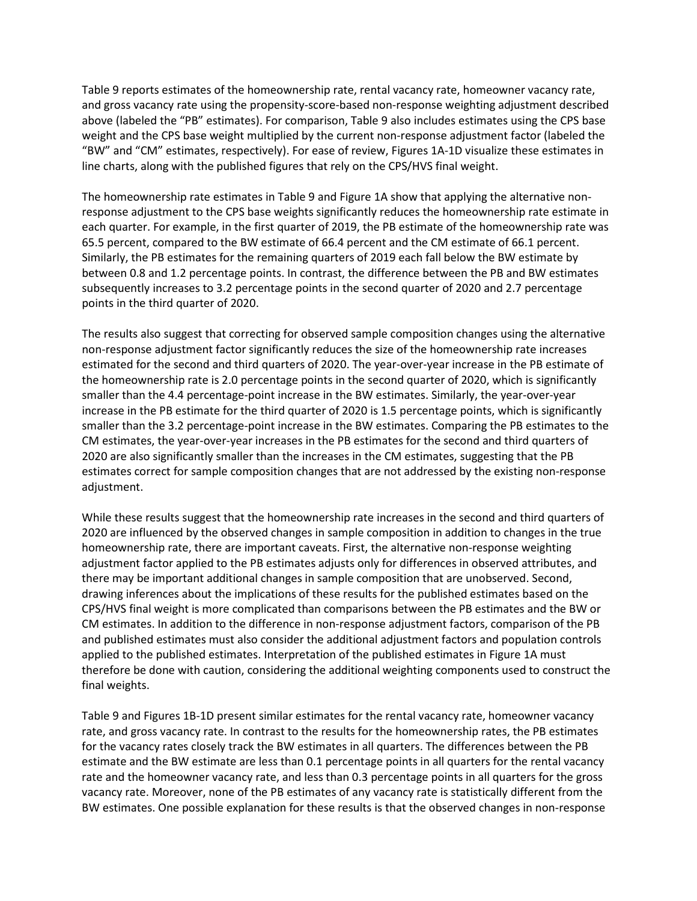Table 9 reports estimates of the homeownership rate, rental vacancy rate, homeowner vacancy rate, and gross vacancy rate using the propensity-score-based non-response weighting adjustment described above (labeled the "PB" estimates). For comparison, Table 9 also includes estimates using the CPS base weight and the CPS base weight multiplied by the current non-response adjustment factor (labeled the "BW" and "CM" estimates, respectively). For ease of review, Figures 1A-1D visualize these estimates in line charts, along with the published figures that rely on the CPS/HVS final weight.

The homeownership rate estimates in Table 9 and Figure 1A show that applying the alternative nonresponse adjustment to the CPS base weights significantly reduces the homeownership rate estimate in each quarter. For example, in the first quarter of 2019, the PB estimate of the homeownership rate was 65.5 percent, compared to the BW estimate of 66.4 percent and the CM estimate of 66.1 percent. Similarly, the PB estimates for the remaining quarters of 2019 each fall below the BW estimate by between 0.8 and 1.2 percentage points. In contrast, the difference between the PB and BW estimates subsequently increases to 3.2 percentage points in the second quarter of 2020 and 2.7 percentage points in the third quarter of 2020.

The results also suggest that correcting for observed sample composition changes using the alternative non-response adjustment factor significantly reduces the size of the homeownership rate increases estimated for the second and third quarters of 2020. The year-over-year increase in the PB estimate of the homeownership rate is 2.0 percentage points in the second quarter of 2020, which is significantly smaller than the 4.4 percentage-point increase in the BW estimates. Similarly, the year-over-year increase in the PB estimate for the third quarter of 2020 is 1.5 percentage points, which is significantly smaller than the 3.2 percentage-point increase in the BW estimates. Comparing the PB estimates to the CM estimates, the year-over-year increases in the PB estimates for the second and third quarters of 2020 are also significantly smaller than the increases in the CM estimates, suggesting that the PB estimates correct for sample composition changes that are not addressed by the existing non-response adjustment.

While these results suggest that the homeownership rate increases in the second and third quarters of 2020 are influenced by the observed changes in sample composition in addition to changes in the true homeownership rate, there are important caveats. First, the alternative non-response weighting adjustment factor applied to the PB estimates adjusts only for differences in observed attributes, and there may be important additional changes in sample composition that are unobserved. Second, drawing inferences about the implications of these results for the published estimates based on the CPS/HVS final weight is more complicated than comparisons between the PB estimates and the BW or CM estimates. In addition to the difference in non-response adjustment factors, comparison of the PB and published estimates must also consider the additional adjustment factors and population controls applied to the published estimates. Interpretation of the published estimates in Figure 1A must therefore be done with caution, considering the additional weighting components used to construct the final weights.

Table 9 and Figures 1B-1D present similar estimates for the rental vacancy rate, homeowner vacancy rate, and gross vacancy rate. In contrast to the results for the homeownership rates, the PB estimates for the vacancy rates closely track the BW estimates in all quarters. The differences between the PB estimate and the BW estimate are less than 0.1 percentage points in all quarters for the rental vacancy rate and the homeowner vacancy rate, and less than 0.3 percentage points in all quarters for the gross vacancy rate. Moreover, none of the PB estimates of any vacancy rate is statistically different from the BW estimates. One possible explanation for these results is that the observed changes in non-response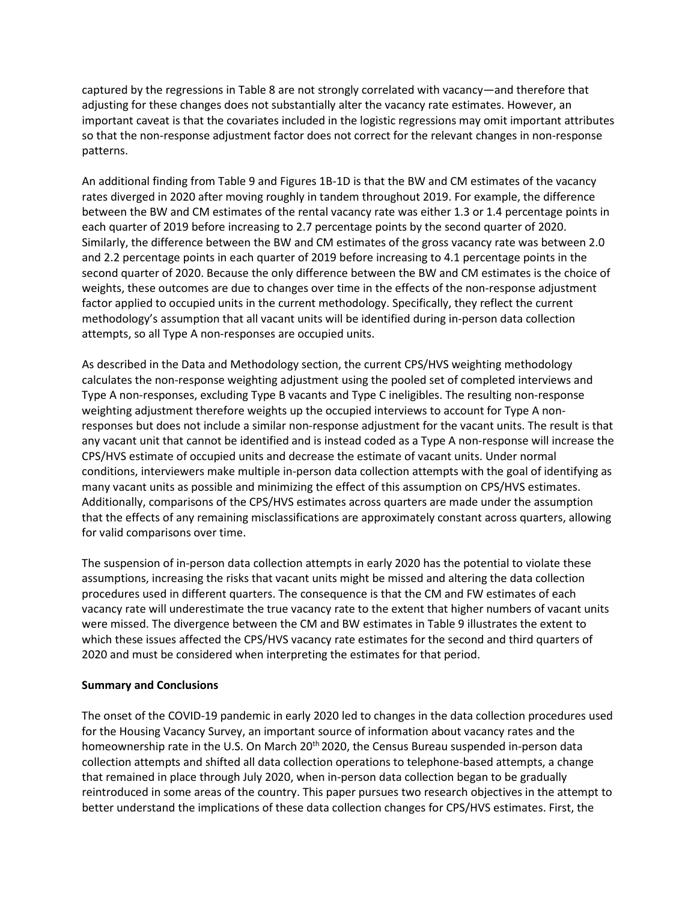captured by the regressions in Table 8 are not strongly correlated with vacancy—and therefore that adjusting for these changes does not substantially alter the vacancy rate estimates. However, an important caveat is that the covariates included in the logistic regressions may omit important attributes so that the non-response adjustment factor does not correct for the relevant changes in non-response patterns.

An additional finding from Table 9 and Figures 1B-1D is that the BW and CM estimates of the vacancy rates diverged in 2020 after moving roughly in tandem throughout 2019. For example, the difference between the BW and CM estimates of the rental vacancy rate was either 1.3 or 1.4 percentage points in each quarter of 2019 before increasing to 2.7 percentage points by the second quarter of 2020. Similarly, the difference between the BW and CM estimates of the gross vacancy rate was between 2.0 and 2.2 percentage points in each quarter of 2019 before increasing to 4.1 percentage points in the second quarter of 2020. Because the only difference between the BW and CM estimates is the choice of weights, these outcomes are due to changes over time in the effects of the non-response adjustment factor applied to occupied units in the current methodology. Specifically, they reflect the current methodology's assumption that all vacant units will be identified during in-person data collection attempts, so all Type A non-responses are occupied units.

As described in the Data and Methodology section, the current CPS/HVS weighting methodology calculates the non-response weighting adjustment using the pooled set of completed interviews and Type A non-responses, excluding Type B vacants and Type C ineligibles. The resulting non-response weighting adjustment therefore weights up the occupied interviews to account for Type A nonresponses but does not include a similar non-response adjustment for the vacant units. The result is that any vacant unit that cannot be identified and is instead coded as a Type A non-response will increase the CPS/HVS estimate of occupied units and decrease the estimate of vacant units. Under normal conditions, interviewers make multiple in-person data collection attempts with the goal of identifying as many vacant units as possible and minimizing the effect of this assumption on CPS/HVS estimates. Additionally, comparisons of the CPS/HVS estimates across quarters are made under the assumption that the effects of any remaining misclassifications are approximately constant across quarters, allowing for valid comparisons over time.

The suspension of in-person data collection attempts in early 2020 has the potential to violate these assumptions, increasing the risks that vacant units might be missed and altering the data collection procedures used in different quarters. The consequence is that the CM and FW estimates of each vacancy rate will underestimate the true vacancy rate to the extent that higher numbers of vacant units were missed. The divergence between the CM and BW estimates in Table 9 illustrates the extent to which these issues affected the CPS/HVS vacancy rate estimates for the second and third quarters of 2020 and must be considered when interpreting the estimates for that period.

# **Summary and Conclusions**

The onset of the COVID-19 pandemic in early 2020 led to changes in the data collection procedures used for the Housing Vacancy Survey, an important source of information about vacancy rates and the homeownership rate in the U.S. On March 20<sup>th</sup> 2020, the Census Bureau suspended in-person data collection attempts and shifted all data collection operations to telephone-based attempts, a change that remained in place through July 2020, when in-person data collection began to be gradually reintroduced in some areas of the country. This paper pursues two research objectives in the attempt to better understand the implications of these data collection changes for CPS/HVS estimates. First, the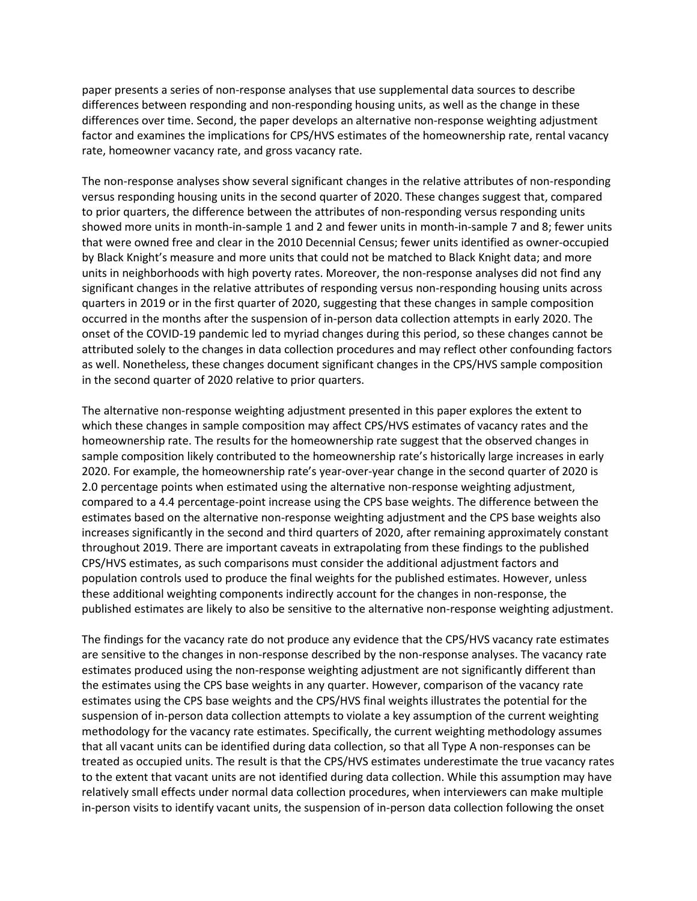paper presents a series of non-response analyses that use supplemental data sources to describe differences between responding and non-responding housing units, as well as the change in these differences over time. Second, the paper develops an alternative non-response weighting adjustment factor and examines the implications for CPS/HVS estimates of the homeownership rate, rental vacancy rate, homeowner vacancy rate, and gross vacancy rate.

The non-response analyses show several significant changes in the relative attributes of non-responding versus responding housing units in the second quarter of 2020. These changes suggest that, compared to prior quarters, the difference between the attributes of non-responding versus responding units showed more units in month-in-sample 1 and 2 and fewer units in month-in-sample 7 and 8; fewer units that were owned free and clear in the 2010 Decennial Census; fewer units identified as owner-occupied by Black Knight's measure and more units that could not be matched to Black Knight data; and more units in neighborhoods with high poverty rates. Moreover, the non-response analyses did not find any significant changes in the relative attributes of responding versus non-responding housing units across quarters in 2019 or in the first quarter of 2020, suggesting that these changes in sample composition occurred in the months after the suspension of in-person data collection attempts in early 2020. The onset of the COVID-19 pandemic led to myriad changes during this period, so these changes cannot be attributed solely to the changes in data collection procedures and may reflect other confounding factors as well. Nonetheless, these changes document significant changes in the CPS/HVS sample composition in the second quarter of 2020 relative to prior quarters.

The alternative non-response weighting adjustment presented in this paper explores the extent to which these changes in sample composition may affect CPS/HVS estimates of vacancy rates and the homeownership rate. The results for the homeownership rate suggest that the observed changes in sample composition likely contributed to the homeownership rate's historically large increases in early 2020. For example, the homeownership rate's year-over-year change in the second quarter of 2020 is 2.0 percentage points when estimated using the alternative non-response weighting adjustment, compared to a 4.4 percentage-point increase using the CPS base weights. The difference between the estimates based on the alternative non-response weighting adjustment and the CPS base weights also increases significantly in the second and third quarters of 2020, after remaining approximately constant throughout 2019. There are important caveats in extrapolating from these findings to the published CPS/HVS estimates, as such comparisons must consider the additional adjustment factors and population controls used to produce the final weights for the published estimates. However, unless these additional weighting components indirectly account for the changes in non-response, the published estimates are likely to also be sensitive to the alternative non-response weighting adjustment.

The findings for the vacancy rate do not produce any evidence that the CPS/HVS vacancy rate estimates are sensitive to the changes in non-response described by the non-response analyses. The vacancy rate estimates produced using the non-response weighting adjustment are not significantly different than the estimates using the CPS base weights in any quarter. However, comparison of the vacancy rate estimates using the CPS base weights and the CPS/HVS final weights illustrates the potential for the suspension of in-person data collection attempts to violate a key assumption of the current weighting methodology for the vacancy rate estimates. Specifically, the current weighting methodology assumes that all vacant units can be identified during data collection, so that all Type A non-responses can be treated as occupied units. The result is that the CPS/HVS estimates underestimate the true vacancy rates to the extent that vacant units are not identified during data collection. While this assumption may have relatively small effects under normal data collection procedures, when interviewers can make multiple in-person visits to identify vacant units, the suspension of in-person data collection following the onset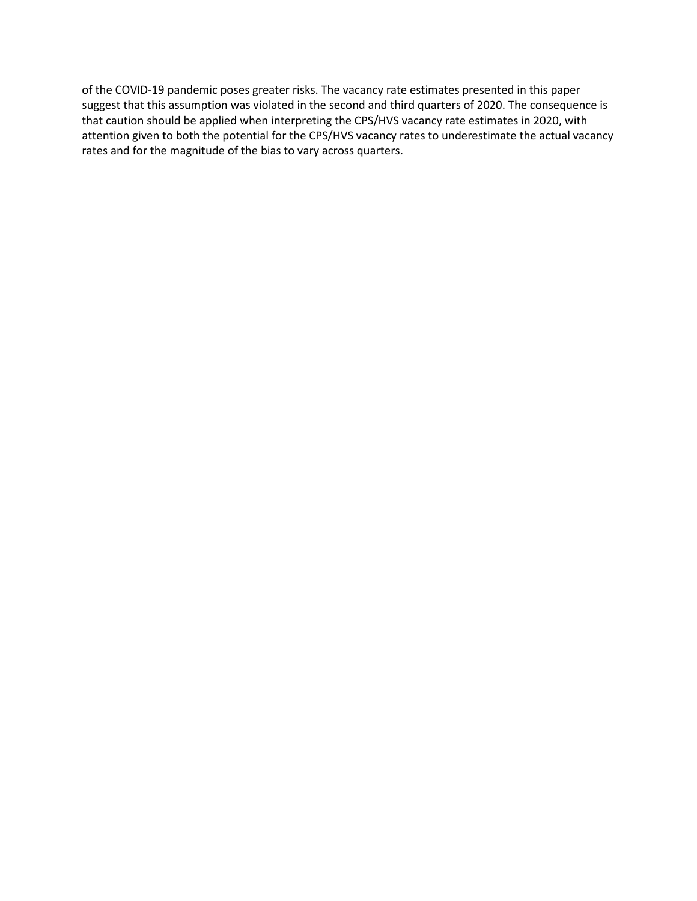of the COVID-19 pandemic poses greater risks. The vacancy rate estimates presented in this paper suggest that this assumption was violated in the second and third quarters of 2020. The consequence is that caution should be applied when interpreting the CPS/HVS vacancy rate estimates in 2020, with attention given to both the potential for the CPS/HVS vacancy rates to underestimate the actual vacancy rates and for the magnitude of the bias to vary across quarters.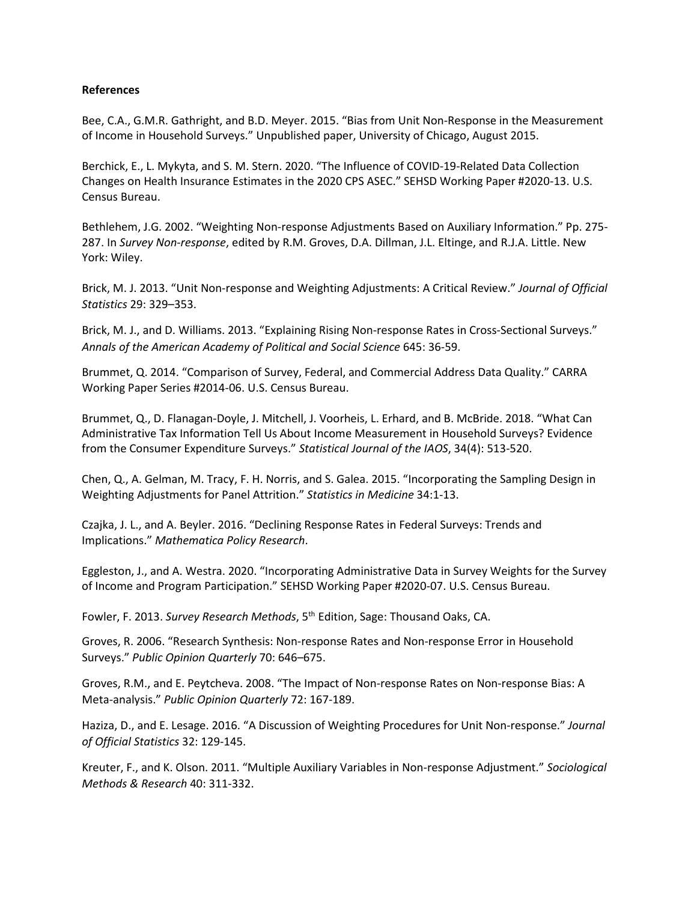## **References**

Bee, C.A., G.M.R. Gathright, and B.D. Meyer. 2015. "Bias from Unit Non-Response in the Measurement of Income in Household Surveys." Unpublished paper, University of Chicago, August 2015.

Berchick, E., L. Mykyta, and S. M. Stern. 2020. "The Influence of COVID-19-Related Data Collection Changes on Health Insurance Estimates in the 2020 CPS ASEC." SEHSD Working Paper #2020-13. U.S. Census Bureau.

Bethlehem, J.G. 2002. "Weighting Non-response Adjustments Based on Auxiliary Information." Pp. 275- 287. In *Survey Non-response*, edited by R.M. Groves, D.A. Dillman, J.L. Eltinge, and R.J.A. Little. New York: Wiley.

Brick, M. J. 2013. "Unit Non-response and Weighting Adjustments: A Critical Review." *Journal of Official Statistics* 29: 329–353.

Brick, M. J., and D. Williams. 2013. "Explaining Rising Non-response Rates in Cross-Sectional Surveys." *Annals of the American Academy of Political and Social Science* 645: 36-59.

Brummet, Q. 2014. "Comparison of Survey, Federal, and Commercial Address Data Quality." CARRA Working Paper Series #2014-06. U.S. Census Bureau.

Brummet, Q., D. Flanagan-Doyle, J. Mitchell, J. Voorheis, L. Erhard, and B. McBride. 2018. "What Can Administrative Tax Information Tell Us About Income Measurement in Household Surveys? Evidence from the Consumer Expenditure Surveys." *Statistical Journal of the IAOS*, 34(4): 513-520.

Chen, Q., A. Gelman, M. Tracy, F. H. Norris, and S. Galea. 2015. "Incorporating the Sampling Design in Weighting Adjustments for Panel Attrition." *Statistics in Medicine* 34:1-13.

Czajka, J. L., and A. Beyler. 2016. "Declining Response Rates in Federal Surveys: Trends and Implications." *Mathematica Policy Research*.

Eggleston, J., and A. Westra. 2020. "Incorporating Administrative Data in Survey Weights for the Survey of Income and Program Participation." SEHSD Working Paper #2020-07. U.S. Census Bureau.

Fowler, F. 2013. *Survey Research Methods*, 5<sup>th</sup> Edition, Sage: Thousand Oaks, CA.

Groves, R. 2006. "Research Synthesis: Non-response Rates and Non-response Error in Household Surveys." *Public Opinion Quarterly* 70: 646–675.

Groves, R.M., and E. Peytcheva. 2008. "The Impact of Non-response Rates on Non-response Bias: A Meta-analysis." *Public Opinion Quarterly* 72: 167-189.

Haziza, D., and E. Lesage. 2016. "A Discussion of Weighting Procedures for Unit Non-response." *Journal of Official Statistics* 32: 129-145.

Kreuter, F., and K. Olson. 2011. "Multiple Auxiliary Variables in Non-response Adjustment." *Sociological Methods & Research* 40: 311-332.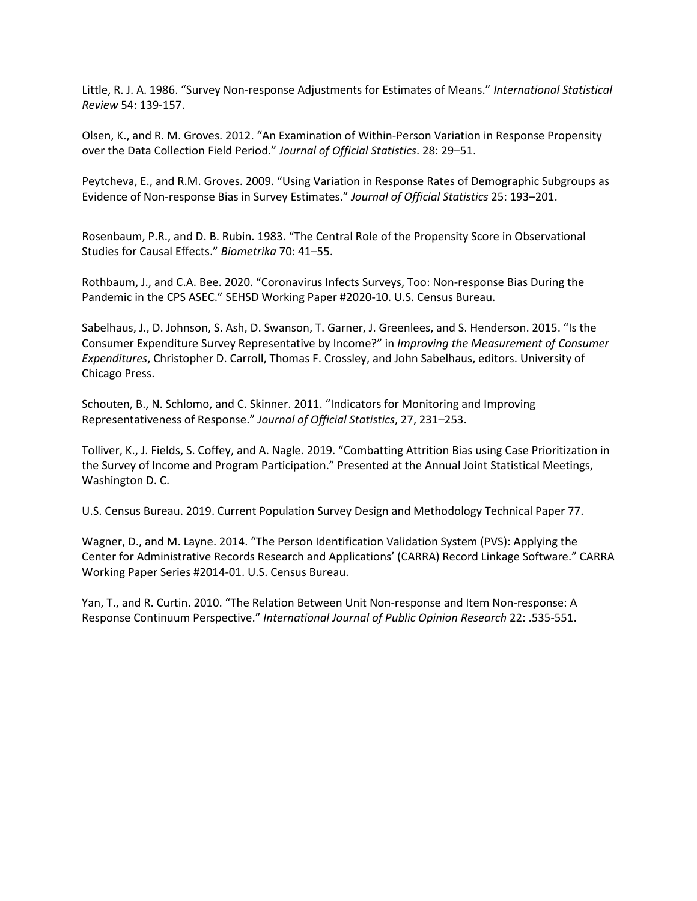Little, R. J. A. 1986. "Survey Non-response Adjustments for Estimates of Means." *International Statistical Review* 54: 139-157.

Olsen, K., and R. M. Groves. 2012. "An Examination of Within-Person Variation in Response Propensity over the Data Collection Field Period." *Journal of Official Statistics*. 28: 29–51.

Peytcheva, E., and R.M. Groves. 2009. "Using Variation in Response Rates of Demographic Subgroups as Evidence of Non-response Bias in Survey Estimates." *Journal of Official Statistics* 25: 193–201.

Rosenbaum, P.R., and D. B. Rubin. 1983. "The Central Role of the Propensity Score in Observational Studies for Causal Effects." *Biometrika* 70: 41–55.

Rothbaum, J., and C.A. Bee. 2020. "Coronavirus Infects Surveys, Too: Non-response Bias During the Pandemic in the CPS ASEC." SEHSD Working Paper #2020-10. U.S. Census Bureau.

Sabelhaus, J., D. Johnson, S. Ash, D. Swanson, T. Garner, J. Greenlees, and S. Henderson. 2015. "Is the Consumer Expenditure Survey Representative by Income?" in *Improving the Measurement of Consumer Expenditures*, Christopher D. Carroll, Thomas F. Crossley, and John Sabelhaus, editors. University of Chicago Press.

Schouten, B., N. Schlomo, and C. Skinner. 2011. "Indicators for Monitoring and Improving Representativeness of Response." *Journal of Official Statistics*, 27, 231–253.

Tolliver, K., J. Fields, S. Coffey, and A. Nagle. 2019. "Combatting Attrition Bias using Case Prioritization in the Survey of Income and Program Participation." Presented at the Annual Joint Statistical Meetings, Washington D. C.

U.S. Census Bureau. 2019. Current Population Survey Design and Methodology Technical Paper 77.

Wagner, D., and M. Layne. 2014. "The Person Identification Validation System (PVS): Applying the Center for Administrative Records Research and Applications' (CARRA) Record Linkage Software." CARRA Working Paper Series #2014-01. U.S. Census Bureau.

Yan, T., and R. Curtin. 2010. "The Relation Between Unit Non-response and Item Non-response: A Response Continuum Perspective." *International Journal of Public Opinion Research* 22: .535-551.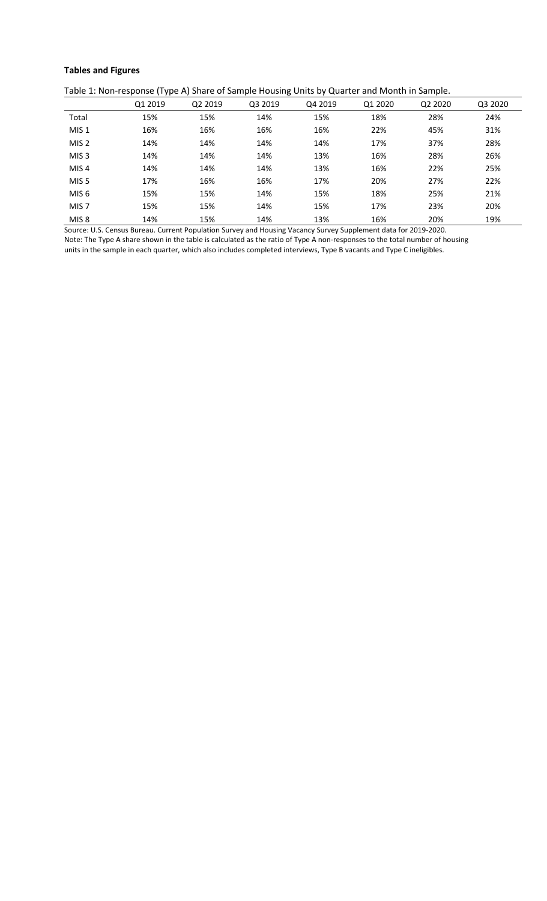# **Tables and Figures**

| Table 1: Non-response (Type A) Share of Sample Housing Units by Quarter and Month in Sample. |  |  |
|----------------------------------------------------------------------------------------------|--|--|
|----------------------------------------------------------------------------------------------|--|--|

|                  | Q1 2019 | Q2 2019 | Q3 2019 | Q4 2019 | Q1 2020 | Q2 2020 | Q3 2020 |
|------------------|---------|---------|---------|---------|---------|---------|---------|
| Total            | 15%     | 15%     | 14%     | 15%     | 18%     | 28%     | 24%     |
| MIS <sub>1</sub> | 16%     | 16%     | 16%     | 16%     | 22%     | 45%     | 31%     |
| MIS <sub>2</sub> | 14%     | 14%     | 14%     | 14%     | 17%     | 37%     | 28%     |
| MIS <sub>3</sub> | 14%     | 14%     | 14%     | 13%     | 16%     | 28%     | 26%     |
| MIS <sub>4</sub> | 14%     | 14%     | 14%     | 13%     | 16%     | 22%     | 25%     |
| MIS <sub>5</sub> | 17%     | 16%     | 16%     | 17%     | 20%     | 27%     | 22%     |
| MIS <sub>6</sub> | 15%     | 15%     | 14%     | 15%     | 18%     | 25%     | 21%     |
| MIS <sub>7</sub> | 15%     | 15%     | 14%     | 15%     | 17%     | 23%     | 20%     |
| MIS <sub>8</sub> | 14%     | 15%     | 14%     | 13%     | 16%     | 20%     | 19%     |

Source: U.S. Census Bureau. Current Population Survey and Housing Vacancy Survey Supplement data for 2019-2020. Note: The Type A share shown in the table is calculated as the ratio of Type A non-responses to the total number of housing units in the sample in each quarter, which also includes completed interviews, Type B vacants and Type C ineligibles.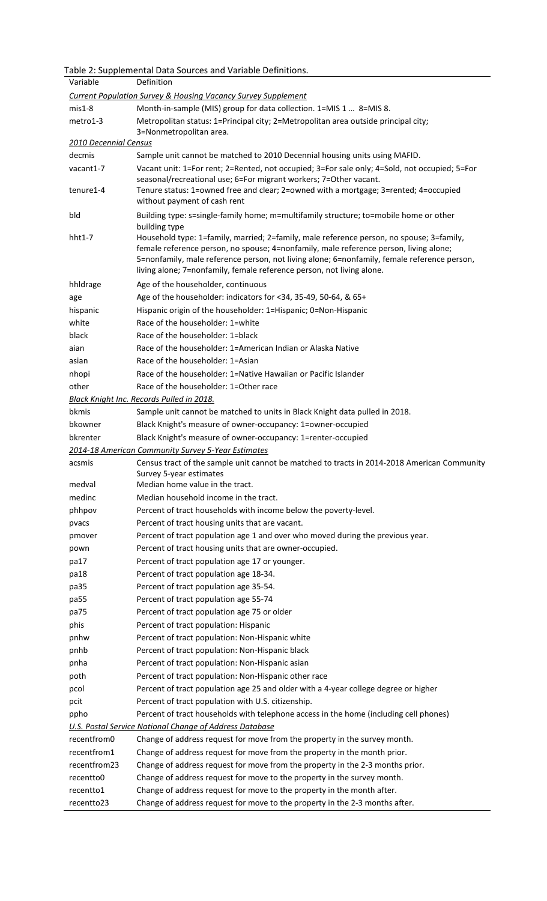| Variable               | Table 2: Supplemental Data Sources and Variable Definitions.<br>Definition                                                                                                                                                                                                                                                                                |
|------------------------|-----------------------------------------------------------------------------------------------------------------------------------------------------------------------------------------------------------------------------------------------------------------------------------------------------------------------------------------------------------|
|                        |                                                                                                                                                                                                                                                                                                                                                           |
|                        | <b>Current Population Survey &amp; Housing Vacancy Survey Supplement</b>                                                                                                                                                                                                                                                                                  |
| $mis1-8$               | Month-in-sample (MIS) group for data collection. 1=MIS 1  8=MIS 8.                                                                                                                                                                                                                                                                                        |
| metro1-3               | Metropolitan status: 1=Principal city; 2=Metropolitan area outside principal city;<br>3=Nonmetropolitan area.                                                                                                                                                                                                                                             |
| 2010 Decennial Census  |                                                                                                                                                                                                                                                                                                                                                           |
| decmis                 | Sample unit cannot be matched to 2010 Decennial housing units using MAFID.                                                                                                                                                                                                                                                                                |
| vacant1-7<br>tenure1-4 | Vacant unit: 1=For rent; 2=Rented, not occupied; 3=For sale only; 4=Sold, not occupied; 5=For<br>seasonal/recreational use; 6=For migrant workers; 7=Other vacant.<br>Tenure status: 1=owned free and clear; 2=owned with a mortgage; 3=rented; 4=occupied                                                                                                |
|                        | without payment of cash rent                                                                                                                                                                                                                                                                                                                              |
| bld                    | Building type: s=single-family home; m=multifamily structure; to=mobile home or other<br>building type                                                                                                                                                                                                                                                    |
| $hht1-7$               | Household type: 1=family, married; 2=family, male reference person, no spouse; 3=family,<br>female reference person, no spouse; 4=nonfamily, male reference person, living alone;<br>5=nonfamily, male reference person, not living alone; 6=nonfamily, female reference person,<br>living alone; 7=nonfamily, female reference person, not living alone. |
| hhldrage               | Age of the householder, continuous                                                                                                                                                                                                                                                                                                                        |
| age                    | Age of the householder: indicators for <34, 35-49, 50-64, & 65+                                                                                                                                                                                                                                                                                           |
| hispanic               | Hispanic origin of the householder: 1=Hispanic; 0=Non-Hispanic                                                                                                                                                                                                                                                                                            |
| white                  | Race of the householder: 1=white                                                                                                                                                                                                                                                                                                                          |
| black                  | Race of the householder: 1=black                                                                                                                                                                                                                                                                                                                          |
|                        |                                                                                                                                                                                                                                                                                                                                                           |
| aian                   | Race of the householder: 1=American Indian or Alaska Native                                                                                                                                                                                                                                                                                               |
| asian                  | Race of the householder: 1=Asian                                                                                                                                                                                                                                                                                                                          |
| nhopi                  | Race of the householder: 1=Native Hawaiian or Pacific Islander                                                                                                                                                                                                                                                                                            |
| other                  | Race of the householder: 1=Other race                                                                                                                                                                                                                                                                                                                     |
|                        | Black Knight Inc. Records Pulled in 2018.                                                                                                                                                                                                                                                                                                                 |
| bkmis                  | Sample unit cannot be matched to units in Black Knight data pulled in 2018.                                                                                                                                                                                                                                                                               |
| bkowner                | Black Knight's measure of owner-occupancy: 1=owner-occupied                                                                                                                                                                                                                                                                                               |
| bkrenter               | Black Knight's measure of owner-occupancy: 1=renter-occupied                                                                                                                                                                                                                                                                                              |
|                        | 2014-18 American Community Survey 5-Year Estimates                                                                                                                                                                                                                                                                                                        |
| acsmis                 | Census tract of the sample unit cannot be matched to tracts in 2014-2018 American Community<br>Survey 5-year estimates                                                                                                                                                                                                                                    |
| medval                 | Median home value in the tract.                                                                                                                                                                                                                                                                                                                           |
| medinc                 | Median household income in the tract.                                                                                                                                                                                                                                                                                                                     |
| phhpov                 | Percent of tract households with income below the poverty-level.                                                                                                                                                                                                                                                                                          |
| pvacs                  | Percent of tract housing units that are vacant.                                                                                                                                                                                                                                                                                                           |
| pmover                 |                                                                                                                                                                                                                                                                                                                                                           |
|                        | Percent of tract population age 1 and over who moved during the previous year.                                                                                                                                                                                                                                                                            |
| pown                   | Percent of tract housing units that are owner-occupied.                                                                                                                                                                                                                                                                                                   |
| pa17                   | Percent of tract population age 17 or younger.                                                                                                                                                                                                                                                                                                            |
|                        |                                                                                                                                                                                                                                                                                                                                                           |
| pa18                   | Percent of tract population age 18-34.                                                                                                                                                                                                                                                                                                                    |
| pa35                   | Percent of tract population age 35-54.                                                                                                                                                                                                                                                                                                                    |
| pa55                   | Percent of tract population age 55-74                                                                                                                                                                                                                                                                                                                     |
| pa75                   | Percent of tract population age 75 or older                                                                                                                                                                                                                                                                                                               |
| phis                   | Percent of tract population: Hispanic                                                                                                                                                                                                                                                                                                                     |
| pnhw                   | Percent of tract population: Non-Hispanic white                                                                                                                                                                                                                                                                                                           |
| pnhb                   | Percent of tract population: Non-Hispanic black                                                                                                                                                                                                                                                                                                           |
| pnha                   | Percent of tract population: Non-Hispanic asian                                                                                                                                                                                                                                                                                                           |
| poth                   | Percent of tract population: Non-Hispanic other race                                                                                                                                                                                                                                                                                                      |
| pcol                   | Percent of tract population age 25 and older with a 4-year college degree or higher                                                                                                                                                                                                                                                                       |
| pcit                   | Percent of tract population with U.S. citizenship.                                                                                                                                                                                                                                                                                                        |
| ppho                   | Percent of tract households with telephone access in the home (including cell phones)                                                                                                                                                                                                                                                                     |
|                        | <b>U.S. Postal Service National Change of Address Database</b>                                                                                                                                                                                                                                                                                            |
| recentfrom0            | Change of address request for move from the property in the survey month.                                                                                                                                                                                                                                                                                 |
| recentfrom1            | Change of address request for move from the property in the month prior.                                                                                                                                                                                                                                                                                  |
| recentfrom23           | Change of address request for move from the property in the 2-3 months prior.                                                                                                                                                                                                                                                                             |
| recentto0              | Change of address request for move to the property in the survey month.                                                                                                                                                                                                                                                                                   |
| recentto1              | Change of address request for move to the property in the month after.                                                                                                                                                                                                                                                                                    |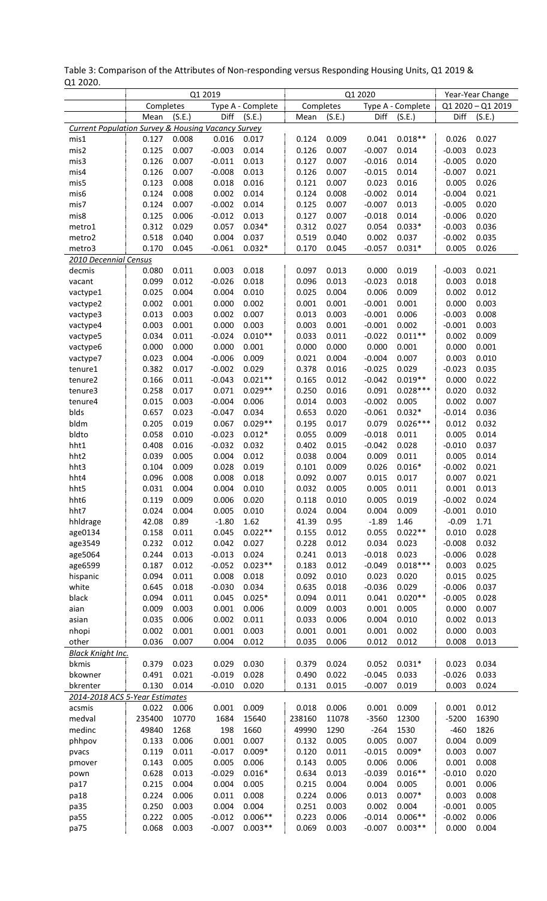| 21 2020.                                           |           |        | Q1 2019  |                   |        |           | Q1 2020  |                   |          |                   |
|----------------------------------------------------|-----------|--------|----------|-------------------|--------|-----------|----------|-------------------|----------|-------------------|
|                                                    |           |        |          |                   |        |           |          |                   |          | Year-Year Change  |
|                                                    | Completes |        |          | Type A - Complete |        | Completes |          | Type A - Complete |          | Q1 2020 - Q1 2019 |
|                                                    | Mean      | (S.E.) | Diff     | (S.E.)            | Mean   | (S.E.)    | Diff     | (S.E.)            | Diff     | (S.E.)            |
| Current Population Survey & Housing Vacancy Survey |           |        |          |                   |        |           |          |                   |          |                   |
| mis1                                               | 0.127     | 0.008  | 0.016    | 0.017             | 0.124  | 0.009     | 0.041    | $0.018**$         | 0.026    | 0.027             |
| mis2                                               | 0.125     | 0.007  | $-0.003$ | 0.014             | 0.126  | 0.007     | $-0.007$ | 0.014             | $-0.003$ | 0.023             |
| mis3                                               | 0.126     | 0.007  | $-0.011$ | 0.013             | 0.127  | 0.007     | $-0.016$ | 0.014             | $-0.005$ | 0.020             |
| mis4                                               | 0.126     | 0.007  | $-0.008$ | 0.013             | 0.126  | 0.007     | $-0.015$ | 0.014             | $-0.007$ | 0.021             |
| mis5                                               | 0.123     | 0.008  | 0.018    | 0.016             | 0.121  | 0.007     | 0.023    | 0.016             | 0.005    | 0.026             |
| mis6                                               | 0.124     | 0.008  | 0.002    | 0.014             | 0.124  | 0.008     | $-0.002$ | 0.014             | $-0.004$ | 0.021             |
| mis7                                               | 0.124     | 0.007  | $-0.002$ | 0.014             | 0.125  | 0.007     | $-0.007$ | 0.013             | $-0.005$ | 0.020             |
| mis8                                               | 0.125     | 0.006  | $-0.012$ | 0.013             | 0.127  | 0.007     | $-0.018$ | 0.014             | $-0.006$ | 0.020             |
| metro1                                             | 0.312     | 0.029  | 0.057    | $0.034*$          | 0.312  | 0.027     | 0.054    | $0.033*$          | $-0.003$ | 0.036             |
| metro2                                             | 0.518     | 0.040  | 0.004    | 0.037             | 0.519  | 0.040     | 0.002    | 0.037             | $-0.002$ | 0.035             |
| metro3                                             | 0.170     | 0.045  | $-0.061$ | $0.032*$          | 0.170  | 0.045     | $-0.057$ | $0.031*$          | 0.005    | 0.026             |
| 2010 Decennial Census                              |           |        |          |                   |        |           |          |                   |          |                   |
| decmis                                             | 0.080     | 0.011  | 0.003    | 0.018             | 0.097  | 0.013     | 0.000    | 0.019             | $-0.003$ | 0.021             |
| vacant                                             | 0.099     | 0.012  | $-0.026$ | 0.018             | 0.096  | 0.013     | $-0.023$ | 0.018             | 0.003    | 0.018             |
|                                                    | 0.025     | 0.004  | 0.004    | 0.010             | 0.025  | 0.004     | 0.006    | 0.009             | 0.002    | 0.012             |
| vactype1                                           | 0.002     | 0.001  | 0.000    | 0.002             | 0.001  | 0.001     | $-0.001$ | 0.001             | 0.000    | 0.003             |
| vactype2                                           |           |        |          |                   |        |           |          |                   |          |                   |
| vactype3                                           | 0.013     | 0.003  | 0.002    | 0.007             | 0.013  | 0.003     | $-0.001$ | 0.006             | $-0.003$ | 0.008             |
| vactype4                                           | 0.003     | 0.001  | 0.000    | 0.003             | 0.003  | 0.001     | $-0.001$ | 0.002             | $-0.001$ | 0.003             |
| vactype5                                           | 0.034     | 0.011  | $-0.024$ | $0.010**$         | 0.033  | 0.011     | $-0.022$ | $0.011**$         | 0.002    | 0.009             |
| vactype6                                           | 0.000     | 0.000  | 0.000    | 0.001             | 0.000  | 0.000     | 0.000    | 0.001             | 0.000    | 0.001             |
| vactype7                                           | 0.023     | 0.004  | $-0.006$ | 0.009             | 0.021  | 0.004     | $-0.004$ | 0.007             | 0.003    | 0.010             |
| tenure1                                            | 0.382     | 0.017  | $-0.002$ | 0.029             | 0.378  | 0.016     | $-0.025$ | 0.029             | $-0.023$ | 0.035             |
| tenure2                                            | 0.166     | 0.011  | $-0.043$ | $0.021**$         | 0.165  | 0.012     | $-0.042$ | $0.019**$         | 0.000    | 0.022             |
| tenure3                                            | 0.258     | 0.017  | 0.071    | $0.029**$         | 0.250  | 0.016     | 0.091    | $0.028***$        | 0.020    | 0.032             |
| tenure4                                            | 0.015     | 0.003  | $-0.004$ | 0.006             | 0.014  | 0.003     | $-0.002$ | 0.005             | 0.002    | 0.007             |
| blds                                               | 0.657     | 0.023  | $-0.047$ | 0.034             | 0.653  | 0.020     | $-0.061$ | $0.032*$          | $-0.014$ | 0.036             |
| bldm                                               | 0.205     | 0.019  | 0.067    | $0.029**$         | 0.195  | 0.017     | 0.079    | $0.026***$        | 0.012    | 0.032             |
| bldto                                              | 0.058     | 0.010  | $-0.023$ | $0.012*$          | 0.055  | 0.009     | $-0.018$ | 0.011             | 0.005    | 0.014             |
| hht1                                               | 0.408     | 0.016  | $-0.032$ | 0.032             | 0.402  | 0.015     | $-0.042$ | 0.028             | $-0.010$ | 0.037             |
| hht2                                               | 0.039     | 0.005  | 0.004    | 0.012             | 0.038  | 0.004     | 0.009    | 0.011             | 0.005    | 0.014             |
| hht3                                               | 0.104     | 0.009  | 0.028    | 0.019             | 0.101  | 0.009     | 0.026    | $0.016*$          | $-0.002$ | 0.021             |
| hht4                                               | 0.096     | 0.008  | 0.008    | 0.018             | 0.092  | 0.007     | 0.015    | 0.017             | 0.007    | 0.021             |
| hht5                                               | 0.031     | 0.004  | 0.004    | 0.010             | 0.032  | 0.005     | 0.005    | 0.011             | 0.001    | 0.013             |
|                                                    |           |        |          |                   | 0.118  |           |          |                   |          |                   |
| hht6                                               | 0.119     | 0.009  | 0.006    | 0.020             |        | 0.010     | 0.005    | 0.019             | $-0.002$ | 0.024             |
| hht7                                               | 0.024     | 0.004  | 0.005    | 0.010             | 0.024  | 0.004     | 0.004    | 0.009             | $-0.001$ | 0.010             |
| hhldrage                                           | 42.08     | 0.89   | $-1.80$  | 1.62              | 41.39  | 0.95      | $-1.89$  | 1.46              | $-0.09$  | 1.71              |
| age0134                                            | 0.158     | 0.011  | 0.045    | $0.022**$         | 0.155  | 0.012     | 0.055    | $0.022**$         | 0.010    | 0.028             |
| age3549                                            | 0.232     | 0.012  | 0.042    | 0.027             | 0.228  | 0.012     | 0.034    | 0.023             | $-0.008$ | 0.032             |
| age5064                                            | 0.244     | 0.013  | $-0.013$ | 0.024             | 0.241  | 0.013     | $-0.018$ | 0.023             | $-0.006$ | 0.028             |
| age6599                                            | 0.187     | 0.012  | $-0.052$ | $0.023**$         | 0.183  | 0.012     | $-0.049$ | $0.018***$        | 0.003    | 0.025             |
| hispanic                                           | 0.094     | 0.011  | 0.008    | 0.018             | 0.092  | 0.010     | 0.023    | 0.020             | 0.015    | 0.025             |
| white                                              | 0.645     | 0.018  | $-0.030$ | 0.034             | 0.635  | 0.018     | $-0.036$ | 0.029             | $-0.006$ | 0.037             |
| black                                              | 0.094     | 0.011  | 0.045    | $0.025*$          | 0.094  | 0.011     | 0.041    | $0.020**$         | $-0.005$ | 0.028             |
| aian                                               | 0.009     | 0.003  | 0.001    | 0.006             | 0.009  | 0.003     | 0.001    | 0.005             | 0.000    | 0.007             |
| asian                                              | 0.035     | 0.006  | 0.002    | 0.011             | 0.033  | 0.006     | 0.004    | 0.010             | 0.002    | 0.013             |
| nhopi                                              | 0.002     | 0.001  | 0.001    | 0.003             | 0.001  | 0.001     | 0.001    | 0.002             | 0.000    | 0.003             |
| other                                              | 0.036     | 0.007  | 0.004    | 0.012             | 0.035  | 0.006     | 0.012    | 0.012             | 0.008    | 0.013             |
| <b>Black Knight Inc.</b>                           |           |        |          |                   |        |           |          |                   |          |                   |
| bkmis                                              | 0.379     | 0.023  | 0.029    | 0.030             | 0.379  | 0.024     | 0.052    | $0.031*$          | 0.023    | 0.034             |
|                                                    | 0.491     | 0.021  | $-0.019$ | 0.028             | 0.490  | 0.022     | $-0.045$ | 0.033             | $-0.026$ | 0.033             |
| bkowner                                            |           |        |          |                   |        |           |          |                   |          |                   |
| bkrenter                                           | 0.130     | 0.014  | $-0.010$ | 0.020             | 0.131  | 0.015     | $-0.007$ | 0.019             | 0.003    | 0.024             |
| 2014-2018 ACS 5-Year Estimates                     |           |        |          |                   |        |           |          |                   |          |                   |
| acsmis                                             | 0.022     | 0.006  | 0.001    | 0.009             | 0.018  | 0.006     | 0.001    | 0.009             | 0.001    | 0.012             |
| medval                                             | 235400    | 10770  | 1684     | 15640             | 238160 | 11078     | $-3560$  | 12300             | $-5200$  | 16390             |
| medinc                                             | 49840     | 1268   | 198      | 1660              | 49990  | 1290      | $-264$   | 1530              | $-460$   | 1826              |
| phhpov                                             | 0.133     | 0.006  | 0.001    | 0.007             | 0.132  | 0.005     | 0.005    | 0.007             | 0.004    | 0.009             |
| pvacs                                              | 0.119     | 0.011  | $-0.017$ | $0.009*$          | 0.120  | 0.011     | $-0.015$ | $0.009*$          | 0.003    | 0.007             |
| pmover                                             | 0.143     | 0.005  | 0.005    | 0.006             | 0.143  | 0.005     | 0.006    | 0.006             | 0.001    | 0.008             |
| pown                                               | 0.628     | 0.013  | $-0.029$ | $0.016*$          | 0.634  | 0.013     | $-0.039$ | $0.016**$         | $-0.010$ | 0.020             |
| pa17                                               | 0.215     | 0.004  | 0.004    | 0.005             | 0.215  | 0.004     | 0.004    | 0.005             | 0.001    | 0.006             |
| pa18                                               | 0.224     | 0.006  | 0.011    | 0.008             | 0.224  | 0.006     | 0.013    | $0.007*$          | 0.003    | 0.008             |
| pa35                                               | 0.250     | 0.003  | 0.004    | 0.004             | 0.251  | 0.003     | 0.002    | 0.004             | $-0.001$ | 0.005             |
| pa55                                               | 0.222     | 0.005  | $-0.012$ | $0.006**$         | 0.223  | 0.006     | $-0.014$ | $0.006**$         | $-0.002$ | 0.006             |
| pa75                                               | 0.068     | 0.003  | $-0.007$ | $0.003**$         | 0.069  | 0.003     | $-0.007$ | $0.003**$         | 0.000    | 0.004             |
|                                                    |           |        |          |                   |        |           |          |                   |          |                   |

Table 3: Comparison of the Attributes of Non-responding versus Responding Housing Units, Q1 2019 & Q1 2020.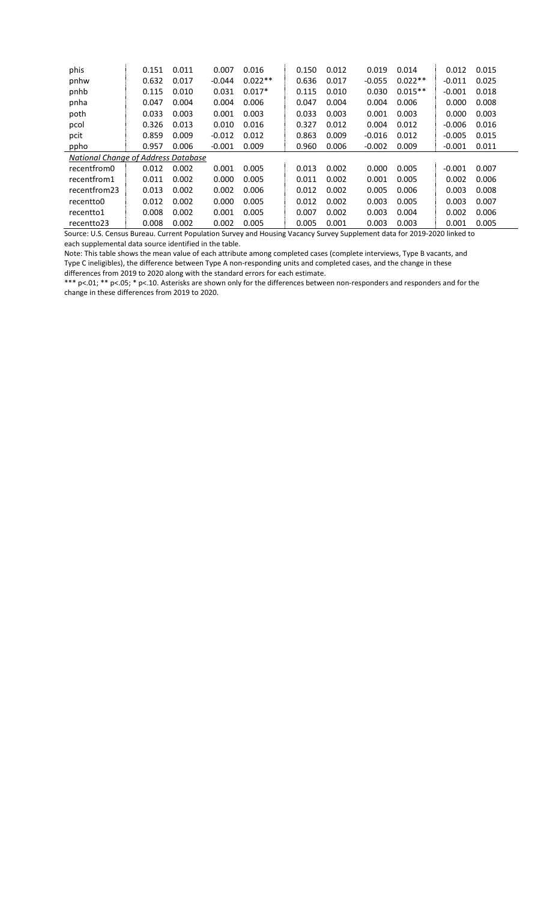| phis                                       | 0.151 | 0.011 | 0.007    | 0.016     | 0.150 | 0.012 | 0.019    | 0.014     | 0.012    | 0.015 |
|--------------------------------------------|-------|-------|----------|-----------|-------|-------|----------|-----------|----------|-------|
| pnhw                                       | 0.632 | 0.017 | $-0.044$ | $0.022**$ | 0.636 | 0.017 | $-0.055$ | $0.022**$ | $-0.011$ | 0.025 |
| pnhb                                       | 0.115 | 0.010 | 0.031    | $0.017*$  | 0.115 | 0.010 | 0.030    | $0.015**$ | $-0.001$ | 0.018 |
| pnha                                       | 0.047 | 0.004 | 0.004    | 0.006     | 0.047 | 0.004 | 0.004    | 0.006     | 0.000    | 0.008 |
| poth                                       | 0.033 | 0.003 | 0.001    | 0.003     | 0.033 | 0.003 | 0.001    | 0.003     | 0.000    | 0.003 |
| pcol                                       | 0.326 | 0.013 | 0.010    | 0.016     | 0.327 | 0.012 | 0.004    | 0.012     | $-0.006$ | 0.016 |
| pcit                                       | 0.859 | 0.009 | $-0.012$ | 0.012     | 0.863 | 0.009 | $-0.016$ | 0.012     | $-0.005$ | 0.015 |
| ppho                                       | 0.957 | 0.006 | $-0.001$ | 0.009     | 0.960 | 0.006 | $-0.002$ | 0.009     | $-0.001$ | 0.011 |
| <b>National Change of Address Database</b> |       |       |          |           |       |       |          |           |          |       |
| recentfrom0                                | 0.012 | 0.002 | 0.001    | 0.005     | 0.013 | 0.002 | 0.000    | 0.005     | $-0.001$ | 0.007 |
| recentfrom1                                | 0.011 | 0.002 | 0.000    | 0.005     | 0.011 | 0.002 | 0.001    | 0.005     | 0.002    | 0.006 |
| recentfrom23                               | 0.013 | 0.002 | 0.002    | 0.006     | 0.012 | 0.002 | 0.005    | 0.006     | 0.003    | 0.008 |
| recentto0                                  | 0.012 | 0.002 | 0.000    | 0.005     | 0.012 | 0.002 | 0.003    | 0.005     | 0.003    | 0.007 |
| recentto1                                  | 0.008 | 0.002 | 0.001    | 0.005     | 0.007 | 0.002 | 0.003    | 0.004     | 0.002    | 0.006 |
| recentto23                                 | 0.008 | 0.002 | 0.002    | 0.005     | 0.005 | 0.001 | 0.003    | 0.003     | 0.001    | 0.005 |

Note: This table shows the mean value of each attribute among completed cases (complete interviews, Type B vacants, and Type C ineligibles), the difference between Type A non-responding units and completed cases, and the change in these differences from 2019 to 2020 along with the standard errors for each estimate.

\*\*\* p<.01; \*\* p<.05; \* p<.10. Asterisks are shown only for the differences between non-responders and responders and for the change in these differences from 2019 to 2020.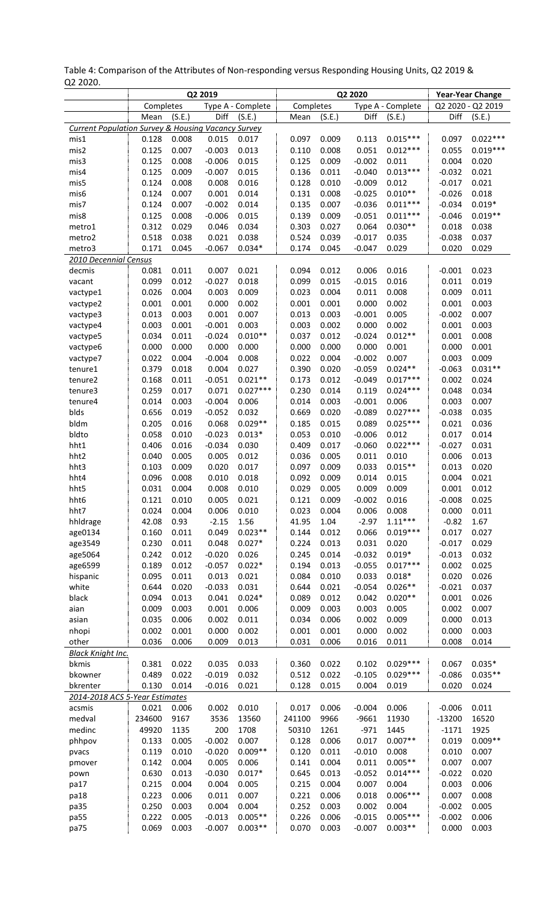|                                                               |                |                | Q2 2019              |                    |                |                | Q2 2020              |                     |                      | <b>Year-Year Change</b> |
|---------------------------------------------------------------|----------------|----------------|----------------------|--------------------|----------------|----------------|----------------------|---------------------|----------------------|-------------------------|
|                                                               | Completes      |                |                      | Type A - Complete  | Completes      |                |                      | Type A - Complete   |                      | Q2 2020 - Q2 2019       |
|                                                               | Mean           | (S.E.)         | Diff                 | (S.E.)             | Mean           | (S.E.)         | Diff                 | (S.E.)              | Diff                 | (S.E.)                  |
| <b>Current Population Survey &amp; Housing Vacancy Survey</b> |                |                |                      |                    |                |                |                      |                     |                      |                         |
| mis1                                                          | 0.128          | 0.008          | 0.015                | 0.017              | 0.097          | 0.009          | 0.113                | $0.015***$          | 0.097                | $0.022***$              |
| mis2                                                          | 0.125          | 0.007          | $-0.003$             | 0.013              | 0.110          | 0.008          | 0.051                | $0.012***$          | 0.055                | $0.019***$              |
| mis3                                                          | 0.125          | 0.008          | $-0.006$             | 0.015              | 0.125          | 0.009          | $-0.002$             | 0.011               | 0.004                | 0.020                   |
| mis4                                                          | 0.125          | 0.009          | $-0.007$             | 0.015              | 0.136          | 0.011          | $-0.040$             | $0.013***$          | $-0.032$             | 0.021                   |
| mis5                                                          | 0.124<br>0.124 | 0.008<br>0.007 | 0.008<br>0.001       | 0.016<br>0.014     | 0.128<br>0.131 | 0.010<br>0.008 | $-0.009$<br>$-0.025$ | 0.012<br>$0.010**$  | $-0.017$<br>$-0.026$ | 0.021<br>0.018          |
| mis6<br>mis7                                                  | 0.124          | 0.007          | $-0.002$             | 0.014              | 0.135          | 0.007          | $-0.036$             | $0.011***$          | $-0.034$             | $0.019*$                |
| mis8                                                          | 0.125          | 0.008          | $-0.006$             | 0.015              | 0.139          | 0.009          | $-0.051$             | $0.011***$          | $-0.046$             | $0.019**$               |
| metro1                                                        | 0.312          | 0.029          | 0.046                | 0.034              | 0.303          | 0.027          | 0.064                | $0.030**$           | 0.018                | 0.038                   |
| metro2                                                        | 0.518          | 0.038          | 0.021                | 0.038              | 0.524          | 0.039          | $-0.017$             | 0.035               | $-0.038$             | 0.037                   |
| metro3                                                        | 0.171          | 0.045          | $-0.067$             | $0.034*$           | 0.174          | 0.045          | $-0.047$             | 0.029               | 0.020                | 0.029                   |
| 2010 Decennial Census                                         |                |                |                      |                    |                |                |                      |                     |                      |                         |
| decmis                                                        | 0.081          | 0.011          | 0.007                | 0.021              | 0.094          | 0.012          | 0.006                | 0.016               | $-0.001$             | 0.023                   |
| vacant                                                        | 0.099          | 0.012          | $-0.027$             | 0.018              | 0.099          | 0.015          | $-0.015$             | 0.016               | 0.011                | 0.019                   |
| vactype1                                                      | 0.026          | 0.004          | 0.003                | 0.009              | 0.023          | 0.004          | 0.011                | 0.008               | 0.009                | 0.011                   |
| vactype2                                                      | 0.001          | 0.001          | 0.000                | 0.002              | 0.001          | 0.001          | 0.000                | 0.002               | 0.001                | 0.003                   |
| vactype3                                                      | 0.013          | 0.003          | 0.001                | 0.007              | 0.013          | 0.003          | $-0.001$             | 0.005               | $-0.002$             | 0.007                   |
| vactype4                                                      | 0.003<br>0.034 | 0.001<br>0.011 | $-0.001$<br>$-0.024$ | 0.003<br>$0.010**$ | 0.003<br>0.037 | 0.002<br>0.012 | 0.000<br>$-0.024$    | 0.002<br>$0.012**$  | 0.001<br>0.001       | 0.003<br>0.008          |
| vactype5<br>vactype6                                          | 0.000          | 0.000          | 0.000                | 0.000              | 0.000          | 0.000          | 0.000                | 0.001               | 0.000                | 0.001                   |
| vactype7                                                      | 0.022          | 0.004          | $-0.004$             | 0.008              | 0.022          | 0.004          | $-0.002$             | 0.007               | 0.003                | 0.009                   |
| tenure1                                                       | 0.379          | 0.018          | 0.004                | 0.027              | 0.390          | 0.020          | $-0.059$             | $0.024**$           | $-0.063$             | $0.031**$               |
| tenure2                                                       | 0.168          | 0.011          | $-0.051$             | $0.021**$          | 0.173          | 0.012          | $-0.049$             | $0.017***$          | 0.002                | 0.024                   |
| tenure3                                                       | 0.259          | 0.017          | 0.071                | $0.027***$         | 0.230          | 0.014          | 0.119                | $0.024***$          | 0.048                | 0.034                   |
| tenure4                                                       | 0.014          | 0.003          | $-0.004$             | 0.006              | 0.014          | 0.003          | $-0.001$             | 0.006               | 0.003                | 0.007                   |
| blds                                                          | 0.656          | 0.019          | $-0.052$             | 0.032              | 0.669          | 0.020          | $-0.089$             | $0.027***$          | $-0.038$             | 0.035                   |
| bldm                                                          | 0.205          | 0.016          | 0.068                | $0.029**$          | 0.185          | 0.015          | 0.089                | $0.025***$          | 0.021                | 0.036                   |
| bldto                                                         | 0.058          | 0.010          | $-0.023$             | $0.013*$           | 0.053          | 0.010          | $-0.006$             | 0.012               | 0.017                | 0.014                   |
| hht1                                                          | 0.406          | 0.016          | $-0.034$             | 0.030              | 0.409          | 0.017          | $-0.060$             | $0.022***$          | $-0.027$             | 0.031                   |
| hht2                                                          | 0.040          | 0.005          | 0.005                | 0.012              | 0.036          | 0.005          | 0.011                | 0.010               | 0.006                | 0.013                   |
| hht3                                                          | 0.103          | 0.009          | 0.020                | 0.017              | 0.097          | 0.009          | 0.033<br>0.014       | $0.015**$           | 0.013<br>0.004       | 0.020                   |
| hht4                                                          | 0.096<br>0.031 | 0.008<br>0.004 | 0.010<br>0.008       | 0.018<br>0.010     | 0.092          | 0.009<br>0.005 | 0.009                | 0.015<br>0.009      | 0.001                | 0.021<br>0.012          |
| hht5<br>hht6                                                  | 0.121          | 0.010          | 0.005                | 0.021              | 0.029<br>0.121 | 0.009          | $-0.002$             | 0.016               | $-0.008$             | 0.025                   |
| hht7                                                          | 0.024          | 0.004          | 0.006                | 0.010              | 0.023          | 0.004          | 0.006                | 0.008               | 0.000                | 0.011                   |
| hhldrage                                                      | 42.08          | 0.93           | $-2.15$              | 1.56               | 41.95          | 1.04           | $-2.97$              | $1.11***$           | $-0.82$              | 1.67                    |
| age0134                                                       | 0.160          | 0.011          | 0.049                | $0.023**$          | 0.144          | 0.012          | 0.066                | $0.019***$          | 0.017                | 0.027                   |
| age3549                                                       | 0.230          | 0.011          | 0.048                | $0.027*$           | 0.224          | 0.013          | 0.031                | 0.020               | $-0.017$             | 0.029                   |
| age5064                                                       | 0.242          | 0.012          | $-0.020$             | 0.026              | 0.245          | 0.014          | $-0.032$             | $0.019*$            | $-0.013$             | 0.032                   |
| age6599                                                       | 0.189          | 0.012          | $-0.057$             | $0.022*$           | 0.194          | 0.013          | $-0.055$             | $0.017***$          | 0.002                | 0.025                   |
| hispanic                                                      | 0.095          | 0.011          | 0.013                | 0.021              | 0.084          | 0.010          | 0.033                | $0.018*$            | 0.020                | 0.026                   |
| white                                                         | 0.644          | 0.020          | $-0.033$             | 0.031              | 0.644          | 0.021          | $-0.054$             | $0.026**$           | $-0.021$             | 0.037                   |
| black                                                         | 0.094          | 0.013          | 0.041                | $0.024*$           | 0.089          | 0.012          | 0.042                | $0.020**$           | 0.001                | 0.026                   |
| aian                                                          | 0.009          | 0.003          | 0.001                | 0.006              | 0.009          | 0.003          | 0.003                | 0.005               | 0.002                | 0.007                   |
| asian                                                         | 0.035<br>0.002 | 0.006<br>0.001 | 0.002<br>0.000       | 0.011<br>0.002     | 0.034<br>0.001 | 0.006<br>0.001 | 0.002<br>0.000       | 0.009<br>0.002      | 0.000<br>0.000       | 0.013<br>0.003          |
| nhopi<br>other                                                | 0.036          | 0.006          | 0.009                | 0.013              | 0.031          | 0.006          | 0.016                | 0.011               | 0.008                | 0.014                   |
| <b>Black Knight Inc.</b>                                      |                |                |                      |                    |                |                |                      |                     |                      |                         |
| bkmis                                                         | 0.381          | 0.022          | 0.035                | 0.033              | 0.360          | 0.022          | 0.102                | $0.029***$          | 0.067                | $0.035*$                |
| bkowner                                                       | 0.489          | 0.022          | $-0.019$             | 0.032              | 0.512          | 0.022          | $-0.105$             | $0.029***$          | $-0.086$             | $0.035**$               |
| bkrenter                                                      | 0.130          | 0.014          | $-0.016$             | 0.021              | 0.128          | 0.015          | 0.004                | 0.019               | 0.020                | 0.024                   |
| 2014-2018 ACS 5-Year Estimates                                |                |                |                      |                    |                |                |                      |                     |                      |                         |
| acsmis                                                        | 0.021          | 0.006          | 0.002                | 0.010              | 0.017          | 0.006          | $-0.004$             | 0.006               | $-0.006$             | 0.011                   |
| medval                                                        | 234600         | 9167           | 3536                 | 13560              | 241100         | 9966           | $-9661$              | 11930               | $-13200$             | 16520                   |
| medinc                                                        | 49920          | 1135           | 200                  | 1708               | 50310          | 1261           | $-971$               | 1445                | $-1171$              | 1925                    |
| phhpov                                                        | 0.133          | 0.005          | $-0.002$             | 0.007              | 0.128          | 0.006          | 0.017                | $0.007**$           | 0.019                | $0.009**$               |
| pvacs                                                         | 0.119          | 0.010          | $-0.020$             | $0.009**$          | 0.120          | 0.011          | $-0.010$             | 0.008               | 0.010                | 0.007                   |
| pmover                                                        | 0.142          | 0.004          | 0.005                | 0.006              | 0.141          | 0.004          | 0.011                | $0.005**$           | 0.007                | 0.007                   |
| pown                                                          | 0.630          | 0.013          | $-0.030$             | $0.017*$           | 0.645          | 0.013          | $-0.052$             | $0.014***$          | $-0.022$             | 0.020                   |
| pa17                                                          | 0.215          | 0.004<br>0.006 | 0.004<br>0.011       | 0.005<br>0.007     | 0.215          | 0.004          | 0.007                | 0.004<br>$0.006***$ | 0.003<br>0.007       | 0.006                   |
| pa18<br>pa35                                                  | 0.223<br>0.250 | 0.003          | 0.004                | 0.004              | 0.221<br>0.252 | 0.006<br>0.003 | 0.018<br>0.002       | 0.004               | $-0.002$             | 0.008<br>0.005          |
| pa55                                                          | 0.222          | 0.005          | $-0.013$             | $0.005**$          | 0.226          | 0.006          | $-0.015$             | $0.005***$          | $-0.002$             | 0.006                   |
| pa75                                                          | 0.069          | 0.003          | $-0.007$             | $0.003**$          | 0.070          | 0.003          | $-0.007$             | $0.003**$           | 0.000                | 0.003                   |
|                                                               |                |                |                      |                    |                |                |                      |                     |                      |                         |

Table 4: Comparison of the Attributes of Non-responding versus Responding Housing Units, Q2 2019 & Q2 2020.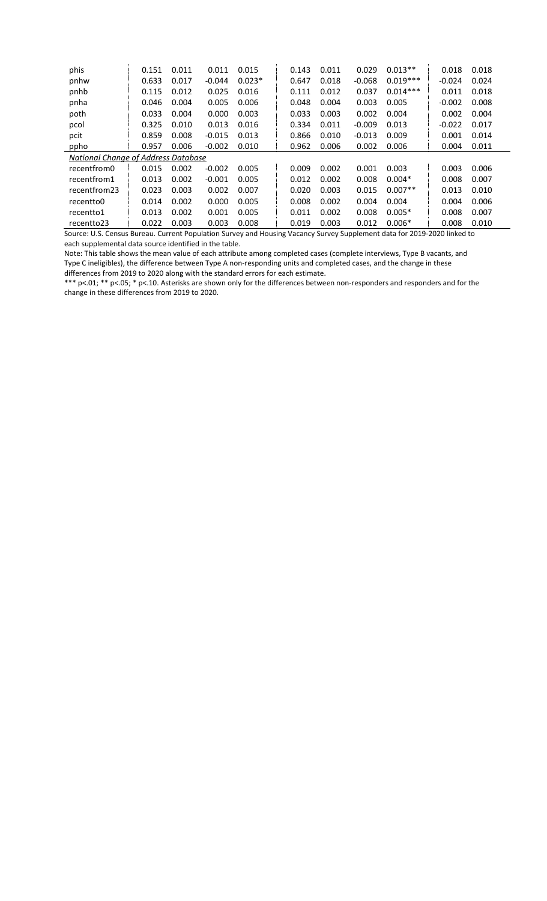| phis                                | 0.151 | 0.011 | 0.011    | 0.015    | 0.143 | 0.011 | 0.029    | $0.013**$  | 0.018    | 0.018 |  |
|-------------------------------------|-------|-------|----------|----------|-------|-------|----------|------------|----------|-------|--|
| pnhw                                | 0.633 | 0.017 | $-0.044$ | $0.023*$ | 0.647 | 0.018 | $-0.068$ | $0.019***$ | $-0.024$ | 0.024 |  |
| pnhb                                | 0.115 | 0.012 | 0.025    | 0.016    | 0.111 | 0.012 | 0.037    | $0.014***$ | 0.011    | 0.018 |  |
| pnha                                | 0.046 | 0.004 | 0.005    | 0.006    | 0.048 | 0.004 | 0.003    | 0.005      | $-0.002$ | 0.008 |  |
| poth                                | 0.033 | 0.004 | 0.000    | 0.003    | 0.033 | 0.003 | 0.002    | 0.004      | 0.002    | 0.004 |  |
| pcol                                | 0.325 | 0.010 | 0.013    | 0.016    | 0.334 | 0.011 | $-0.009$ | 0.013      | $-0.022$ | 0.017 |  |
| pcit                                | 0.859 | 0.008 | $-0.015$ | 0.013    | 0.866 | 0.010 | $-0.013$ | 0.009      | 0.001    | 0.014 |  |
| ppho                                | 0.957 | 0.006 | $-0.002$ | 0.010    | 0.962 | 0.006 | 0.002    | 0.006      | 0.004    | 0.011 |  |
| National Chanae of Address Database |       |       |          |          |       |       |          |            |          |       |  |
| recentfrom0                         | 0.015 | 0.002 | $-0.002$ | 0.005    | 0.009 | 0.002 | 0.001    | 0.003      | 0.003    | 0.006 |  |
| recentfrom1                         | 0.013 | 0.002 | $-0.001$ | 0.005    | 0.012 | 0.002 | 0.008    | $0.004*$   | 0.008    | 0.007 |  |
| recentfrom23                        | 0.023 | 0.003 | 0.002    | 0.007    | 0.020 | 0.003 | 0.015    | $0.007**$  | 0.013    | 0.010 |  |
| recentto0                           | 0.014 | 0.002 | 0.000    | 0.005    | 0.008 | 0.002 | 0.004    | 0.004      | 0.004    | 0.006 |  |
| recentto1                           | 0.013 | 0.002 | 0.001    | 0.005    | 0.011 | 0.002 | 0.008    | $0.005*$   | 0.008    | 0.007 |  |
| recentto23                          | 0.022 | 0.003 | 0.003    | 0.008    | 0.019 | 0.003 | 0.012    | $0.006*$   | 0.008    | 0.010 |  |

Note: This table shows the mean value of each attribute among completed cases (complete interviews, Type B vacants, and Type C ineligibles), the difference between Type A non-responding units and completed cases, and the change in these differences from 2019 to 2020 along with the standard errors for each estimate.

\*\*\* p<.01; \*\* p<.05; \* p<.10. Asterisks are shown only for the differences between non-responders and responders and for the change in these differences from 2019 to 2020.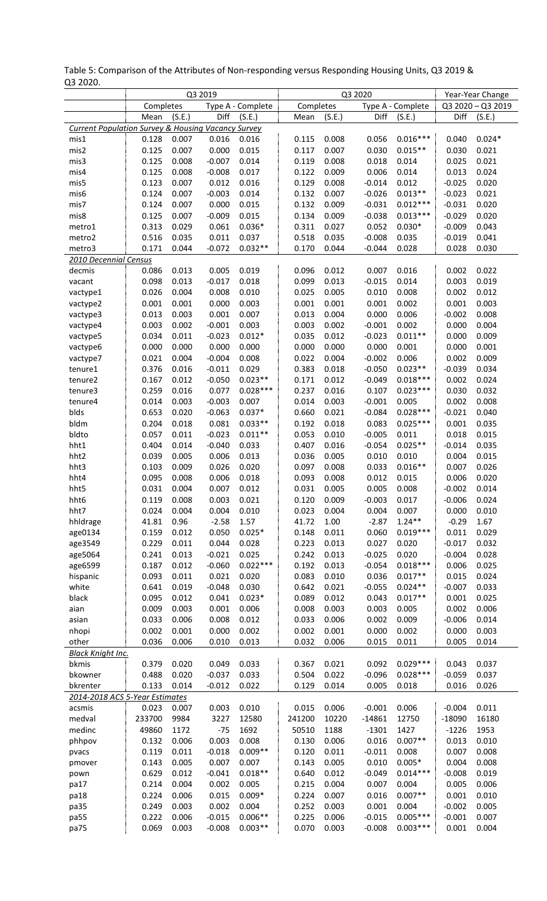| 23 LULU.                                                      |           |        | Q3 2019  |                   |           |        | Q3 2020  |                   |          | Year-Year Change  |
|---------------------------------------------------------------|-----------|--------|----------|-------------------|-----------|--------|----------|-------------------|----------|-------------------|
|                                                               | Completes |        |          | Type A - Complete | Completes |        |          | Type A - Complete |          | Q3 2020 - Q3 2019 |
|                                                               | Mean      | (S.E.) | Diff     | (S.E.)            | Mean      | (S.E.) | Diff     | (S.E.)            | Diff     | (S.E.)            |
| <b>Current Population Survey &amp; Housing Vacancy Survey</b> |           |        |          |                   |           |        |          |                   |          |                   |
| mis1                                                          | 0.128     | 0.007  | 0.016    | 0.016             | 0.115     | 0.008  | 0.056    | $0.016***$        | 0.040    | $0.024*$          |
| mis2                                                          | 0.125     | 0.007  | 0.000    | 0.015             | 0.117     | 0.007  | 0.030    | $0.015**$         | 0.030    | 0.021             |
|                                                               | 0.125     | 0.008  | $-0.007$ | 0.014             | 0.119     | 0.008  | 0.018    | 0.014             | 0.025    | 0.021             |
| mis3                                                          |           |        |          |                   | 0.122     |        | 0.006    |                   |          | 0.024             |
| mis4                                                          | 0.125     | 0.008  | $-0.008$ | 0.017             |           | 0.009  |          | 0.014             | 0.013    |                   |
| mis5                                                          | 0.123     | 0.007  | 0.012    | 0.016             | 0.129     | 0.008  | $-0.014$ | 0.012             | $-0.025$ | 0.020             |
| mis6                                                          | 0.124     | 0.007  | $-0.003$ | 0.014             | 0.132     | 0.007  | $-0.026$ | $0.013**$         | $-0.023$ | 0.021             |
| mis7                                                          | 0.124     | 0.007  | 0.000    | 0.015             | 0.132     | 0.009  | $-0.031$ | $0.012***$        | $-0.031$ | 0.020             |
| mis8                                                          | 0.125     | 0.007  | $-0.009$ | 0.015             | 0.134     | 0.009  | $-0.038$ | $0.013***$        | $-0.029$ | 0.020             |
| metro1                                                        | 0.313     | 0.029  | 0.061    | $0.036*$          | 0.311     | 0.027  | 0.052    | $0.030*$          | $-0.009$ | 0.043             |
| metro2                                                        | 0.516     | 0.035  | 0.011    | 0.037             | 0.518     | 0.035  | $-0.008$ | 0.035             | $-0.019$ | 0.041             |
| metro3                                                        | 0.171     | 0.044  | $-0.072$ | $0.032**$         | 0.170     | 0.044  | $-0.044$ | 0.028             | 0.028    | 0.030             |
| 2010 Decennial Census                                         |           |        |          |                   |           |        |          |                   |          |                   |
| decmis                                                        | 0.086     | 0.013  | 0.005    | 0.019             | 0.096     | 0.012  | 0.007    | 0.016             | 0.002    | 0.022             |
| vacant                                                        | 0.098     | 0.013  | $-0.017$ | 0.018             | 0.099     | 0.013  | $-0.015$ | 0.014             | 0.003    | 0.019             |
| vactype1                                                      | 0.026     | 0.004  | 0.008    | 0.010             | 0.025     | 0.005  | 0.010    | 0.008             | 0.002    | 0.012             |
| vactype2                                                      | 0.001     | 0.001  | 0.000    | 0.003             | 0.001     | 0.001  | 0.001    | 0.002             | 0.001    | 0.003             |
| vactype3                                                      | 0.013     | 0.003  | 0.001    | 0.007             | 0.013     | 0.004  | 0.000    | 0.006             | $-0.002$ | 0.008             |
| vactype4                                                      | 0.003     | 0.002  | $-0.001$ | 0.003             | 0.003     | 0.002  | $-0.001$ | 0.002             | 0.000    | 0.004             |
| vactype5                                                      | 0.034     | 0.011  | $-0.023$ | $0.012*$          | 0.035     | 0.012  | $-0.023$ | $0.011**$         | 0.000    | 0.009             |
| vactype6                                                      | 0.000     | 0.000  | 0.000    | 0.000             | 0.000     | 0.000  | 0.000    | 0.001             | 0.000    | 0.001             |
| vactype7                                                      | 0.021     | 0.004  | $-0.004$ | 0.008             | 0.022     | 0.004  | $-0.002$ | 0.006             | 0.002    | 0.009             |
| tenure1                                                       | 0.376     | 0.016  | $-0.011$ | 0.029             | 0.383     | 0.018  | $-0.050$ | $0.023**$         | $-0.039$ | 0.034             |
| tenure2                                                       | 0.167     | 0.012  | $-0.050$ | $0.023**$         | 0.171     | 0.012  | $-0.049$ | $0.018***$        | 0.002    | 0.024             |
| tenure3                                                       | 0.259     | 0.016  | 0.077    | $0.028***$        | 0.237     | 0.016  | 0.107    | $0.023***$        | 0.030    | 0.032             |
| tenure4                                                       | 0.014     | 0.003  | $-0.003$ | 0.007             | 0.014     | 0.003  | $-0.001$ | 0.005             | 0.002    | 0.008             |
| blds                                                          | 0.653     | 0.020  | $-0.063$ | $0.037*$          | 0.660     | 0.021  | $-0.084$ | $0.028***$        | $-0.021$ | 0.040             |
| bldm                                                          | 0.204     | 0.018  | 0.081    | $0.033**$         | 0.192     | 0.018  | 0.083    | $0.025***$        | 0.001    | 0.035             |
| bldto                                                         | 0.057     | 0.011  | $-0.023$ | $0.011**$         | 0.053     | 0.010  | $-0.005$ | 0.011             | 0.018    | 0.015             |
| hht1                                                          | 0.404     | 0.014  | $-0.040$ | 0.033             | 0.407     | 0.016  | $-0.054$ | $0.025**$         | $-0.014$ | 0.035             |
| hht2                                                          | 0.039     | 0.005  | 0.006    | 0.013             | 0.036     | 0.005  | 0.010    | 0.010             | 0.004    | 0.015             |
| hht3                                                          | 0.103     | 0.009  | 0.026    | 0.020             | 0.097     | 0.008  | 0.033    | $0.016**$         | 0.007    | 0.026             |
| hht4                                                          | 0.095     | 0.008  | 0.006    | 0.018             | 0.093     | 0.008  | 0.012    | 0.015             | 0.006    | 0.020             |
| hht5                                                          | 0.031     | 0.004  | 0.007    | 0.012             | 0.031     | 0.005  | 0.005    | 0.008             | $-0.002$ | 0.014             |
| hht6                                                          | 0.119     | 0.008  | 0.003    | 0.021             | 0.120     | 0.009  | $-0.003$ | 0.017             | $-0.006$ | 0.024             |
|                                                               |           | 0.004  | 0.004    |                   | 0.023     | 0.004  | 0.004    | 0.007             |          |                   |
| hht7                                                          | 0.024     |        |          | 0.010             | 41.72     |        |          | $1.24**$          | 0.000    | 0.010             |
| hhldrage                                                      | 41.81     | 0.96   | $-2.58$  | 1.57              |           | 1.00   | $-2.87$  |                   | $-0.29$  | 1.67              |
| age0134                                                       | 0.159     | 0.012  | 0.050    | $0.025*$          | 0.148     | 0.011  | 0.060    | $0.019***$        | 0.011    | 0.029             |
| age3549                                                       | 0.229     | 0.011  | 0.044    | 0.028             | 0.223     | 0.013  | 0.027    | 0.020             | $-0.017$ | 0.032             |
| age5064                                                       | 0.241     | 0.013  | $-0.021$ | 0.025             | 0.242     | 0.013  | $-0.025$ | 0.020             | $-0.004$ | 0.028             |
| age6599                                                       | 0.187     | 0.012  | $-0.060$ | $0.022***$        | 0.192     | 0.013  | $-0.054$ | $0.018***$        | 0.006    | 0.025             |
| hispanic                                                      | 0.093     | 0.011  | 0.021    | 0.020             | 0.083     | 0.010  | 0.036    | $0.017**$         | 0.015    | 0.024             |
| white                                                         | 0.641     | 0.019  | $-0.048$ | 0.030             | 0.642     | 0.021  | $-0.055$ | $0.024**$         | $-0.007$ | 0.033             |
| black                                                         | 0.095     | 0.012  | 0.041    | $0.023*$          | 0.089     | 0.012  | 0.043    | $0.017**$         | 0.001    | 0.025             |
| aian                                                          | 0.009     | 0.003  | 0.001    | 0.006             | 0.008     | 0.003  | 0.003    | 0.005             | 0.002    | 0.006             |
| asian                                                         | 0.033     | 0.006  | 0.008    | 0.012             | 0.033     | 0.006  | 0.002    | 0.009             | $-0.006$ | 0.014             |
| nhopi                                                         | 0.002     | 0.001  | 0.000    | 0.002             | 0.002     | 0.001  | 0.000    | 0.002             | 0.000    | 0.003             |
| other                                                         | 0.036     | 0.006  | 0.010    | 0.013             | 0.032     | 0.006  | 0.015    | 0.011             | 0.005    | 0.014             |
| <b>Black Knight Inc.</b>                                      |           |        |          |                   |           |        |          |                   |          |                   |
| bkmis                                                         | 0.379     | 0.020  | 0.049    | 0.033             | 0.367     | 0.021  | 0.092    | $0.029***$        | 0.043    | 0.037             |
| bkowner                                                       | 0.488     | 0.020  | $-0.037$ | 0.033             | 0.504     | 0.022  | $-0.096$ | $0.028***$        | $-0.059$ | 0.037             |
| bkrenter                                                      | 0.133     | 0.014  | $-0.012$ | 0.022             | 0.129     | 0.014  | 0.005    | 0.018             | 0.016    | 0.026             |
| 2014-2018 ACS 5-Year Estimates                                |           |        |          |                   |           |        |          |                   |          |                   |
| acsmis                                                        | 0.023     | 0.007  | 0.003    | 0.010             | 0.015     | 0.006  | $-0.001$ | 0.006             | $-0.004$ | 0.011             |
| medval                                                        | 233700    | 9984   | 3227     | 12580             | 241200    | 10220  | $-14861$ | 12750             | $-18090$ | 16180             |
| medinc                                                        | 49860     | 1172   | $-75$    | 1692              | 50510     | 1188   | $-1301$  | 1427              | $-1226$  | 1953              |
| phhpov                                                        | 0.132     | 0.006  | 0.003    | 0.008             | 0.130     | 0.006  | 0.016    | $0.007**$         | 0.013    | 0.010             |
| pvacs                                                         | 0.119     | 0.011  | $-0.018$ | $0.009**$         | 0.120     | 0.011  | $-0.011$ | 0.008             | 0.007    | 0.008             |
| pmover                                                        | 0.143     | 0.005  | 0.007    | 0.007             | 0.143     | 0.005  | 0.010    | $0.005*$          | 0.004    | 0.008             |
| pown                                                          | 0.629     | 0.012  | $-0.041$ | $0.018**$         | 0.640     | 0.012  | $-0.049$ | $0.014***$        | $-0.008$ | 0.019             |
| pa17                                                          | 0.214     | 0.004  | 0.002    | 0.005             | 0.215     | 0.004  | 0.007    | 0.004             | 0.005    | 0.006             |
| pa18                                                          | 0.224     | 0.006  | 0.015    | $0.009*$          | 0.224     | 0.007  | 0.016    | $0.007**$         | 0.001    | 0.010             |
| pa35                                                          | 0.249     | 0.003  | 0.002    | 0.004             | 0.252     | 0.003  | 0.001    | 0.004             | $-0.002$ | 0.005             |
| pa55                                                          | 0.222     | 0.006  | $-0.015$ | $0.006**$         | 0.225     | 0.006  | $-0.015$ | $0.005***$        | $-0.001$ | 0.007             |
| pa75                                                          | 0.069     | 0.003  | $-0.008$ | $0.003**$         | 0.070     | 0.003  | $-0.008$ | $0.003***$        | 0.001    | 0.004             |
|                                                               |           |        |          |                   |           |        |          |                   |          |                   |

Table 5: Comparison of the Attributes of Non-responding versus Responding Housing Units, Q3 2019 & Q3 2020.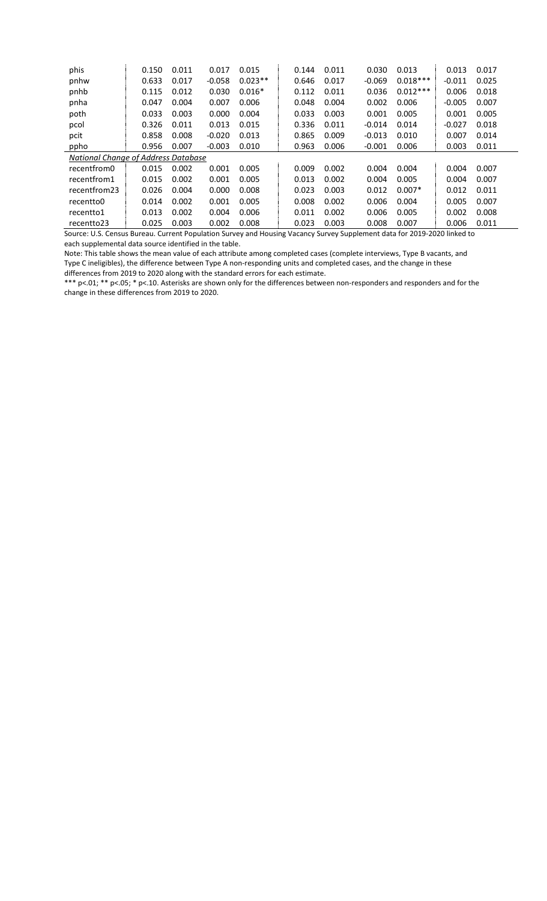| phis                                | 0.150 | 0.011 | 0.017    | 0.015     | 0.144 | 0.011 | 0.030    | 0.013      | 0.013    | 0.017 |
|-------------------------------------|-------|-------|----------|-----------|-------|-------|----------|------------|----------|-------|
| pnhw                                | 0.633 | 0.017 | $-0.058$ | $0.023**$ | 0.646 | 0.017 | $-0.069$ | $0.018***$ | $-0.011$ | 0.025 |
| pnhb                                | 0.115 | 0.012 | 0.030    | $0.016*$  | 0.112 | 0.011 | 0.036    | $0.012***$ | 0.006    | 0.018 |
| pnha                                | 0.047 | 0.004 | 0.007    | 0.006     | 0.048 | 0.004 | 0.002    | 0.006      | $-0.005$ | 0.007 |
| poth                                | 0.033 | 0.003 | 0.000    | 0.004     | 0.033 | 0.003 | 0.001    | 0.005      | 0.001    | 0.005 |
| pcol                                | 0.326 | 0.011 | 0.013    | 0.015     | 0.336 | 0.011 | $-0.014$ | 0.014      | $-0.027$ | 0.018 |
| pcit                                | 0.858 | 0.008 | $-0.020$ | 0.013     | 0.865 | 0.009 | $-0.013$ | 0.010      | 0.007    | 0.014 |
| ppho                                | 0.956 | 0.007 | $-0.003$ | 0.010     | 0.963 | 0.006 | $-0.001$ | 0.006      | 0.003    | 0.011 |
| National Chanae of Address Database |       |       |          |           |       |       |          |            |          |       |
| recentfrom0                         | 0.015 | 0.002 | 0.001    | 0.005     | 0.009 | 0.002 | 0.004    | 0.004      | 0.004    | 0.007 |
| recentfrom1                         | 0.015 | 0.002 | 0.001    | 0.005     | 0.013 | 0.002 | 0.004    | 0.005      | 0.004    | 0.007 |
| recentfrom23                        | 0.026 | 0.004 | 0.000    | 0.008     | 0.023 | 0.003 | 0.012    | $0.007*$   | 0.012    | 0.011 |
| recentto0                           | 0.014 | 0.002 | 0.001    | 0.005     | 0.008 | 0.002 | 0.006    | 0.004      | 0.005    | 0.007 |
| recentto1                           | 0.013 | 0.002 | 0.004    | 0.006     | 0.011 | 0.002 | 0.006    | 0.005      | 0.002    | 0.008 |
| recentto23                          | 0.025 | 0.003 | 0.002    | 0.008     | 0.023 | 0.003 | 0.008    | 0.007      | 0.006    | 0.011 |

Note: This table shows the mean value of each attribute among completed cases (complete interviews, Type B vacants, and Type C ineligibles), the difference between Type A non-responding units and completed cases, and the change in these differences from 2019 to 2020 along with the standard errors for each estimate.

\*\*\* p<.01; \*\* p<.05; \* p<.10. Asterisks are shown only for the differences between non-responders and responders and for the change in these differences from 2019 to 2020.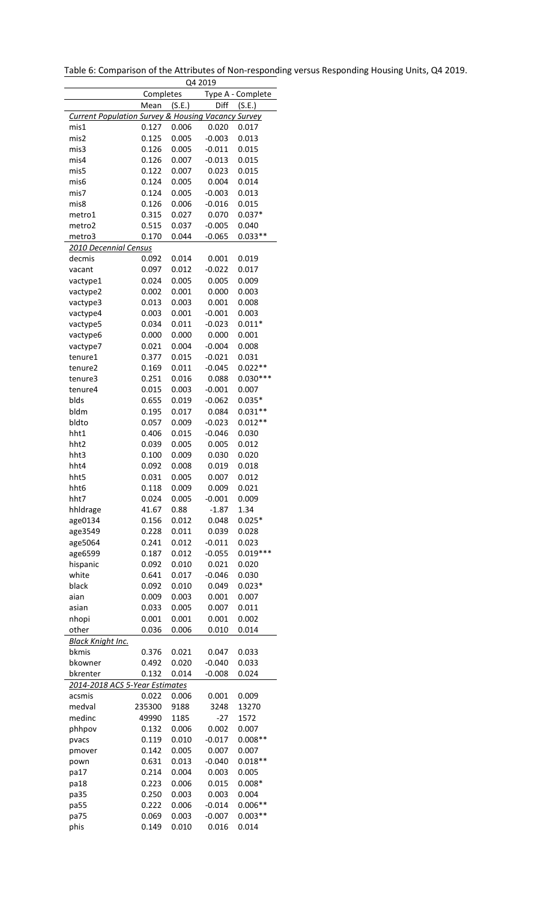| Table 6: Comparison of the Attributes of Non-responding versus Responding Housing Units, Q4 2019. |  |  |
|---------------------------------------------------------------------------------------------------|--|--|
|---------------------------------------------------------------------------------------------------|--|--|

|                                                               |                |                | Q4 2019              |                   |
|---------------------------------------------------------------|----------------|----------------|----------------------|-------------------|
|                                                               | Completes      |                |                      | Type A - Complete |
|                                                               | Mean           | (S.E.)         | Diff                 | (S.E.)            |
| <b>Current Population Survey &amp; Housing Vacancy Survey</b> |                |                |                      |                   |
| mis1                                                          | 0.127          | 0.006          | 0.020                | 0.017             |
| mis2                                                          | 0.125          | 0.005          | $-0.003$             | 0.013             |
| mis3                                                          | 0.126          | 0.005          | $-0.011$             | 0.015             |
| mis4                                                          | 0.126          | 0.007          | $-0.013$             | 0.015             |
| mis5                                                          | 0.122          | 0.007          | 0.023                | 0.015             |
| mis6                                                          | 0.124          | 0.005          | 0.004                | 0.014             |
| mis7                                                          | 0.124          | 0.005          | $-0.003$             | 0.013             |
| mis8                                                          | 0.126          | 0.006          | $-0.016$             | 0.015             |
| metro1                                                        | 0.315          | 0.027          | 0.070                | $0.037*$          |
| metro2                                                        | 0.515          | 0.037          | $-0.005$             | 0.040             |
| metro3                                                        | 0.170          | 0.044          | $-0.065$             | $0.033**$         |
| <u> 2010 Decennial Census</u>                                 |                |                |                      |                   |
| decmis                                                        | 0.092          | 0.014          | 0.001                | 0.019             |
| vacant                                                        | 0.097          | 0.012          | $-0.022$             | 0.017             |
| vactype1                                                      | 0.024          | 0.005          | 0.005                | 0.009             |
| vactype2                                                      | 0.002          | 0.001          | 0.000                | 0.003             |
| vactype3                                                      | 0.013          | 0.003          | 0.001                | 0.008             |
| vactype4                                                      | 0.003<br>0.034 | 0.001          | $-0.001$<br>$-0.023$ | 0.003<br>$0.011*$ |
| vactype5                                                      | 0.000          | 0.011          | 0.000                |                   |
| vactype6                                                      | 0.021          | 0.000<br>0.004 | $-0.004$             | 0.001<br>0.008    |
| vactype7<br>tenure1                                           | 0.377          | 0.015          | $-0.021$             | 0.031             |
| tenure2                                                       | 0.169          | 0.011          | $-0.045$             | $0.022**$         |
| tenure3                                                       | 0.251          | 0.016          | 0.088                | $0.030***$        |
| tenure4                                                       | 0.015          | 0.003          | $-0.001$             | 0.007             |
| blds                                                          | 0.655          | 0.019          | $-0.062$             | $0.035*$          |
| bldm                                                          | 0.195          | 0.017          | 0.084                | $0.031**$         |
| bldto                                                         | 0.057          | 0.009          | $-0.023$             | $0.012**$         |
| hht1                                                          | 0.406          | 0.015          | $-0.046$             | 0.030             |
| hht2                                                          | 0.039          | 0.005          | 0.005                | 0.012             |
| hht3                                                          | 0.100          | 0.009          | 0.030                | 0.020             |
| hht4                                                          | 0.092          | 0.008          | 0.019                | 0.018             |
| hht5                                                          | 0.031          | 0.005          | 0.007                | 0.012             |
| hht6                                                          | 0.118          | 0.009          | 0.009                | 0.021             |
| hht7                                                          | 0.024          | 0.005          | $-0.001$             | 0.009             |
| hhldrage                                                      | 41.67          | 0.88           | $-1.87$              | 1.34              |
| age0134                                                       | 0.156          | 0.012          | 0.048                | $0.025*$          |
| age3549                                                       | 0.228          | 0.011          | 0.039                | 0.028             |
| age5064                                                       | 0.241          | 0.012          | $-0.011$             | 0.023             |
| age6599                                                       | 0.187          | 0.012          | $-0.055$             | $0.019***$        |
| hispanic                                                      | 0.092          | 0.010          | 0.021                | 0.020             |
| white                                                         | 0.641          | 0.017          | $-0.046$             | 0.030             |
| black                                                         | 0.092          | 0.010          | 0.049                | $0.023*$          |
| aian                                                          | 0.009          | 0.003          | 0.001                | 0.007             |
| asian                                                         | 0.033          | 0.005          | 0.007                | 0.011             |
| nhopi                                                         | 0.001          | 0.001          | 0.001                | 0.002             |
| other                                                         | 0.036          | 0.006          | 0.010                | 0.014             |
| <b>Black Knight Inc.</b>                                      |                |                |                      |                   |
| bkmis                                                         | 0.376          | 0.021          | 0.047                | 0.033             |
| bkowner                                                       | 0.492          | 0.020          | $-0.040$             | 0.033             |
| bkrenter                                                      | 0.132          | 0.014          | $-0.008$             | 0.024             |
| 2014-2018 ACS 5-Year Estimates                                |                |                |                      |                   |
| acsmis                                                        | 0.022          | 0.006          | 0.001                | 0.009             |
| medval                                                        | 235300         | 9188           | 3248                 | 13270             |
| medinc                                                        | 49990          | 1185           | $-27$                | 1572              |
| phhpov                                                        | 0.132          | 0.006          | 0.002                | 0.007             |
| pvacs                                                         | 0.119          | 0.010          | $-0.017$             | $0.008**$         |
| pmover                                                        | 0.142          | 0.005          | 0.007                | 0.007             |
| pown                                                          | 0.631          | 0.013          | $-0.040$             | $0.018**$         |
| pa17                                                          | 0.214          | 0.004          | 0.003                | 0.005             |
| pa18                                                          | 0.223          | 0.006          | 0.015                | $0.008*$          |
| pa35                                                          | 0.250          | 0.003          | 0.003                | 0.004             |
| pa55                                                          | 0.222          | 0.006          | $-0.014$             | $0.006**$         |
| pa75                                                          | 0.069          | 0.003          | $-0.007$             | $0.003**$         |
| phis                                                          | 0.149          | 0.010          | 0.016                | 0.014             |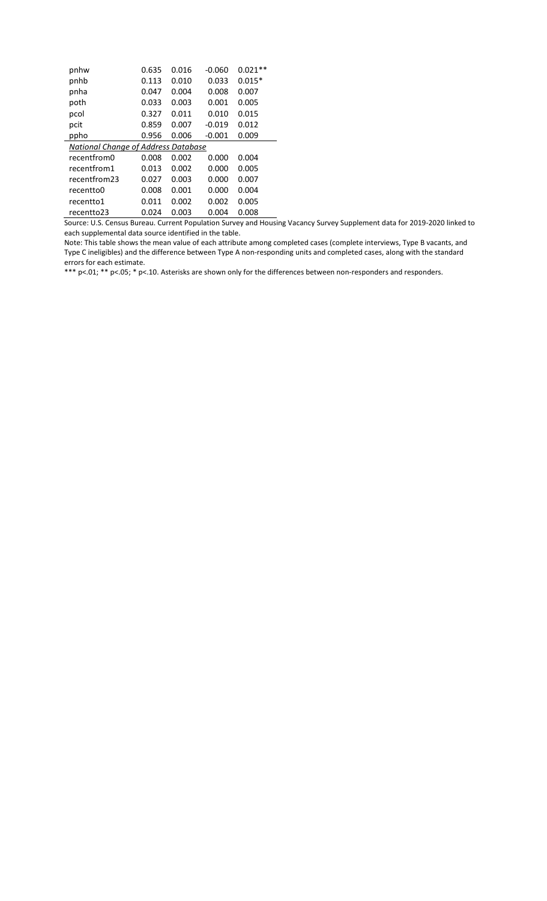| pnhw                                       | 0.635 | 0.016 | $-0.060$ | $0.021**$ |
|--------------------------------------------|-------|-------|----------|-----------|
| pnhb                                       | 0.113 | 0.010 | 0.033    | $0.015*$  |
| pnha                                       | 0.047 | 0.004 | 0.008    | 0.007     |
| poth                                       | 0.033 | 0.003 | 0.001    | 0.005     |
| pcol                                       | 0.327 | 0.011 | 0.010    | 0.015     |
| pcit                                       | 0.859 | 0.007 | $-0.019$ | 0.012     |
| ppho                                       | 0.956 | 0.006 | $-0.001$ | 0.009     |
|                                            |       |       |          |           |
| <b>National Change of Address Database</b> |       |       |          |           |
| recentfrom0                                | 0.008 | 0.002 | 0.000    | 0.004     |
| recentfrom1                                | 0.013 | 0.002 | 0.000    | 0.005     |
| recentfrom23                               | 0.027 | 0.003 | 0.000    | 0.007     |
| recentto0                                  | 0.008 | 0.001 | 0.000    | 0.004     |
| recentto1                                  | 0.011 | 0.002 | 0.002    | 0.005     |

Note: This table shows the mean value of each attribute among completed cases (complete interviews, Type B vacants, and Type C ineligibles) and the difference between Type A non-responding units and completed cases, along with the standard errors for each estimate.

\*\*\* p<.01; \*\* p<.05; \* p<.10. Asterisks are shown only for the differences between non-responders and responders.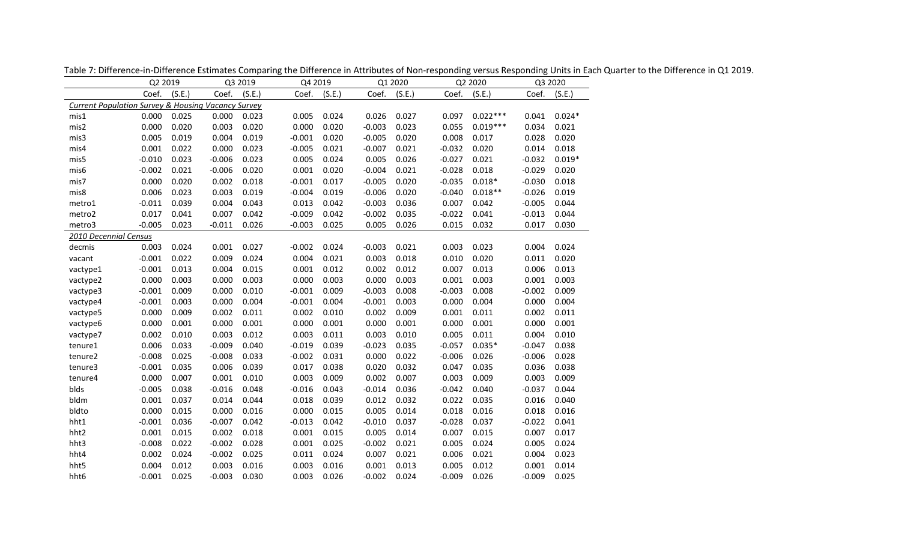|                                                               | Q2 2019  |        |          | Q3 2019 | Q4 2019  |        |          | Q1 2020 |          | Q2 2020    |          | Q3 2020  |
|---------------------------------------------------------------|----------|--------|----------|---------|----------|--------|----------|---------|----------|------------|----------|----------|
|                                                               | Coef.    | (S.E.) | Coef.    | (S.E.)  | Coef.    | (S.E.) | Coef.    | (S.E.)  | Coef.    | (S.E.)     | Coef.    | (S.E.)   |
| <b>Current Population Survey &amp; Housing Vacancy Survey</b> |          |        |          |         |          |        |          |         |          |            |          |          |
| mis1                                                          | 0.000    | 0.025  | 0.000    | 0.023   | 0.005    | 0.024  | 0.026    | 0.027   | 0.097    | $0.022***$ | 0.041    | $0.024*$ |
| mis2                                                          | 0.000    | 0.020  | 0.003    | 0.020   | 0.000    | 0.020  | $-0.003$ | 0.023   | 0.055    | $0.019***$ | 0.034    | 0.021    |
| mis3                                                          | 0.005    | 0.019  | 0.004    | 0.019   | $-0.001$ | 0.020  | $-0.005$ | 0.020   | 0.008    | 0.017      | 0.028    | 0.020    |
| mis4                                                          | 0.001    | 0.022  | 0.000    | 0.023   | $-0.005$ | 0.021  | $-0.007$ | 0.021   | $-0.032$ | 0.020      | 0.014    | 0.018    |
| mis5                                                          | $-0.010$ | 0.023  | $-0.006$ | 0.023   | 0.005    | 0.024  | 0.005    | 0.026   | $-0.027$ | 0.021      | $-0.032$ | $0.019*$ |
| mis6                                                          | $-0.002$ | 0.021  | $-0.006$ | 0.020   | 0.001    | 0.020  | $-0.004$ | 0.021   | $-0.028$ | 0.018      | $-0.029$ | 0.020    |
| mis7                                                          | 0.000    | 0.020  | 0.002    | 0.018   | $-0.001$ | 0.017  | $-0.005$ | 0.020   | $-0.035$ | $0.018*$   | $-0.030$ | 0.018    |
| mis8                                                          | 0.006    | 0.023  | 0.003    | 0.019   | $-0.004$ | 0.019  | $-0.006$ | 0.020   | $-0.040$ | $0.018**$  | $-0.026$ | 0.019    |
| metro1                                                        | $-0.011$ | 0.039  | 0.004    | 0.043   | 0.013    | 0.042  | $-0.003$ | 0.036   | 0.007    | 0.042      | $-0.005$ | 0.044    |
| metro2                                                        | 0.017    | 0.041  | 0.007    | 0.042   | $-0.009$ | 0.042  | $-0.002$ | 0.035   | $-0.022$ | 0.041      | $-0.013$ | 0.044    |
| metro3                                                        | $-0.005$ | 0.023  | $-0.011$ | 0.026   | $-0.003$ | 0.025  | 0.005    | 0.026   | 0.015    | 0.032      | 0.017    | 0.030    |
| 2010 Decennial Census                                         |          |        |          |         |          |        |          |         |          |            |          |          |
| decmis                                                        | 0.003    | 0.024  | 0.001    | 0.027   | $-0.002$ | 0.024  | $-0.003$ | 0.021   | 0.003    | 0.023      | 0.004    | 0.024    |
| vacant                                                        | $-0.001$ | 0.022  | 0.009    | 0.024   | 0.004    | 0.021  | 0.003    | 0.018   | 0.010    | 0.020      | 0.011    | 0.020    |
| vactype1                                                      | $-0.001$ | 0.013  | 0.004    | 0.015   | 0.001    | 0.012  | 0.002    | 0.012   | 0.007    | 0.013      | 0.006    | 0.013    |
| vactype2                                                      | 0.000    | 0.003  | 0.000    | 0.003   | 0.000    | 0.003  | 0.000    | 0.003   | 0.001    | 0.003      | 0.001    | 0.003    |
| vactype3                                                      | $-0.001$ | 0.009  | 0.000    | 0.010   | $-0.001$ | 0.009  | $-0.003$ | 0.008   | $-0.003$ | 0.008      | $-0.002$ | 0.009    |
| vactype4                                                      | $-0.001$ | 0.003  | 0.000    | 0.004   | $-0.001$ | 0.004  | $-0.001$ | 0.003   | 0.000    | 0.004      | 0.000    | 0.004    |
| vactype5                                                      | 0.000    | 0.009  | 0.002    | 0.011   | 0.002    | 0.010  | 0.002    | 0.009   | 0.001    | 0.011      | 0.002    | 0.011    |
| vactype6                                                      | 0.000    | 0.001  | 0.000    | 0.001   | 0.000    | 0.001  | 0.000    | 0.001   | 0.000    | 0.001      | 0.000    | 0.001    |
| vactype7                                                      | 0.002    | 0.010  | 0.003    | 0.012   | 0.003    | 0.011  | 0.003    | 0.010   | 0.005    | 0.011      | 0.004    | 0.010    |
| tenure1                                                       | 0.006    | 0.033  | $-0.009$ | 0.040   | $-0.019$ | 0.039  | $-0.023$ | 0.035   | $-0.057$ | $0.035*$   | $-0.047$ | 0.038    |
| tenure2                                                       | $-0.008$ | 0.025  | $-0.008$ | 0.033   | $-0.002$ | 0.031  | 0.000    | 0.022   | $-0.006$ | 0.026      | $-0.006$ | 0.028    |
| tenure3                                                       | $-0.001$ | 0.035  | 0.006    | 0.039   | 0.017    | 0.038  | 0.020    | 0.032   | 0.047    | 0.035      | 0.036    | 0.038    |
| tenure4                                                       | 0.000    | 0.007  | 0.001    | 0.010   | 0.003    | 0.009  | 0.002    | 0.007   | 0.003    | 0.009      | 0.003    | 0.009    |
| blds                                                          | $-0.005$ | 0.038  | $-0.016$ | 0.048   | $-0.016$ | 0.043  | $-0.014$ | 0.036   | $-0.042$ | 0.040      | $-0.037$ | 0.044    |
| bldm                                                          | 0.001    | 0.037  | 0.014    | 0.044   | 0.018    | 0.039  | 0.012    | 0.032   | 0.022    | 0.035      | 0.016    | 0.040    |
| bldto                                                         | 0.000    | 0.015  | 0.000    | 0.016   | 0.000    | 0.015  | 0.005    | 0.014   | 0.018    | 0.016      | 0.018    | 0.016    |
| hht1                                                          | $-0.001$ | 0.036  | $-0.007$ | 0.042   | $-0.013$ | 0.042  | $-0.010$ | 0.037   | $-0.028$ | 0.037      | $-0.022$ | 0.041    |
| hht2                                                          | 0.001    | 0.015  | 0.002    | 0.018   | 0.001    | 0.015  | 0.005    | 0.014   | 0.007    | 0.015      | 0.007    | 0.017    |
| hht3                                                          | $-0.008$ | 0.022  | $-0.002$ | 0.028   | 0.001    | 0.025  | $-0.002$ | 0.021   | 0.005    | 0.024      | 0.005    | 0.024    |
| hht4                                                          | 0.002    | 0.024  | $-0.002$ | 0.025   | 0.011    | 0.024  | 0.007    | 0.021   | 0.006    | 0.021      | 0.004    | 0.023    |
| hht5                                                          | 0.004    | 0.012  | 0.003    | 0.016   | 0.003    | 0.016  | 0.001    | 0.013   | 0.005    | 0.012      | 0.001    | 0.014    |
| hht6                                                          | $-0.001$ | 0.025  | $-0.003$ | 0.030   | 0.003    | 0.026  | $-0.002$ | 0.024   | $-0.009$ | 0.026      | $-0.009$ | 0.025    |

Table 7: Difference-in-Difference Estimates Comparing the Difference in Attributes of Non-responding versus Responding Units in Each Quarter to the Difference in Q1 2019.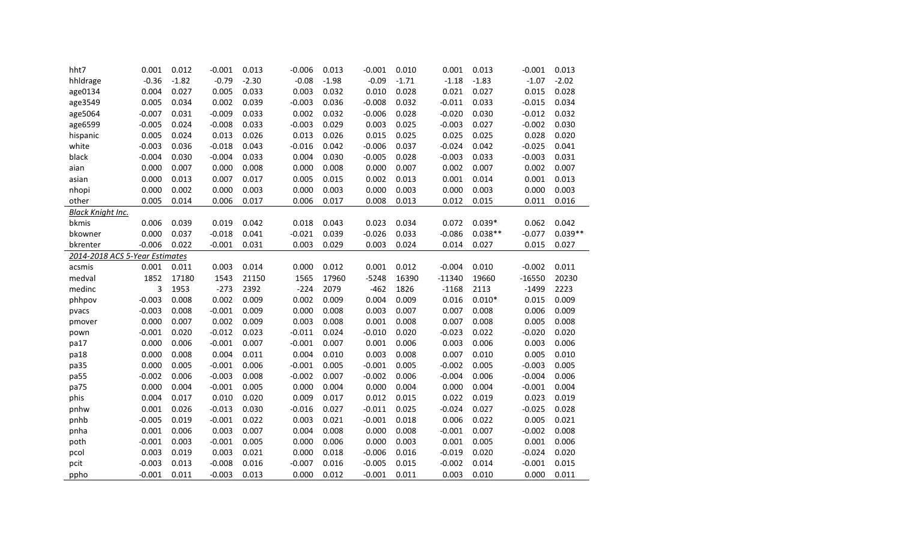| hht7                           | 0.001        | 0.012      | $-0.001$ | 0.013   | $-0.006$ | 0.013   | $-0.001$ | 0.010   | 0.001    | 0.013     | $-0.001$ | 0.013     |
|--------------------------------|--------------|------------|----------|---------|----------|---------|----------|---------|----------|-----------|----------|-----------|
| hhldrage                       | $-0.36$      | $-1.82$    | $-0.79$  | $-2.30$ | $-0.08$  | $-1.98$ | $-0.09$  | $-1.71$ | $-1.18$  | $-1.83$   | $-1.07$  | $-2.02$   |
| age0134                        | 0.004        | 0.027      | 0.005    | 0.033   | 0.003    | 0.032   | 0.010    | 0.028   | 0.021    | 0.027     | 0.015    | 0.028     |
| age3549                        | 0.005        | 0.034      | 0.002    | 0.039   | $-0.003$ | 0.036   | $-0.008$ | 0.032   | $-0.011$ | 0.033     | $-0.015$ | 0.034     |
| age5064                        | $-0.007$     | 0.031      | $-0.009$ | 0.033   | 0.002    | 0.032   | $-0.006$ | 0.028   | $-0.020$ | 0.030     | $-0.012$ | 0.032     |
| age6599                        | $-0.005$     | 0.024      | $-0.008$ | 0.033   | $-0.003$ | 0.029   | 0.003    | 0.025   | $-0.003$ | 0.027     | $-0.002$ | 0.030     |
| hispanic                       | 0.005        | 0.024      | 0.013    | 0.026   | 0.013    | 0.026   | 0.015    | 0.025   | 0.025    | 0.025     | 0.028    | 0.020     |
| white                          | $-0.003$     | 0.036      | $-0.018$ | 0.043   | $-0.016$ | 0.042   | $-0.006$ | 0.037   | $-0.024$ | 0.042     | $-0.025$ | 0.041     |
| black                          | $-0.004$     | 0.030      | $-0.004$ | 0.033   | 0.004    | 0.030   | $-0.005$ | 0.028   | $-0.003$ | 0.033     | $-0.003$ | 0.031     |
| aian                           | 0.000        | 0.007      | 0.000    | 0.008   | 0.000    | 0.008   | 0.000    | 0.007   | 0.002    | 0.007     | 0.002    | 0.007     |
| asian                          | 0.000        | 0.013      | 0.007    | 0.017   | 0.005    | 0.015   | 0.002    | 0.013   | 0.001    | 0.014     | 0.001    | 0.013     |
| nhopi                          | 0.000        | 0.002      | 0.000    | 0.003   | 0.000    | 0.003   | 0.000    | 0.003   | 0.000    | 0.003     | 0.000    | 0.003     |
| other                          | 0.005        | 0.014      | 0.006    | 0.017   | 0.006    | 0.017   | 0.008    | 0.013   | 0.012    | 0.015     | 0.011    | 0.016     |
| <b>Black Knight Inc.</b>       |              |            |          |         |          |         |          |         |          |           |          |           |
| bkmis                          | 0.006        | 0.039      | 0.019    | 0.042   | 0.018    | 0.043   | 0.023    | 0.034   | 0.072    | $0.039*$  | 0.062    | 0.042     |
| bkowner                        | 0.000        | 0.037      | $-0.018$ | 0.041   | $-0.021$ | 0.039   | $-0.026$ | 0.033   | $-0.086$ | $0.038**$ | $-0.077$ | $0.039**$ |
| bkrenter                       | $-0.006$     | 0.022      | $-0.001$ | 0.031   | 0.003    | 0.029   | 0.003    | 0.024   | 0.014    | 0.027     | 0.015    | 0.027     |
| 2014-2018 ACS 5-Year Estimates |              |            |          |         |          |         |          |         |          |           |          |           |
| acsmis                         | 0.001        | 0.011      | 0.003    | 0.014   | 0.000    | 0.012   | 0.001    | 0.012   | $-0.004$ | 0.010     | $-0.002$ | 0.011     |
| medval                         |              | 1852 17180 | 1543     | 21150   | 1565     | 17960   | $-5248$  | 16390   | $-11340$ | 19660     | $-16550$ | 20230     |
| medinc                         | $\mathbf{3}$ | 1953       | $-273$   | 2392    | $-224$   | 2079    | $-462$   | 1826    | $-1168$  | 2113      | $-1499$  | 2223      |
| phhpov                         | $-0.003$     | 0.008      | 0.002    | 0.009   | 0.002    | 0.009   | 0.004    | 0.009   | 0.016    | $0.010*$  | 0.015    | 0.009     |
| pvacs                          | $-0.003$     | 0.008      | $-0.001$ | 0.009   | 0.000    | 0.008   | 0.003    | 0.007   | 0.007    | 0.008     | 0.006    | 0.009     |
| pmover                         | 0.000        | 0.007      | 0.002    | 0.009   | 0.003    | 0.008   | 0.001    | 0.008   | 0.007    | 0.008     | 0.005    | 0.008     |
| pown                           | $-0.001$     | 0.020      | $-0.012$ | 0.023   | $-0.011$ | 0.024   | $-0.010$ | 0.020   | $-0.023$ | 0.022     | $-0.020$ | 0.020     |
| pa17                           | 0.000        | 0.006      | $-0.001$ | 0.007   | $-0.001$ | 0.007   | 0.001    | 0.006   | 0.003    | 0.006     | 0.003    | 0.006     |
| pa18                           | 0.000        | 0.008      | 0.004    | 0.011   | 0.004    | 0.010   | 0.003    | 0.008   | 0.007    | 0.010     | 0.005    | 0.010     |
| pa35                           | 0.000        | 0.005      | $-0.001$ | 0.006   | $-0.001$ | 0.005   | $-0.001$ | 0.005   | $-0.002$ | 0.005     | $-0.003$ | 0.005     |
| pa55                           | $-0.002$     | 0.006      | $-0.003$ | 0.008   | $-0.002$ | 0.007   | $-0.002$ | 0.006   | $-0.004$ | 0.006     | $-0.004$ | 0.006     |
| pa75                           | 0.000        | 0.004      | $-0.001$ | 0.005   | 0.000    | 0.004   | 0.000    | 0.004   | 0.000    | 0.004     | $-0.001$ | 0.004     |
| phis                           | 0.004        | 0.017      | 0.010    | 0.020   | 0.009    | 0.017   | 0.012    | 0.015   | 0.022    | 0.019     | 0.023    | 0.019     |
| pnhw                           | 0.001        | 0.026      | $-0.013$ | 0.030   | $-0.016$ | 0.027   | $-0.011$ | 0.025   | $-0.024$ | 0.027     | $-0.025$ | 0.028     |
| pnhb                           | $-0.005$     | 0.019      | $-0.001$ | 0.022   | 0.003    | 0.021   | $-0.001$ | 0.018   | 0.006    | 0.022     | 0.005    | 0.021     |
| pnha                           | 0.001        | 0.006      | 0.003    | 0.007   | 0.004    | 0.008   | 0.000    | 0.008   | $-0.001$ | 0.007     | $-0.002$ | 0.008     |
| poth                           | $-0.001$     | 0.003      | $-0.001$ | 0.005   | 0.000    | 0.006   | 0.000    | 0.003   | 0.001    | 0.005     | 0.001    | 0.006     |
| pcol                           | 0.003        | 0.019      | 0.003    | 0.021   | 0.000    | 0.018   | $-0.006$ | 0.016   | $-0.019$ | 0.020     | $-0.024$ | 0.020     |
|                                |              |            |          |         |          |         |          |         |          |           |          |           |
| pcit                           | $-0.003$     | 0.013      | $-0.008$ | 0.016   | $-0.007$ | 0.016   | $-0.005$ | 0.015   | $-0.002$ | 0.014     | $-0.001$ | 0.015     |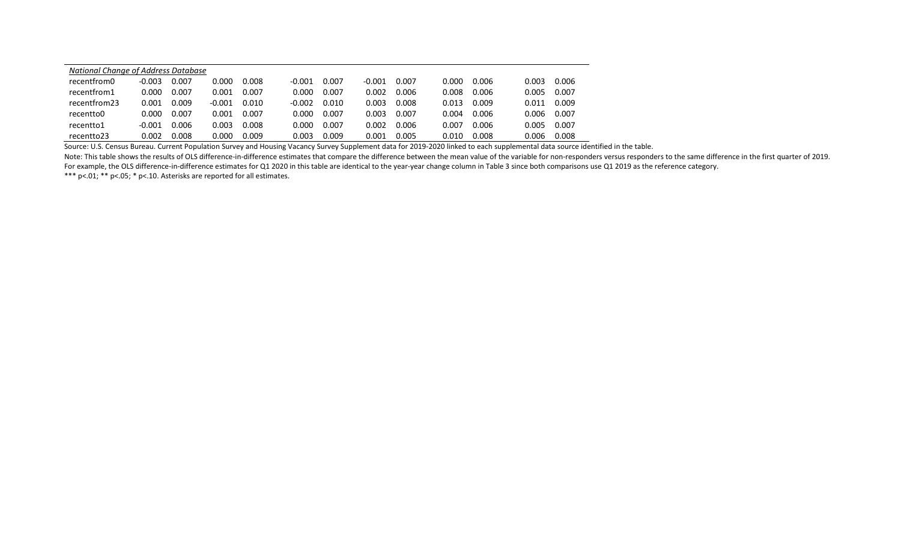| National Change of Address Database |          |       |          |       |          |       |          |       |       |       |       |       |
|-------------------------------------|----------|-------|----------|-------|----------|-------|----------|-------|-------|-------|-------|-------|
| recentfrom0                         | $-0.003$ | 0.007 | 0.000    | 0.008 | $-0.001$ | 0.007 | $-0.001$ | 0.007 | 0.000 | 0.006 | 0.003 | 0.006 |
| recentfrom1                         | 0.000    | 0.007 | 0.001    | 0.007 | 0.000    | 0.007 | 0.002    | 0.006 | 0.008 | 0.006 | 0.005 | 0.007 |
| recentfrom23                        | 0.001    | 0.009 | $-0.001$ | 0.010 | $-0.002$ | 0.010 | 0.003    | 0.008 | 0.013 | 0.009 | 0.011 | 0.009 |
| recentto0                           | 0.000    | 0.007 | 0.001    | 0.007 | 0.000    | 0.007 | 0.003    | 0.007 | 0.004 | 0.006 | 0.006 | 0.007 |
| recentto1                           | $-0.001$ | 0.006 | 0.003    | 0.008 | 0.000    | 0.007 | 0.002    | 0.006 | 0.007 | 0.006 | 0.005 | 0.007 |
| recentto23                          | 0.002    | 0.008 | 0.000    | 0.009 | 0.003    | 0.009 | 0.001    | 0.005 | 0.010 | 0.008 | 0.006 | 0.008 |

Note: This table shows the results of OLS difference-in-difference estimates that compare the difference between the mean value of the variable for non-responders versus responders to the same difference in the first quart

For example, the OLS difference-in-difference estimates for Q1 2020 in this table are identical to the year-year change column in Table 3 since both comparisons use Q1 2019 as the reference category.

\*\*\* p<.01; \*\* p<.05; \* p<.10. Asterisks are reported for all estimates.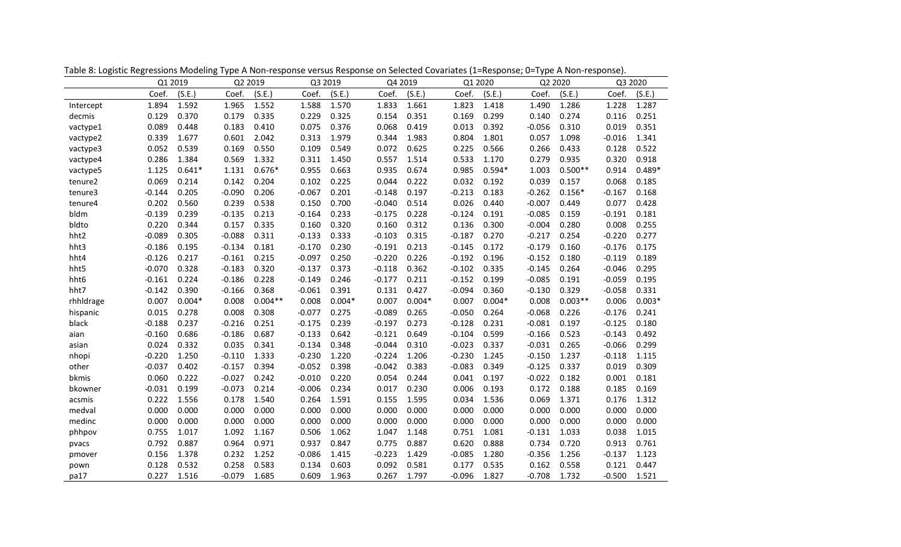|           | Q1 2019  |          | Q2 2019  |           |          | Q3 2019  |          | Q4 2019  |          | Q1 2020  |          | Q2 2020   |          | Q3 2020  |  |
|-----------|----------|----------|----------|-----------|----------|----------|----------|----------|----------|----------|----------|-----------|----------|----------|--|
|           | Coef.    | (S.E.)   | Coef.    | (S.E.)    | Coef.    | (S.E.)   | Coef.    | (S.E.)   | Coef.    | (S.E.)   | Coef.    | (S.E.)    | Coef.    | (S.E.)   |  |
| Intercept | 1.894    | 1.592    | 1.965    | 1.552     | 1.588    | 1.570    | 1.833    | 1.661    | 1.823    | 1.418    | 1.490    | 1.286     | 1.228    | 1.287    |  |
| decmis    | 0.129    | 0.370    | 0.179    | 0.335     | 0.229    | 0.325    | 0.154    | 0.351    | 0.169    | 0.299    | 0.140    | 0.274     | 0.116    | 0.251    |  |
| vactype1  | 0.089    | 0.448    | 0.183    | 0.410     | 0.075    | 0.376    | 0.068    | 0.419    | 0.013    | 0.392    | $-0.056$ | 0.310     | 0.019    | 0.351    |  |
| vactype2  | 0.339    | 1.677    | 0.601    | 2.042     | 0.313    | 1.979    | 0.344    | 1.983    | 0.804    | 1.801    | 0.057    | 1.098     | $-0.016$ | 1.341    |  |
| vactype3  | 0.052    | 0.539    | 0.169    | 0.550     | 0.109    | 0.549    | 0.072    | 0.625    | 0.225    | 0.566    | 0.266    | 0.433     | 0.128    | 0.522    |  |
| vactype4  | 0.286    | 1.384    | 0.569    | 1.332     | 0.311    | 1.450    | 0.557    | 1.514    | 0.533    | 1.170    | 0.279    | 0.935     | 0.320    | 0.918    |  |
| vactype5  | 1.125    | $0.641*$ | 1.131    | $0.676*$  | 0.955    | 0.663    | 0.935    | 0.674    | 0.985    | $0.594*$ | 1.003    | $0.500**$ | 0.914    | $0.489*$ |  |
| tenure2   | 0.069    | 0.214    | 0.142    | 0.204     | 0.102    | 0.225    | 0.044    | 0.222    | 0.032    | 0.192    | 0.039    | 0.157     | 0.068    | 0.185    |  |
| tenure3   | $-0.144$ | 0.205    | $-0.090$ | 0.206     | $-0.067$ | 0.201    | $-0.148$ | 0.197    | $-0.213$ | 0.183    | $-0.262$ | $0.156*$  | $-0.167$ | 0.168    |  |
| tenure4   | 0.202    | 0.560    | 0.239    | 0.538     | 0.150    | 0.700    | $-0.040$ | 0.514    | 0.026    | 0.440    | $-0.007$ | 0.449     | 0.077    | 0.428    |  |
| bldm      | $-0.139$ | 0.239    | $-0.135$ | 0.213     | $-0.164$ | 0.233    | $-0.175$ | 0.228    | $-0.124$ | 0.191    | $-0.085$ | 0.159     | $-0.191$ | 0.181    |  |
| bldto     | 0.220    | 0.344    | 0.157    | 0.335     | 0.160    | 0.320    | 0.160    | 0.312    | 0.136    | 0.300    | $-0.004$ | 0.280     | 0.008    | 0.255    |  |
| hht2      | $-0.089$ | 0.305    | $-0.088$ | 0.311     | $-0.133$ | 0.333    | $-0.103$ | 0.315    | $-0.187$ | 0.270    | $-0.217$ | 0.254     | $-0.220$ | 0.277    |  |
| hht3      | $-0.186$ | 0.195    | $-0.134$ | 0.181     | $-0.170$ | 0.230    | $-0.191$ | 0.213    | $-0.145$ | 0.172    | $-0.179$ | 0.160     | $-0.176$ | 0.175    |  |
| hht4      | $-0.126$ | 0.217    | $-0.161$ | 0.215     | $-0.097$ | 0.250    | $-0.220$ | 0.226    | $-0.192$ | 0.196    | $-0.152$ | 0.180     | $-0.119$ | 0.189    |  |
| hht5      | $-0.070$ | 0.328    | $-0.183$ | 0.320     | $-0.137$ | 0.373    | $-0.118$ | 0.362    | $-0.102$ | 0.335    | $-0.145$ | 0.264     | $-0.046$ | 0.295    |  |
| hht6      | $-0.161$ | 0.224    | $-0.186$ | 0.228     | $-0.149$ | 0.246    | $-0.177$ | 0.211    | $-0.152$ | 0.199    | $-0.085$ | 0.191     | $-0.059$ | 0.195    |  |
| hht7      | $-0.142$ | 0.390    | $-0.166$ | 0.368     | $-0.061$ | 0.391    | 0.131    | 0.427    | $-0.094$ | 0.360    | $-0.130$ | 0.329     | $-0.058$ | 0.331    |  |
| rhhldrage | 0.007    | $0.004*$ | 0.008    | $0.004**$ | 0.008    | $0.004*$ | 0.007    | $0.004*$ | 0.007    | $0.004*$ | 0.008    | $0.003**$ | 0.006    | $0.003*$ |  |
| hispanic  | 0.015    | 0.278    | 0.008    | 0.308     | $-0.077$ | 0.275    | $-0.089$ | 0.265    | $-0.050$ | 0.264    | $-0.068$ | 0.226     | $-0.176$ | 0.241    |  |
| black     | $-0.188$ | 0.237    | $-0.216$ | 0.251     | $-0.175$ | 0.239    | $-0.197$ | 0.273    | $-0.128$ | 0.231    | $-0.081$ | 0.197     | $-0.125$ | 0.180    |  |
| aian      | $-0.160$ | 0.686    | $-0.186$ | 0.687     | $-0.133$ | 0.642    | $-0.121$ | 0.649    | $-0.104$ | 0.599    | $-0.166$ | 0.523     | $-0.143$ | 0.492    |  |
| asian     | 0.024    | 0.332    | 0.035    | 0.341     | $-0.134$ | 0.348    | $-0.044$ | 0.310    | $-0.023$ | 0.337    | $-0.031$ | 0.265     | $-0.066$ | 0.299    |  |
| nhopi     | $-0.220$ | 1.250    | $-0.110$ | 1.333     | $-0.230$ | 1.220    | $-0.224$ | 1.206    | $-0.230$ | 1.245    | $-0.150$ | 1.237     | $-0.118$ | 1.115    |  |
| other     | $-0.037$ | 0.402    | $-0.157$ | 0.394     | $-0.052$ | 0.398    | $-0.042$ | 0.383    | $-0.083$ | 0.349    | $-0.125$ | 0.337     | 0.019    | 0.309    |  |
| bkmis     | 0.060    | 0.222    | $-0.027$ | 0.242     | $-0.010$ | 0.220    | 0.054    | 0.244    | 0.041    | 0.197    | $-0.022$ | 0.182     | 0.001    | 0.181    |  |
| bkowner   | $-0.031$ | 0.199    | $-0.073$ | 0.214     | $-0.006$ | 0.234    | 0.017    | 0.230    | 0.006    | 0.193    | 0.172    | 0.188     | 0.185    | 0.169    |  |
| acsmis    | 0.222    | 1.556    | 0.178    | 1.540     | 0.264    | 1.591    | 0.155    | 1.595    | 0.034    | 1.536    | 0.069    | 1.371     | 0.176    | 1.312    |  |
| medval    | 0.000    | 0.000    | 0.000    | 0.000     | 0.000    | 0.000    | 0.000    | 0.000    | 0.000    | 0.000    | 0.000    | 0.000     | 0.000    | 0.000    |  |
| medinc    | 0.000    | 0.000    | 0.000    | 0.000     | 0.000    | 0.000    | 0.000    | 0.000    | 0.000    | 0.000    | 0.000    | 0.000     | 0.000    | 0.000    |  |
| phhpov    | 0.755    | 1.017    | 1.092    | 1.167     | 0.506    | 1.062    | 1.047    | 1.148    | 0.751    | 1.081    | $-0.131$ | 1.033     | 0.038    | 1.015    |  |
| pvacs     | 0.792    | 0.887    | 0.964    | 0.971     | 0.937    | 0.847    | 0.775    | 0.887    | 0.620    | 0.888    | 0.734    | 0.720     | 0.913    | 0.761    |  |
| pmover    | 0.156    | 1.378    | 0.232    | 1.252     | $-0.086$ | 1.415    | $-0.223$ | 1.429    | $-0.085$ | 1.280    | $-0.356$ | 1.256     | $-0.137$ | 1.123    |  |
| pown      | 0.128    | 0.532    | 0.258    | 0.583     | 0.134    | 0.603    | 0.092    | 0.581    | 0.177    | 0.535    | 0.162    | 0.558     | 0.121    | 0.447    |  |
| pa17      | 0.227    | 1.516    | $-0.079$ | 1.685     | 0.609    | 1.963    | 0.267    | 1.797    | $-0.096$ | 1.827    | $-0.708$ | 1.732     | $-0.500$ | 1.521    |  |

Table 8: Logistic Regressions Modeling Type A Non-response versus Response on Selected Covariates (1=Response; 0=Type A Non-response).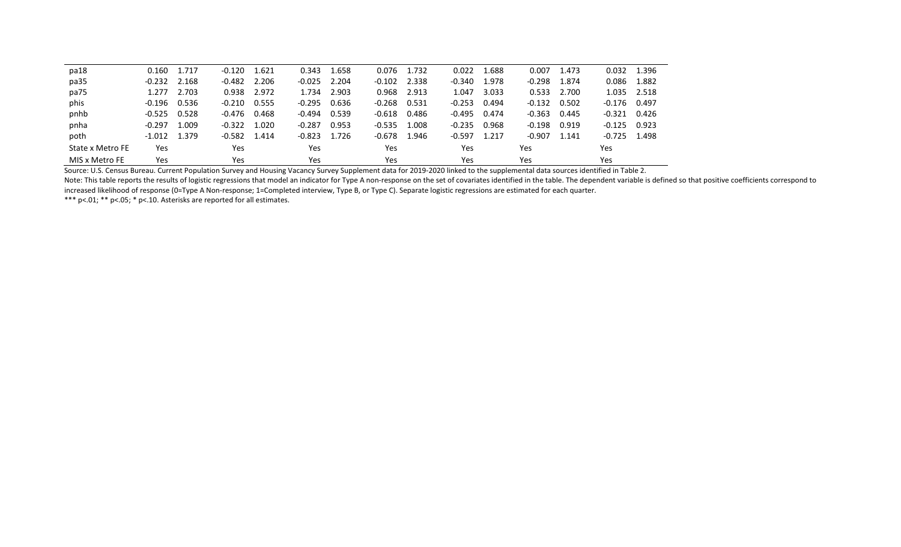| pa18             | 0.160    | 1.717 | $-0.120$ | 1.621 | 0.343    | 1.658 | 0.076    | 1.732 | 0.022    | 1.688 | 0.007    | 1.473 | 0.032    | 1.396 |
|------------------|----------|-------|----------|-------|----------|-------|----------|-------|----------|-------|----------|-------|----------|-------|
| pa35             | $-0.232$ | 2.168 | $-0.482$ | 2.206 | $-0.025$ | 2.204 | $-0.102$ | 2.338 | $-0.340$ | 1.978 | $-0.298$ | 1.874 | 0.086    | 1.882 |
| pa75             | 1.277    | 2.703 | 0.938    | 2.972 | 1.734    | 2.903 | 0.968    | 2.913 | 1.047    | 3.033 | 0.533    | 2.700 | 1.035    | 2.518 |
| phis             | $-0.196$ | 0.536 | $-0.210$ | 0.555 | $-0.295$ | 0.636 | $-0.268$ | 0.531 | $-0.253$ | 0.494 | $-0.132$ | 0.502 | $-0.176$ | 0.497 |
| pnhb             | $-0.525$ | 0.528 | $-0.476$ | 0.468 | $-0.494$ | 0.539 | $-0.618$ | 0.486 | $-0.495$ | 0.474 | $-0.363$ | 0.445 | $-0.321$ | 0.426 |
| pnha             | $-0.297$ | 1.009 | $-0.322$ | 1.020 | $-0.287$ | 0.953 | $-0.535$ | 1.008 | $-0.235$ | 0.968 | $-0.198$ | 0.919 | $-0.125$ | 0.923 |
| poth             | $-1.012$ | 1.379 | $-0.582$ | 1.414 | $-0.823$ | 1.726 | $-0.678$ | 1.946 | $-0.597$ | 1.217 | $-0.907$ | 1.141 | $-0.725$ | 1.498 |
| State x Metro FE | Yes      |       | Yes      |       | Yes      |       | Yes      |       | Yes      |       | Yes      |       | Yes      |       |
| MIS x Metro FE   | Yes      |       | Yes      |       | Yes      |       | Yes      |       | Yes      |       | Yes      |       | Yes      |       |

Note: This table reports the results of logistic regressions that model an indicator for Type A non-response on the set of covariates identified in the table. The dependent variable is defined so that positive coefficients increased likelihood of response (0=Type A Non-response; 1=Completed interview, Type B, or Type C). Separate logistic regressions are estimated for each quarter.

\*\*\* p<.01; \*\* p<.05; \* p<.10. Asterisks are reported for all estimates.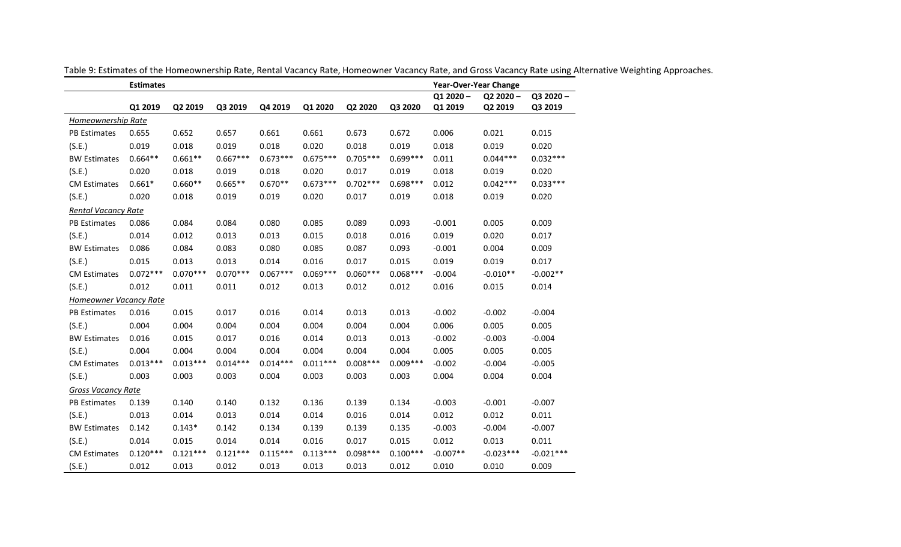|                               | <b>Estimates</b> |            |            |            |            |            |            | <b>Year-Over-Year Change</b> |                       |                     |
|-------------------------------|------------------|------------|------------|------------|------------|------------|------------|------------------------------|-----------------------|---------------------|
|                               | Q1 2019          | Q2 2019    | Q3 2019    | Q4 2019    | Q1 2020    | Q2 2020    | Q3 2020    | Q1 2020-<br>Q1 2019          | $Q22020 -$<br>Q2 2019 | Q3 2020-<br>Q3 2019 |
| <b>Homeownership Rate</b>     |                  |            |            |            |            |            |            |                              |                       |                     |
| <b>PB Estimates</b>           | 0.655            | 0.652      | 0.657      | 0.661      | 0.661      | 0.673      | 0.672      | 0.006                        | 0.021                 | 0.015               |
| (S.E.)                        | 0.019            | 0.018      | 0.019      | 0.018      | 0.020      | 0.018      | 0.019      | 0.018                        | 0.019                 | 0.020               |
| <b>BW Estimates</b>           | $0.664**$        | $0.661**$  | $0.667***$ | $0.673***$ | $0.675***$ | $0.705***$ | $0.699***$ | 0.011                        | $0.044***$            | $0.032***$          |
| (S.E.)                        | 0.020            | 0.018      | 0.019      | 0.018      | 0.020      | 0.017      | 0.019      | 0.018                        | 0.019                 | 0.020               |
| <b>CM Estimates</b>           | $0.661*$         | $0.660**$  | $0.665**$  | $0.670**$  | $0.673***$ | $0.702***$ | $0.698***$ | 0.012                        | $0.042***$            | $0.033***$          |
| (S.E.)                        | 0.020            | 0.018      | 0.019      | 0.019      | 0.020      | 0.017      | 0.019      | 0.018                        | 0.019                 | 0.020               |
| <b>Rental Vacancy Rate</b>    |                  |            |            |            |            |            |            |                              |                       |                     |
| <b>PB Estimates</b>           | 0.086            | 0.084      | 0.084      | 0.080      | 0.085      | 0.089      | 0.093      | $-0.001$                     | 0.005                 | 0.009               |
| (S.E.)                        | 0.014            | 0.012      | 0.013      | 0.013      | 0.015      | 0.018      | 0.016      | 0.019                        | 0.020                 | 0.017               |
| <b>BW Estimates</b>           | 0.086            | 0.084      | 0.083      | 0.080      | 0.085      | 0.087      | 0.093      | $-0.001$                     | 0.004                 | 0.009               |
| (S.E.)                        | 0.015            | 0.013      | 0.013      | 0.014      | 0.016      | 0.017      | 0.015      | 0.019                        | 0.019                 | 0.017               |
| <b>CM Estimates</b>           | $0.072***$       | $0.070***$ | $0.070***$ | $0.067***$ | $0.069***$ | $0.060***$ | $0.068***$ | $-0.004$                     | $-0.010**$            | $-0.002**$          |
| (S.E.)                        | 0.012            | 0.011      | 0.011      | 0.012      | 0.013      | 0.012      | 0.012      | 0.016                        | 0.015                 | 0.014               |
| <b>Homeowner Vacancy Rate</b> |                  |            |            |            |            |            |            |                              |                       |                     |
| <b>PB Estimates</b>           | 0.016            | 0.015      | 0.017      | 0.016      | 0.014      | 0.013      | 0.013      | $-0.002$                     | $-0.002$              | $-0.004$            |
| (S.E.)                        | 0.004            | 0.004      | 0.004      | 0.004      | 0.004      | 0.004      | 0.004      | 0.006                        | 0.005                 | 0.005               |
| <b>BW Estimates</b>           | 0.016            | 0.015      | 0.017      | 0.016      | 0.014      | 0.013      | 0.013      | $-0.002$                     | $-0.003$              | $-0.004$            |
| (S.E.)                        | 0.004            | 0.004      | 0.004      | 0.004      | 0.004      | 0.004      | 0.004      | 0.005                        | 0.005                 | 0.005               |
| <b>CM Estimates</b>           | $0.013***$       | $0.013***$ | $0.014***$ | $0.014***$ | $0.011***$ | $0.008***$ | $0.009***$ | $-0.002$                     | $-0.004$              | $-0.005$            |
| (S.E.)                        | 0.003            | 0.003      | 0.003      | 0.004      | 0.003      | 0.003      | 0.003      | 0.004                        | 0.004                 | 0.004               |
| Gross Vacancy Rate            |                  |            |            |            |            |            |            |                              |                       |                     |
| <b>PB Estimates</b>           | 0.139            | 0.140      | 0.140      | 0.132      | 0.136      | 0.139      | 0.134      | $-0.003$                     | $-0.001$              | $-0.007$            |
| (S.E.)                        | 0.013            | 0.014      | 0.013      | 0.014      | 0.014      | 0.016      | 0.014      | 0.012                        | 0.012                 | 0.011               |
| <b>BW Estimates</b>           | 0.142            | $0.143*$   | 0.142      | 0.134      | 0.139      | 0.139      | 0.135      | $-0.003$                     | $-0.004$              | $-0.007$            |
| (S.E.)                        | 0.014            | 0.015      | 0.014      | 0.014      | 0.016      | 0.017      | 0.015      | 0.012                        | 0.013                 | 0.011               |
| <b>CM Estimates</b>           | $0.120***$       | $0.121***$ | $0.121***$ | $0.115***$ | $0.113***$ | $0.098***$ | $0.100***$ | $-0.007**$                   | $-0.023***$           | $-0.021***$         |
| (S.E.)                        | 0.012            | 0.013      | 0.012      | 0.013      | 0.013      | 0.013      | 0.012      | 0.010                        | 0.010                 | 0.009               |

Table 9: Estimates of the Homeownership Rate, Rental Vacancy Rate, Homeowner Vacancy Rate, and Gross Vacancy Rate using Alternative Weighting Approaches.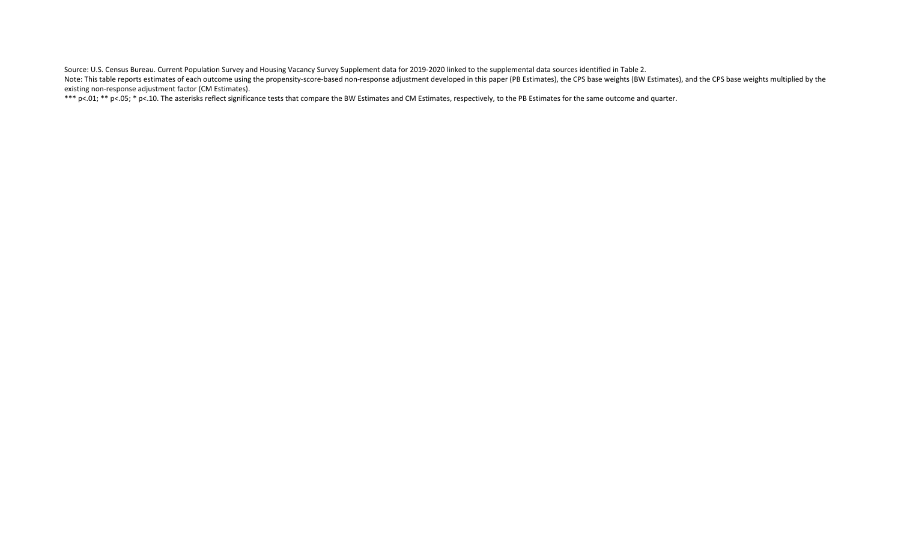Note: This table reports estimates of each outcome using the propensity-score-based non-response adjustment developed in this paper (PB Estimates), the CPS base weights (BW Estimates), and the CPS base weights multiplied b existing non-response adjustment factor (CM Estimates).

\*\*\* p<.01; \*\* p<.05; \* p<.10. The asterisks reflect significance tests that compare the BW Estimates and CM Estimates, respectively, to the PB Estimates for the same outcome and quarter.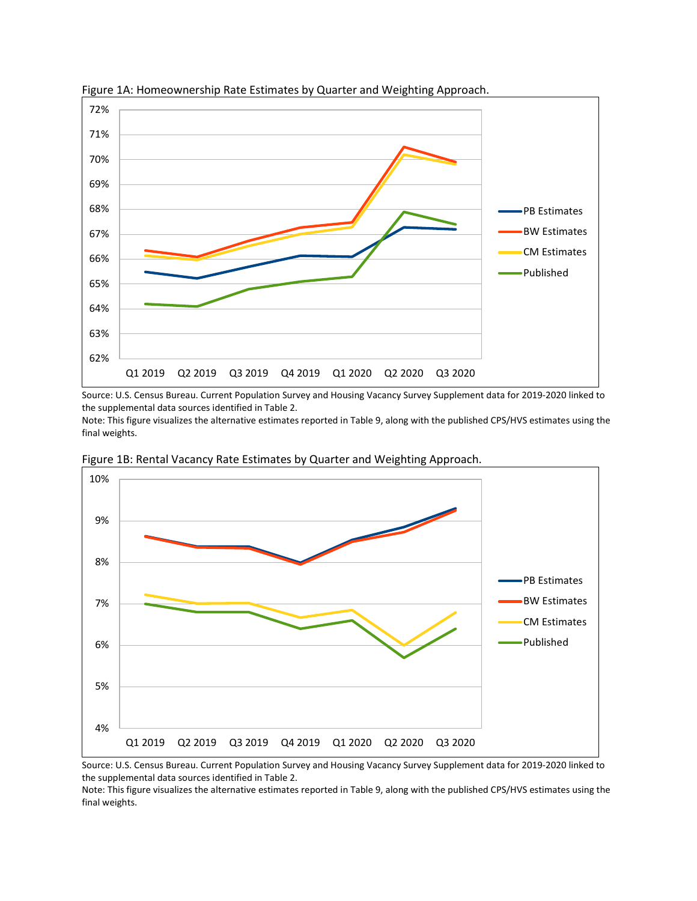

Figure 1A: Homeownership Rate Estimates by Quarter and Weighting Approach.

Note: This figure visualizes the alternative estimates reported in Table 9, along with the published CPS/HVS estimates using the final weights.



Figure 1B: Rental Vacancy Rate Estimates by Quarter and Weighting Approach.

Source: U.S. Census Bureau. Current Population Survey and Housing Vacancy Survey Supplement data for 2019-2020 linked to the supplemental data sources identified in Table 2.

Note: This figure visualizes the alternative estimates reported in Table 9, along with the published CPS/HVS estimates using the final weights.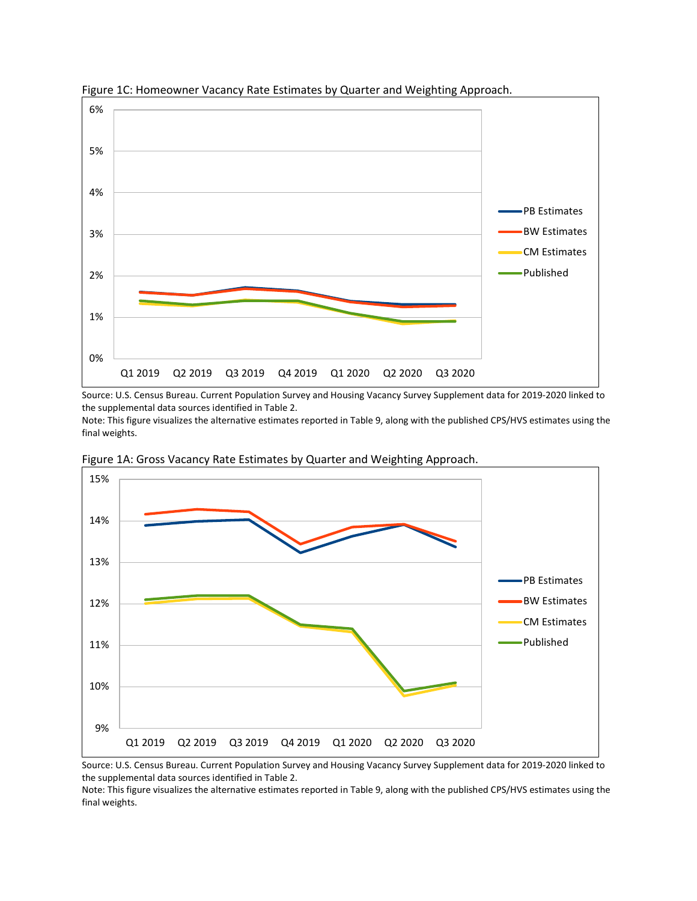

Figure 1C: Homeowner Vacancy Rate Estimates by Quarter and Weighting Approach.

Note: This figure visualizes the alternative estimates reported in Table 9, along with the published CPS/HVS estimates using the final weights.



Figure 1A: Gross Vacancy Rate Estimates by Quarter and Weighting Approach.

Source: U.S. Census Bureau. Current Population Survey and Housing Vacancy Survey Supplement data for 2019-2020 linked to the supplemental data sources identified in Table 2.

Note: This figure visualizes the alternative estimates reported in Table 9, along with the published CPS/HVS estimates using the final weights.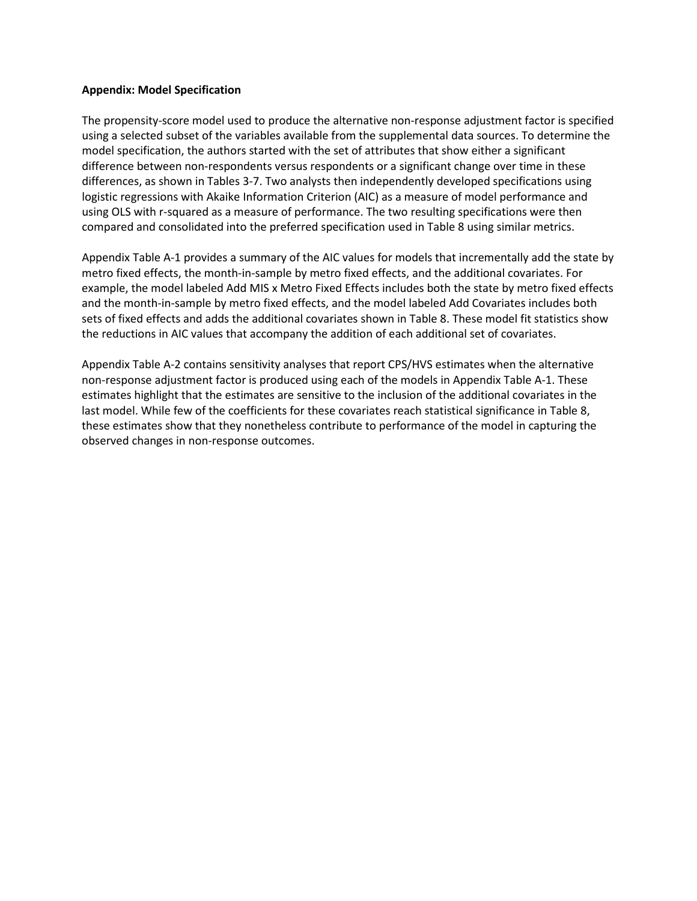### **Appendix: Model Specification**

The propensity-score model used to produce the alternative non-response adjustment factor is specified using a selected subset of the variables available from the supplemental data sources. To determine the model specification, the authors started with the set of attributes that show either a significant difference between non-respondents versus respondents or a significant change over time in these differences, as shown in Tables 3-7. Two analysts then independently developed specifications using logistic regressions with Akaike Information Criterion (AIC) as a measure of model performance and using OLS with r-squared as a measure of performance. The two resulting specifications were then compared and consolidated into the preferred specification used in Table 8 using similar metrics.

Appendix Table A-1 provides a summary of the AIC values for models that incrementally add the state by metro fixed effects, the month-in-sample by metro fixed effects, and the additional covariates. For example, the model labeled Add MIS x Metro Fixed Effects includes both the state by metro fixed effects and the month-in-sample by metro fixed effects, and the model labeled Add Covariates includes both sets of fixed effects and adds the additional covariates shown in Table 8. These model fit statistics show the reductions in AIC values that accompany the addition of each additional set of covariates.

Appendix Table A-2 contains sensitivity analyses that report CPS/HVS estimates when the alternative non-response adjustment factor is produced using each of the models in Appendix Table A-1. These estimates highlight that the estimates are sensitive to the inclusion of the additional covariates in the last model. While few of the coefficients for these covariates reach statistical significance in Table 8, these estimates show that they nonetheless contribute to performance of the model in capturing the observed changes in non-response outcomes.